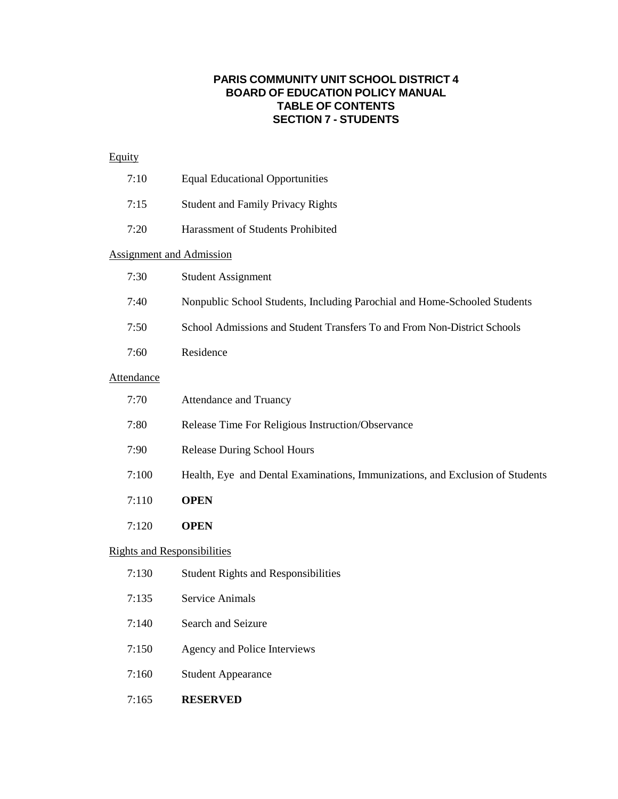## **PARIS COMMUNITY UNIT SCHOOL DISTRICT 4 BOARD OF EDUCATION POLICY MANUAL TABLE OF CONTENTS SECTION 7 - STUDENTS**

## **Equity**

|                                    | 7:10                            | <b>Equal Educational Opportunities</b>                                        |  |
|------------------------------------|---------------------------------|-------------------------------------------------------------------------------|--|
|                                    | 7:15                            | <b>Student and Family Privacy Rights</b>                                      |  |
|                                    | 7:20                            | Harassment of Students Prohibited                                             |  |
|                                    | <b>Assignment and Admission</b> |                                                                               |  |
|                                    | 7:30                            | <b>Student Assignment</b>                                                     |  |
|                                    | 7:40                            | Nonpublic School Students, Including Parochial and Home-Schooled Students     |  |
|                                    | 7:50                            | School Admissions and Student Transfers To and From Non-District Schools      |  |
|                                    | 7:60                            | Residence                                                                     |  |
| <b>Attendance</b>                  |                                 |                                                                               |  |
|                                    | 7:70                            | <b>Attendance and Truancy</b>                                                 |  |
|                                    | 7:80                            | Release Time For Religious Instruction/Observance                             |  |
|                                    | 7:90                            | <b>Release During School Hours</b>                                            |  |
|                                    | 7:100                           | Health, Eye and Dental Examinations, Immunizations, and Exclusion of Students |  |
|                                    | 7:110                           | <b>OPEN</b>                                                                   |  |
|                                    | 7:120                           | <b>OPEN</b>                                                                   |  |
| <b>Rights and Responsibilities</b> |                                 |                                                                               |  |
|                                    | 7:130                           | <b>Student Rights and Responsibilities</b>                                    |  |
|                                    | 7:135                           | <b>Service Animals</b>                                                        |  |
|                                    | 7:140                           | Search and Seizure                                                            |  |
|                                    |                                 |                                                                               |  |

- 7:150 Agency and Police Interviews
- 7:160 Student Appearance
- 7:165 **RESERVED**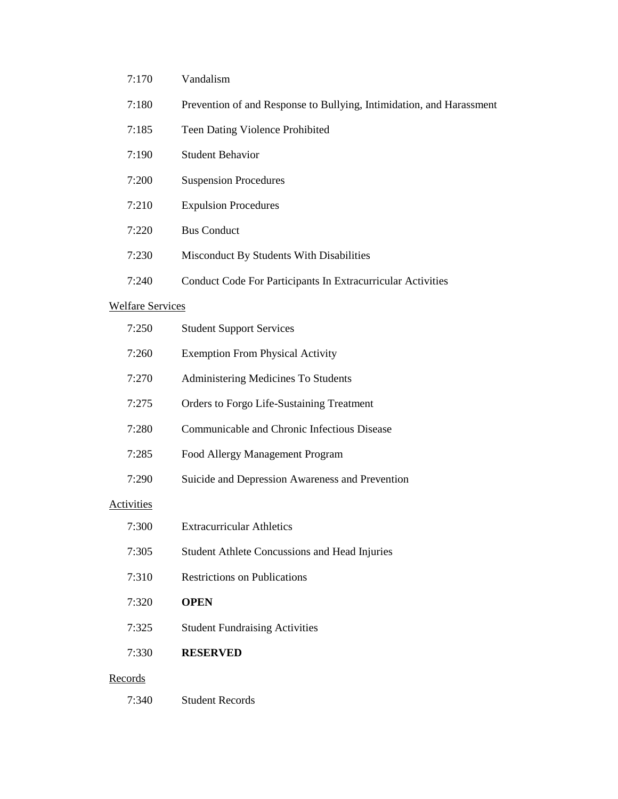- 7:170 Vandalism
- 7:180 Prevention of and Response to Bullying, Intimidation, and Harassment
- 7:185 Teen Dating Violence Prohibited
- 7:190 Student Behavior
- 7:200 Suspension Procedures
- 7:210 Expulsion Procedures
- 7:220 Bus Conduct

7:340 Student Records

- 7:230 Misconduct By Students With Disabilities
- 7:240 Conduct Code For Participants In Extracurricular Activities

## Welfare Services

| 7:250             | <b>Student Support Services</b>                      |
|-------------------|------------------------------------------------------|
| 7:260             | <b>Exemption From Physical Activity</b>              |
| 7:270             | Administering Medicines To Students                  |
| 7:275             | Orders to Forgo Life-Sustaining Treatment            |
| 7:280             | Communicable and Chronic Infectious Disease          |
| 7:285             | Food Allergy Management Program                      |
| 7:290             | Suicide and Depression Awareness and Prevention      |
| <b>Activities</b> |                                                      |
| 7:300             | <b>Extracurricular Athletics</b>                     |
| 7:305             | <b>Student Athlete Concussions and Head Injuries</b> |
| 7:310             | <b>Restrictions on Publications</b>                  |
| 7:320             | <b>OPEN</b>                                          |
| 7:325             | <b>Student Fundraising Activities</b>                |
| 7:330             | <b>RESERVED</b>                                      |
| <u>Records</u>    |                                                      |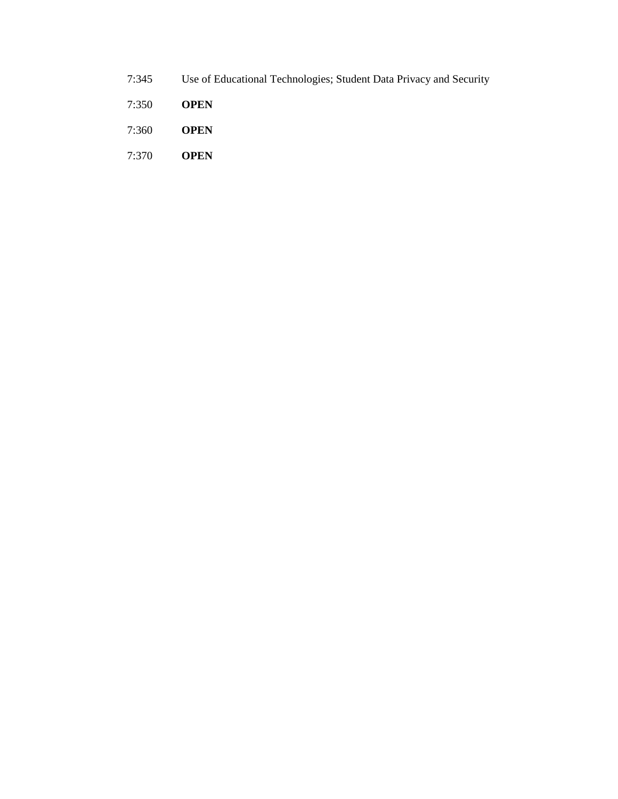- 7:345 Use of Educational Technologies; Student Data Privacy and Security
- 7:350 **OPEN**
- 7:360 **OPEN**
- 7:370 **OPEN**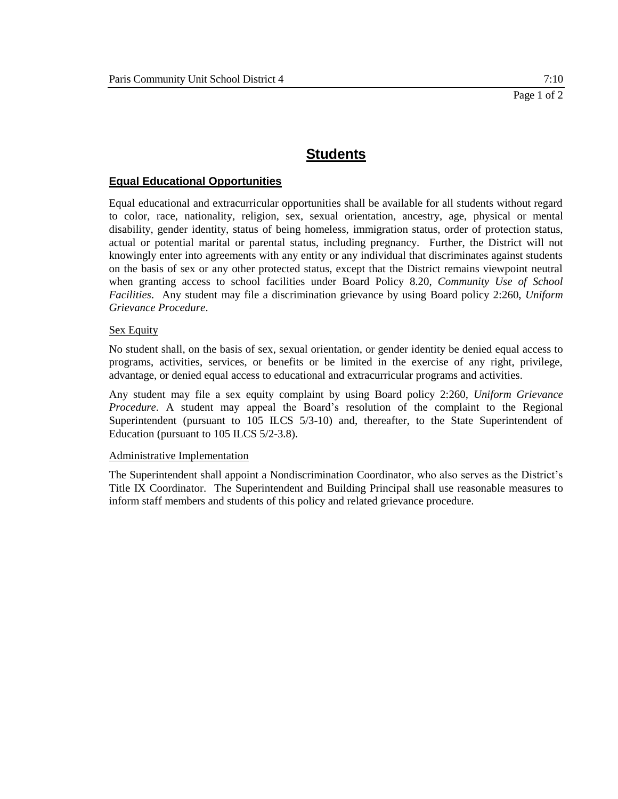## **Equal Educational Opportunities**

Equal educational and extracurricular opportunities shall be available for all students without regard to color, race, nationality, religion, sex, sexual orientation, ancestry, age, physical or mental disability, gender identity, status of being homeless, immigration status, order of protection status, actual or potential marital or parental status, including pregnancy. Further, the District will not knowingly enter into agreements with any entity or any individual that discriminates against students on the basis of sex or any other protected status, except that the District remains viewpoint neutral when granting access to school facilities under Board Policy 8.20, *Community Use of School Facilities*. Any student may file a discrimination grievance by using Board policy 2:260, *Uniform Grievance Procedure*.

#### Sex Equity

No student shall, on the basis of sex, sexual orientation, or gender identity be denied equal access to programs, activities, services, or benefits or be limited in the exercise of any right, privilege, advantage, or denied equal access to educational and extracurricular programs and activities.

Any student may file a sex equity complaint by using Board policy 2:260, *Uniform Grievance Procedure*. A student may appeal the Board's resolution of the complaint to the Regional Superintendent (pursuant to 105 ILCS 5/3-10) and, thereafter, to the State Superintendent of Education (pursuant to 105 ILCS 5/2-3.8).

#### Administrative Implementation

The Superintendent shall appoint a Nondiscrimination Coordinator, who also serves as the District's Title IX Coordinator. The Superintendent and Building Principal shall use reasonable measures to inform staff members and students of this policy and related grievance procedure.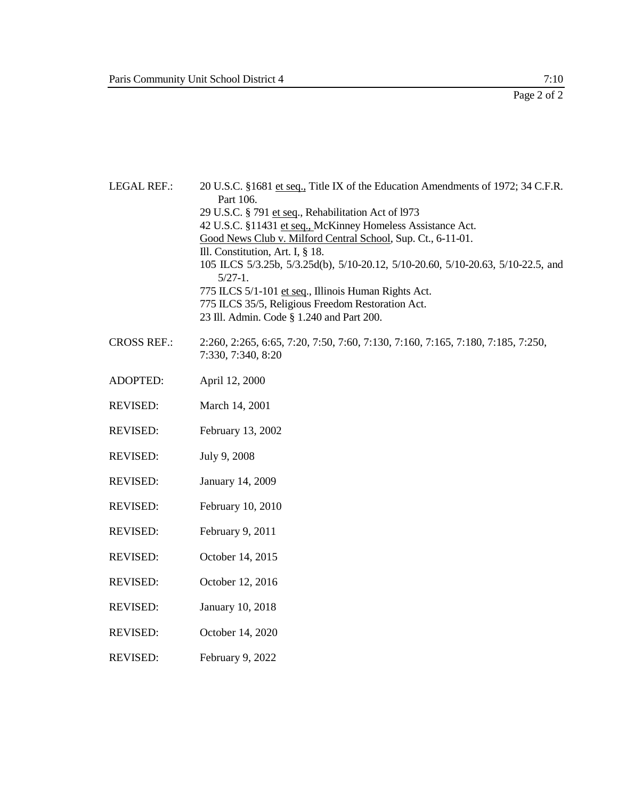| <b>LEGAL REF.:</b> | 20 U.S.C. §1681 et seq., Title IX of the Education Amendments of 1972; 34 C.F.R.<br>Part 106.<br>29 U.S.C. § 791 et seq., Rehabilitation Act of 1973<br>42 U.S.C. §11431 et seq., McKinney Homeless Assistance Act.<br>Good News Club v. Milford Central School, Sup. Ct., 6-11-01.<br>Ill. Constitution, Art. I, § 18.<br>105 ILCS 5/3.25b, 5/3.25d(b), 5/10-20.12, 5/10-20.60, 5/10-20.63, 5/10-22.5, and<br>$5/27-1$ .<br>775 ILCS 5/1-101 et seq., Illinois Human Rights Act.<br>775 ILCS 35/5, Religious Freedom Restoration Act.<br>23 Ill. Admin. Code § 1.240 and Part 200. |
|--------------------|-------------------------------------------------------------------------------------------------------------------------------------------------------------------------------------------------------------------------------------------------------------------------------------------------------------------------------------------------------------------------------------------------------------------------------------------------------------------------------------------------------------------------------------------------------------------------------------|
| <b>CROSS REF.:</b> | 2:260, 2:265, 6:65, 7:20, 7:50, 7:60, 7:130, 7:160, 7:165, 7:180, 7:185, 7:250,<br>7:330, 7:340, 8:20                                                                                                                                                                                                                                                                                                                                                                                                                                                                               |
| <b>ADOPTED:</b>    | April 12, 2000                                                                                                                                                                                                                                                                                                                                                                                                                                                                                                                                                                      |
| <b>REVISED:</b>    | March 14, 2001                                                                                                                                                                                                                                                                                                                                                                                                                                                                                                                                                                      |
| <b>REVISED:</b>    | February 13, 2002                                                                                                                                                                                                                                                                                                                                                                                                                                                                                                                                                                   |
| <b>REVISED:</b>    | July 9, 2008                                                                                                                                                                                                                                                                                                                                                                                                                                                                                                                                                                        |
| <b>REVISED:</b>    | January 14, 2009                                                                                                                                                                                                                                                                                                                                                                                                                                                                                                                                                                    |
| <b>REVISED:</b>    | February 10, 2010                                                                                                                                                                                                                                                                                                                                                                                                                                                                                                                                                                   |
| <b>REVISED:</b>    | February 9, 2011                                                                                                                                                                                                                                                                                                                                                                                                                                                                                                                                                                    |
| <b>REVISED:</b>    | October 14, 2015                                                                                                                                                                                                                                                                                                                                                                                                                                                                                                                                                                    |
| <b>REVISED:</b>    | October 12, 2016                                                                                                                                                                                                                                                                                                                                                                                                                                                                                                                                                                    |
| <b>REVISED:</b>    | January 10, 2018                                                                                                                                                                                                                                                                                                                                                                                                                                                                                                                                                                    |
| <b>REVISED:</b>    | October 14, 2020                                                                                                                                                                                                                                                                                                                                                                                                                                                                                                                                                                    |
| <b>REVISED:</b>    | February 9, 2022                                                                                                                                                                                                                                                                                                                                                                                                                                                                                                                                                                    |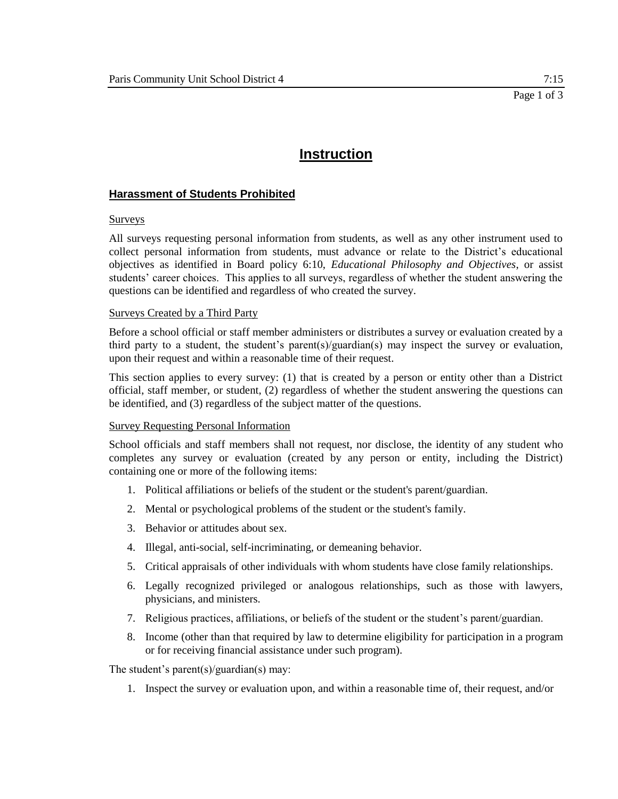## **Instruction**

## **Harassment of Students Prohibited**

#### Surveys

All surveys requesting personal information from students, as well as any other instrument used to collect personal information from students, must advance or relate to the District's educational objectives as identified in Board policy 6:10, *Educational Philosophy and Objectives*, or assist students' career choices. This applies to all surveys, regardless of whether the student answering the questions can be identified and regardless of who created the survey.

#### Surveys Created by a Third Party

Before a school official or staff member administers or distributes a survey or evaluation created by a third party to a student, the student's parent(s)/guardian(s) may inspect the survey or evaluation, upon their request and within a reasonable time of their request.

This section applies to every survey: (1) that is created by a person or entity other than a District official, staff member, or student, (2) regardless of whether the student answering the questions can be identified, and (3) regardless of the subject matter of the questions.

#### Survey Requesting Personal Information

School officials and staff members shall not request, nor disclose, the identity of any student who completes any survey or evaluation (created by any person or entity, including the District) containing one or more of the following items:

- 1. Political affiliations or beliefs of the student or the student's parent/guardian.
- 2. Mental or psychological problems of the student or the student's family.
- 3. Behavior or attitudes about sex.
- 4. Illegal, anti-social, self-incriminating, or demeaning behavior.
- 5. Critical appraisals of other individuals with whom students have close family relationships.
- 6. Legally recognized privileged or analogous relationships, such as those with lawyers, physicians, and ministers.
- 7. Religious practices, affiliations, or beliefs of the student or the student's parent/guardian.
- 8. Income (other than that required by law to determine eligibility for participation in a program or for receiving financial assistance under such program).

The student's parent(s)/guardian(s) may:

1. Inspect the survey or evaluation upon, and within a reasonable time of, their request, and/or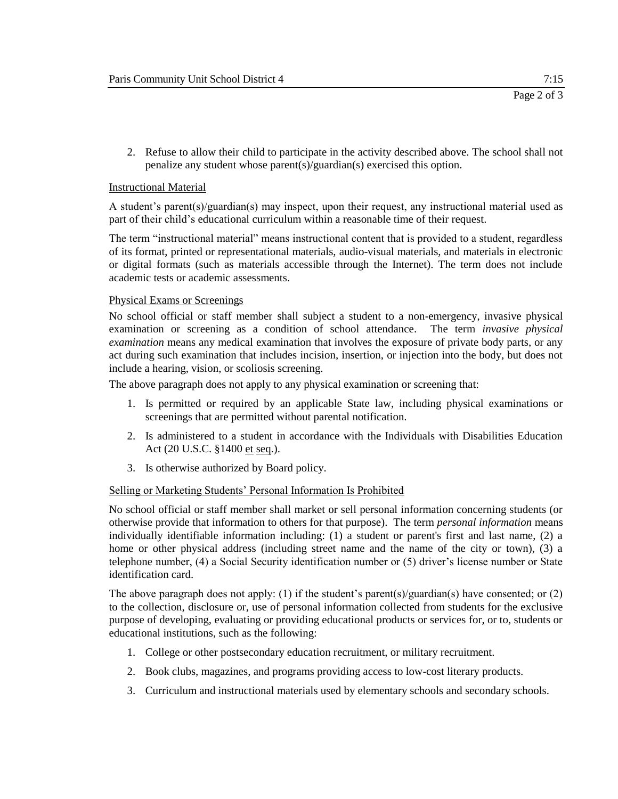2. Refuse to allow their child to participate in the activity described above. The school shall not penalize any student whose parent(s)/guardian(s) exercised this option.

## Instructional Material

A student's parent(s)/guardian(s) may inspect, upon their request, any instructional material used as part of their child's educational curriculum within a reasonable time of their request.

The term "instructional material" means instructional content that is provided to a student, regardless of its format, printed or representational materials, audio-visual materials, and materials in electronic or digital formats (such as materials accessible through the Internet). The term does not include academic tests or academic assessments.

## Physical Exams or Screenings

No school official or staff member shall subject a student to a non-emergency, invasive physical examination or screening as a condition of school attendance. The term *invasive physical examination* means any medical examination that involves the exposure of private body parts, or any act during such examination that includes incision, insertion, or injection into the body, but does not include a hearing, vision, or scoliosis screening.

The above paragraph does not apply to any physical examination or screening that:

- 1. Is permitted or required by an applicable State law, including physical examinations or screenings that are permitted without parental notification.
- 2. Is administered to a student in accordance with the Individuals with Disabilities Education Act (20 U.S.C. §1400 et seq.).
- 3. Is otherwise authorized by Board policy.

#### Selling or Marketing Students' Personal Information Is Prohibited

No school official or staff member shall market or sell personal information concerning students (or otherwise provide that information to others for that purpose). The term *personal information* means individually identifiable information including: (1) a student or parent's first and last name, (2) a home or other physical address (including street name and the name of the city or town), (3) a telephone number, (4) a Social Security identification number or (5) driver's license number or State identification card.

The above paragraph does not apply: (1) if the student's parent(s)/guardian(s) have consented; or (2) to the collection, disclosure or, use of personal information collected from students for the exclusive purpose of developing, evaluating or providing educational products or services for, or to, students or educational institutions, such as the following:

- 1. College or other postsecondary education recruitment, or military recruitment.
- 2. Book clubs, magazines, and programs providing access to low-cost literary products.
- 3. Curriculum and instructional materials used by elementary schools and secondary schools.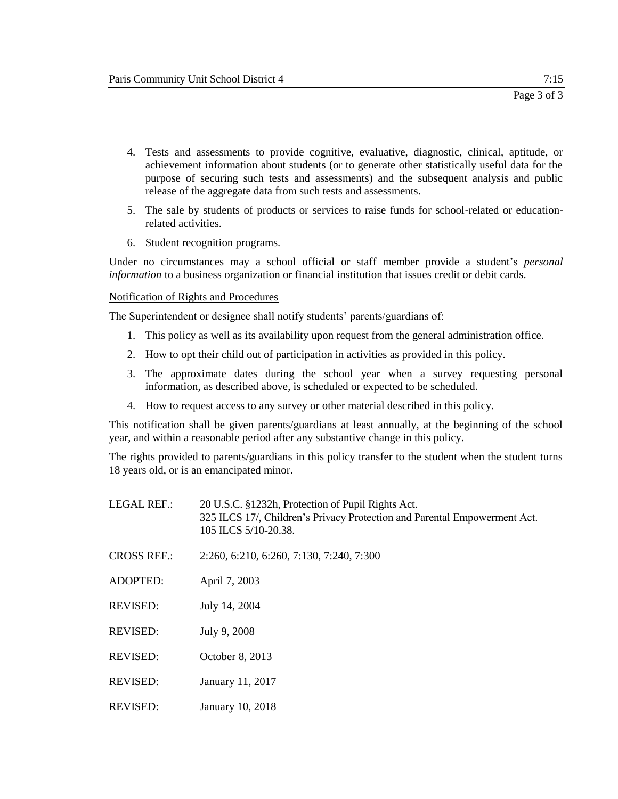- 4. Tests and assessments to provide cognitive, evaluative, diagnostic, clinical, aptitude, or achievement information about students (or to generate other statistically useful data for the purpose of securing such tests and assessments) and the subsequent analysis and public release of the aggregate data from such tests and assessments.
- 5. The sale by students of products or services to raise funds for school-related or educationrelated activities.
- 6. Student recognition programs.

Under no circumstances may a school official or staff member provide a student's *personal information* to a business organization or financial institution that issues credit or debit cards.

## Notification of Rights and Procedures

The Superintendent or designee shall notify students' parents/guardians of:

- 1. This policy as well as its availability upon request from the general administration office.
- 2. How to opt their child out of participation in activities as provided in this policy.
- 3. The approximate dates during the school year when a survey requesting personal information, as described above, is scheduled or expected to be scheduled.
- 4. How to request access to any survey or other material described in this policy.

This notification shall be given parents/guardians at least annually, at the beginning of the school year, and within a reasonable period after any substantive change in this policy.

The rights provided to parents/guardians in this policy transfer to the student when the student turns 18 years old, or is an emancipated minor.

| <b>LEGAL REF.:</b> | 20 U.S.C. §1232h, Protection of Pupil Rights Act.<br>325 ILCS 17/, Children's Privacy Protection and Parental Empowerment Act.<br>105 ILCS 5/10-20.38. |
|--------------------|--------------------------------------------------------------------------------------------------------------------------------------------------------|
| <b>CROSS REF.:</b> | 2:260, 6:210, 6:260, 7:130, 7:240, 7:300                                                                                                               |
| <b>ADOPTED:</b>    | April 7, 2003                                                                                                                                          |
| <b>REVISED:</b>    | July 14, 2004                                                                                                                                          |
| <b>REVISED:</b>    | July 9, 2008                                                                                                                                           |
| <b>REVISED:</b>    | October 8, 2013                                                                                                                                        |
| <b>REVISED:</b>    | January 11, 2017                                                                                                                                       |
| <b>REVISED:</b>    | January 10, 2018                                                                                                                                       |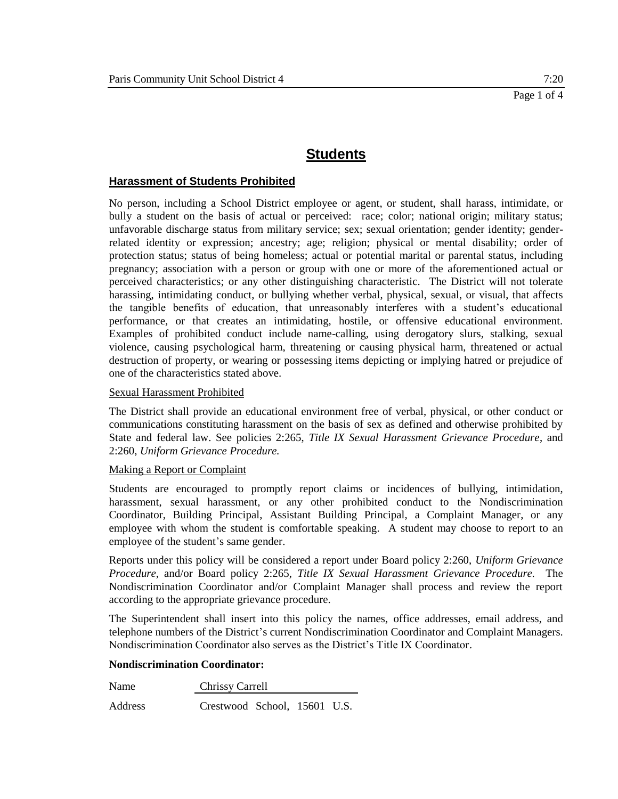### **Harassment of Students Prohibited**

No person, including a School District employee or agent, or student, shall harass, intimidate, or bully a student on the basis of actual or perceived: race; color; national origin; military status; unfavorable discharge status from military service; sex; sexual orientation; gender identity; genderrelated identity or expression; ancestry; age; religion; physical or mental disability; order of protection status; status of being homeless; actual or potential marital or parental status, including pregnancy; association with a person or group with one or more of the aforementioned actual or perceived characteristics; or any other distinguishing characteristic. The District will not tolerate harassing, intimidating conduct, or bullying whether verbal, physical, sexual, or visual, that affects the tangible benefits of education, that unreasonably interferes with a student's educational performance, or that creates an intimidating, hostile, or offensive educational environment. Examples of prohibited conduct include name-calling, using derogatory slurs, stalking, sexual violence, causing psychological harm, threatening or causing physical harm, threatened or actual destruction of property, or wearing or possessing items depicting or implying hatred or prejudice of one of the characteristics stated above.

#### Sexual Harassment Prohibited

The District shall provide an educational environment free of verbal, physical, or other conduct or communications constituting harassment on the basis of sex as defined and otherwise prohibited by State and federal law. See policies 2:265, *Title IX Sexual Harassment Grievance Procedure*, and 2:260, *Uniform Grievance Procedure.* 

#### Making a Report or Complaint

Students are encouraged to promptly report claims or incidences of bullying, intimidation, harassment, sexual harassment, or any other prohibited conduct to the Nondiscrimination Coordinator, Building Principal, Assistant Building Principal, a Complaint Manager, or any employee with whom the student is comfortable speaking. A student may choose to report to an employee of the student's same gender.

Reports under this policy will be considered a report under Board policy 2:260, *Uniform Grievance Procedure*, and/or Board policy 2:265, *Title IX Sexual Harassment Grievance Procedure.* The Nondiscrimination Coordinator and/or Complaint Manager shall process and review the report according to the appropriate grievance procedure.

The Superintendent shall insert into this policy the names, office addresses, email address, and telephone numbers of the District's current Nondiscrimination Coordinator and Complaint Managers. Nondiscrimination Coordinator also serves as the District's Title IX Coordinator.

#### **Nondiscrimination Coordinator:**

Name Chrissy Carrell

Address Crestwood School, 15601 U.S.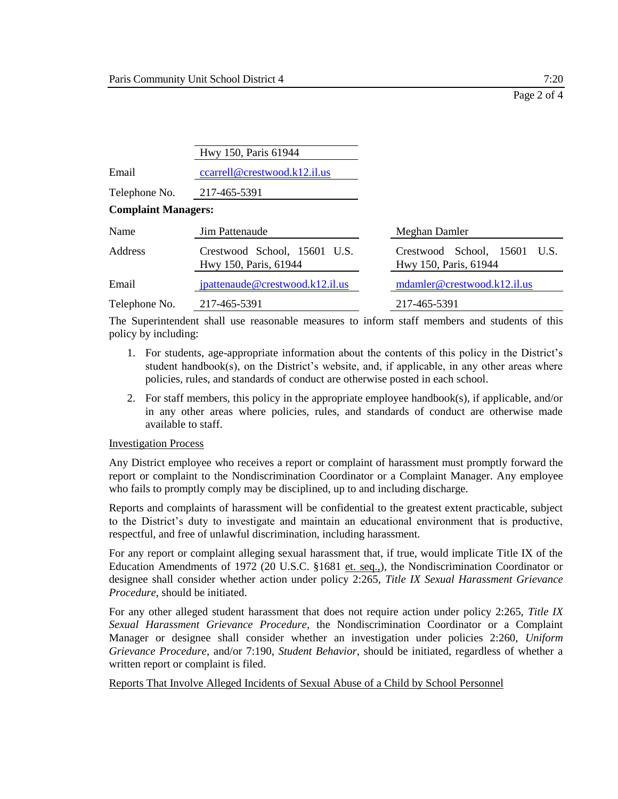|                            | Hwy 150, Paris 61944                                  |                                                       |
|----------------------------|-------------------------------------------------------|-------------------------------------------------------|
| Email                      | ccarrell@crestwood.k12.il.us                          |                                                       |
| Telephone No.              | 217-465-5391                                          |                                                       |
| <b>Complaint Managers:</b> |                                                       |                                                       |
| Name                       | Jim Pattenaude                                        | Meghan Damler                                         |
| Address                    | Crestwood School, 15601 U.S.<br>Hwy 150, Paris, 61944 | Crestwood School, 15601 U.S.<br>Hwy 150, Paris, 61944 |
| Email                      | jpattenaude@crestwood.k12.il.us                       | mdamler@crestwood.k12.il.us                           |
| Telephone No.              | 217-465-5391                                          | 217-465-5391                                          |

The Superintendent shall use reasonable measures to inform staff members and students of this policy by including:

- 1. For students, age-appropriate information about the contents of this policy in the District's student handbook(s), on the District's website, and, if applicable, in any other areas where policies, rules, and standards of conduct are otherwise posted in each school.
- 2. For staff members, this policy in the appropriate employee handbook(s), if applicable, and/or in any other areas where policies, rules, and standards of conduct are otherwise made available to staff.

#### Investigation Process

Any District employee who receives a report or complaint of harassment must promptly forward the report or complaint to the Nondiscrimination Coordinator or a Complaint Manager. Any employee who fails to promptly comply may be disciplined, up to and including discharge.

Reports and complaints of harassment will be confidential to the greatest extent practicable, subject to the District's duty to investigate and maintain an educational environment that is productive, respectful, and free of unlawful discrimination, including harassment.

For any report or complaint alleging sexual harassment that, if true, would implicate Title IX of the Education Amendments of 1972 (20 U.S.C. §1681 et. seq.,), the Nondiscrimination Coordinator or designee shall consider whether action under policy 2:265, *Title IX Sexual Harassment Grievance Procedure*, should be initiated.

For any other alleged student harassment that does not require action under policy 2:265, *Title IX Sexual Harassment Grievance Procedure*, the Nondiscrimination Coordinator or a Complaint Manager or designee shall consider whether an investigation under policies 2:260, *Uniform Grievance Procedure*, and/or 7:190, *Student Behavior*, should be initiated, regardless of whether a written report or complaint is filed.

Reports That Involve Alleged Incidents of Sexual Abuse of a Child by School Personnel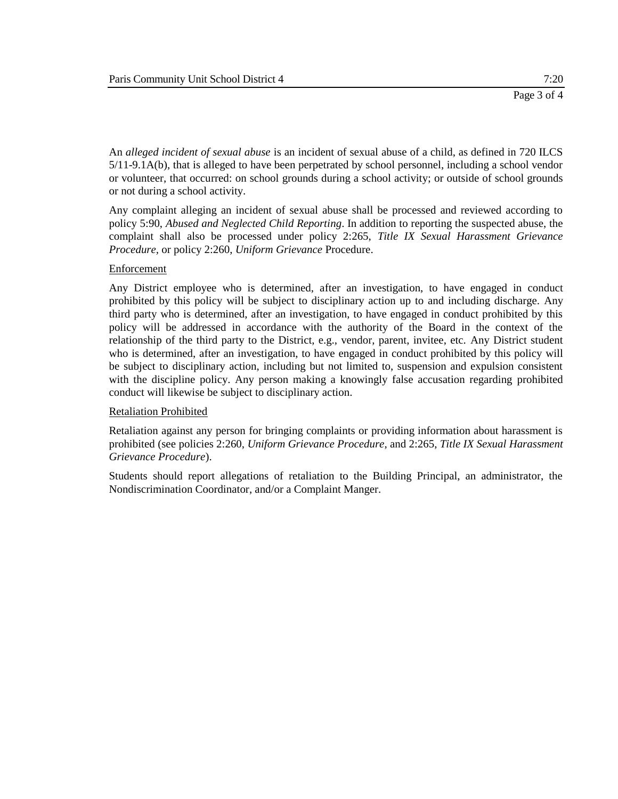An *alleged incident of sexual abuse* is an incident of sexual abuse of a child, as defined in 720 ILCS 5/11-9.1A(b), that is alleged to have been perpetrated by school personnel, including a school vendor or volunteer, that occurred: on school grounds during a school activity; or outside of school grounds or not during a school activity.

Any complaint alleging an incident of sexual abuse shall be processed and reviewed according to policy 5:90, *Abused and Neglected Child Reporting*. In addition to reporting the suspected abuse, the complaint shall also be processed under policy 2:265, *Title IX Sexual Harassment Grievance Procedure,* or policy 2:260, *Uniform Grievance* Procedure.

## Enforcement

Any District employee who is determined, after an investigation, to have engaged in conduct prohibited by this policy will be subject to disciplinary action up to and including discharge. Any third party who is determined, after an investigation, to have engaged in conduct prohibited by this policy will be addressed in accordance with the authority of the Board in the context of the relationship of the third party to the District, e.g., vendor, parent, invitee, etc. Any District student who is determined, after an investigation, to have engaged in conduct prohibited by this policy will be subject to disciplinary action, including but not limited to, suspension and expulsion consistent with the discipline policy. Any person making a knowingly false accusation regarding prohibited conduct will likewise be subject to disciplinary action.

#### Retaliation Prohibited

Retaliation against any person for bringing complaints or providing information about harassment is prohibited (see policies 2:260, *Uniform Grievance Procedure*, and 2:265, *Title IX Sexual Harassment Grievance Procedure*).

Students should report allegations of retaliation to the Building Principal, an administrator, the Nondiscrimination Coordinator, and/or a Complaint Manger.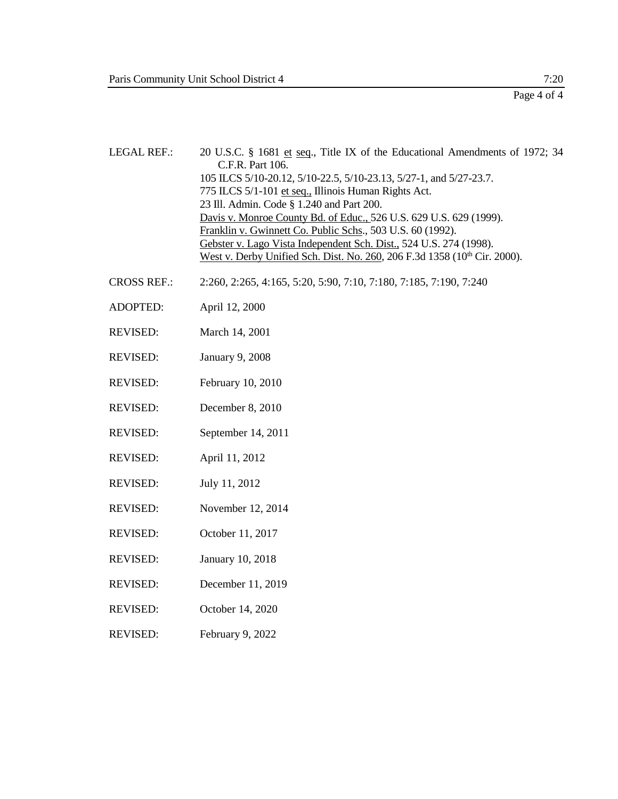LEGAL REF.: 20 U.S.C. § 1681 et seq., Title IX of the Educational Amendments of 1972; 34 C.F.R. Part 106. 105 ILCS 5/10-20.12, 5/10-22.5, 5/10-23.13, 5/27-1, and 5/27-23.7. 775 ILCS 5/1-101 et seq., Illinois Human Rights Act. 23 Ill. Admin. Code § 1.240 and Part 200. Davis v. Monroe County Bd. of Educ., 526 U.S. 629 U.S. 629 (1999). Franklin v. Gwinnett Co. Public Schs., 503 U.S. 60 (1992). Gebster v. Lago Vista Independent Sch. Dist., 524 U.S. 274 (1998). West v. Derby Unified Sch. Dist. No. 260, 206 F.3d 1358 (10<sup>th</sup> Cir. 2000).

- CROSS REF.: 2:260, 2:265, 4:165, 5:20, 5:90, 7:10, 7:180, 7:185, 7:190, 7:240
- ADOPTED: April 12, 2000
- REVISED: March 14, 2001
- REVISED: January 9, 2008
- REVISED: February 10, 2010
- REVISED: December 8, 2010
- REVISED: September 14, 2011
- REVISED: April 11, 2012
- REVISED: July 11, 2012
- REVISED: November 12, 2014
- REVISED: October 11, 2017
- REVISED: January 10, 2018
- REVISED: December 11, 2019
- REVISED: October 14, 2020
- REVISED: February 9, 2022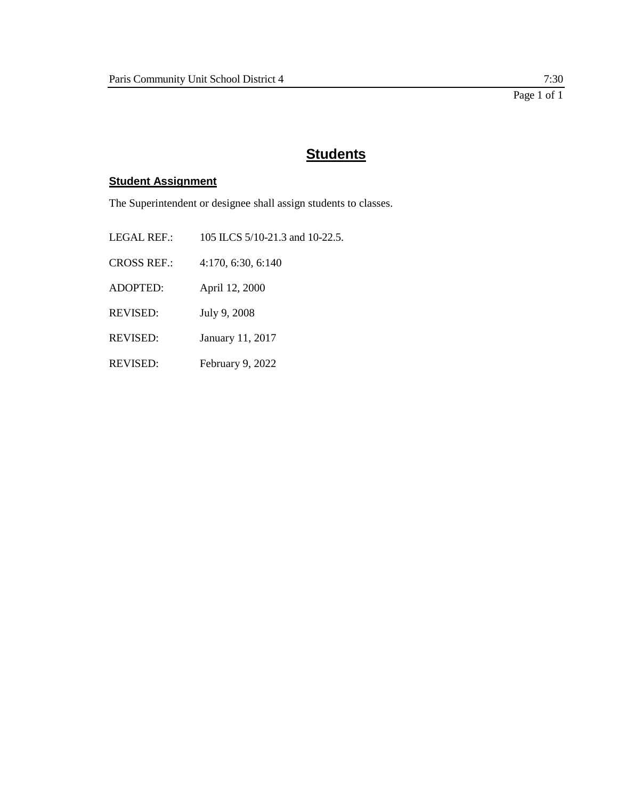## **Student Assignment**

The Superintendent or designee shall assign students to classes.

LEGAL REF.: 105 ILCS 5/10-21.3 and 10-22.5. CROSS REF.: 4:170, 6:30, 6:140 ADOPTED: April 12, 2000 REVISED: July 9, 2008 REVISED: January 11, 2017 REVISED: February 9, 2022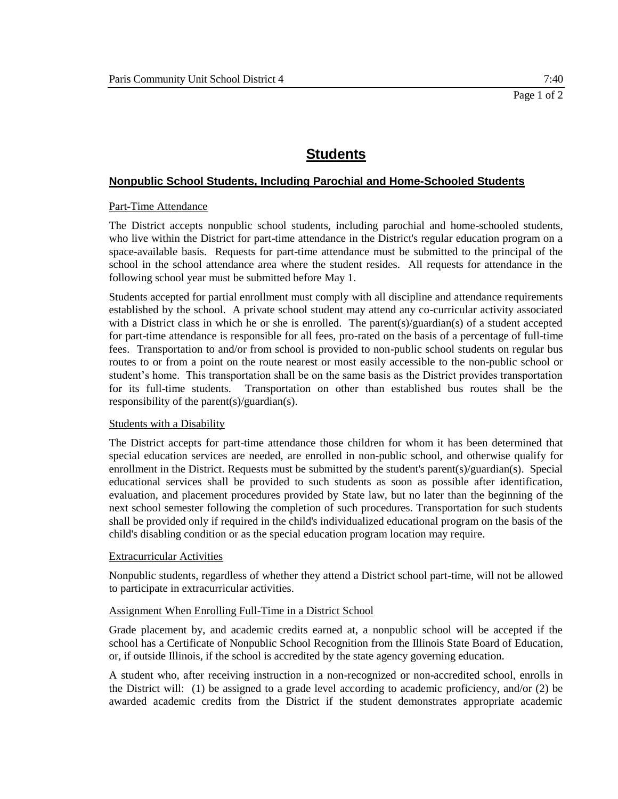## **Nonpublic School Students, Including Parochial and Home-Schooled Students**

#### Part-Time Attendance

The District accepts nonpublic school students, including parochial and home-schooled students, who live within the District for part-time attendance in the District's regular education program on a space-available basis. Requests for part-time attendance must be submitted to the principal of the school in the school attendance area where the student resides. All requests for attendance in the following school year must be submitted before May 1.

Students accepted for partial enrollment must comply with all discipline and attendance requirements established by the school. A private school student may attend any co-curricular activity associated with a District class in which he or she is enrolled. The parent(s)/guardian(s) of a student accepted for part-time attendance is responsible for all fees, pro-rated on the basis of a percentage of full-time fees. Transportation to and/or from school is provided to non-public school students on regular bus routes to or from a point on the route nearest or most easily accessible to the non-public school or student's home. This transportation shall be on the same basis as the District provides transportation for its full-time students. Transportation on other than established bus routes shall be the responsibility of the parent(s)/guardian(s).

#### Students with a Disability

The District accepts for part-time attendance those children for whom it has been determined that special education services are needed, are enrolled in non-public school, and otherwise qualify for enrollment in the District. Requests must be submitted by the student's parent(s)/guardian(s). Special educational services shall be provided to such students as soon as possible after identification, evaluation, and placement procedures provided by State law, but no later than the beginning of the next school semester following the completion of such procedures. Transportation for such students shall be provided only if required in the child's individualized educational program on the basis of the child's disabling condition or as the special education program location may require.

#### Extracurricular Activities

Nonpublic students, regardless of whether they attend a District school part-time, will not be allowed to participate in extracurricular activities.

#### Assignment When Enrolling Full-Time in a District School

Grade placement by, and academic credits earned at, a nonpublic school will be accepted if the school has a Certificate of Nonpublic School Recognition from the Illinois State Board of Education, or, if outside Illinois, if the school is accredited by the state agency governing education.

A student who, after receiving instruction in a non-recognized or non-accredited school, enrolls in the District will: (1) be assigned to a grade level according to academic proficiency, and/or (2) be awarded academic credits from the District if the student demonstrates appropriate academic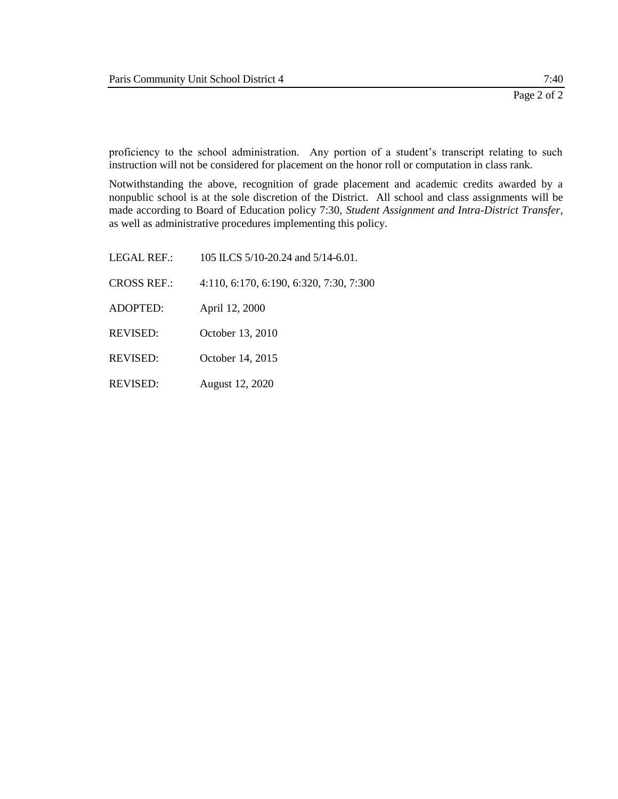proficiency to the school administration. Any portion of a student's transcript relating to such instruction will not be considered for placement on the honor roll or computation in class rank.

Notwithstanding the above, recognition of grade placement and academic credits awarded by a nonpublic school is at the sole discretion of the District. All school and class assignments will be made according to Board of Education policy 7:30, *Student Assignment and Intra-District Transfer*, as well as administrative procedures implementing this policy.

LEGAL REF.: 105 ILCS 5/10-20.24 and 5/14-6.01. CROSS REF.: 4:110, 6:170, 6:190, 6:320, 7:30, 7:300 ADOPTED: April 12, 2000 REVISED: October 13, 2010 REVISED: October 14, 2015 REVISED: August 12, 2020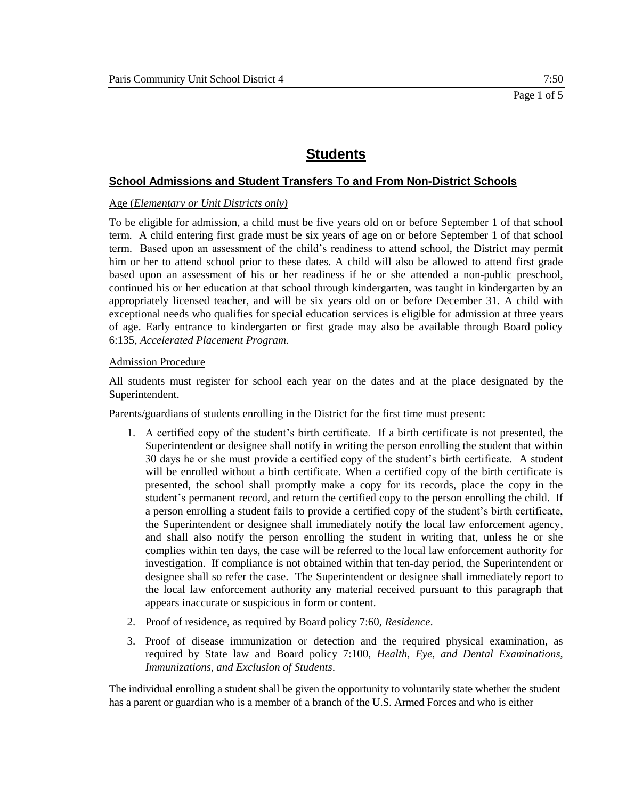### **School Admissions and Student Transfers To and From Non-District Schools**

#### Age (*Elementary or Unit Districts only)*

To be eligible for admission, a child must be five years old on or before September 1 of that school term. A child entering first grade must be six years of age on or before September 1 of that school term. Based upon an assessment of the child's readiness to attend school, the District may permit him or her to attend school prior to these dates. A child will also be allowed to attend first grade based upon an assessment of his or her readiness if he or she attended a non-public preschool, continued his or her education at that school through kindergarten, was taught in kindergarten by an appropriately licensed teacher, and will be six years old on or before December 31. A child with exceptional needs who qualifies for special education services is eligible for admission at three years of age. Early entrance to kindergarten or first grade may also be available through Board policy 6:135, *Accelerated Placement Program.*

#### Admission Procedure

All students must register for school each year on the dates and at the place designated by the Superintendent.

Parents/guardians of students enrolling in the District for the first time must present:

- 1. A certified copy of the student's birth certificate. If a birth certificate is not presented, the Superintendent or designee shall notify in writing the person enrolling the student that within 30 days he or she must provide a certified copy of the student's birth certificate. A student will be enrolled without a birth certificate. When a certified copy of the birth certificate is presented, the school shall promptly make a copy for its records, place the copy in the student's permanent record, and return the certified copy to the person enrolling the child. If a person enrolling a student fails to provide a certified copy of the student's birth certificate, the Superintendent or designee shall immediately notify the local law enforcement agency, and shall also notify the person enrolling the student in writing that, unless he or she complies within ten days, the case will be referred to the local law enforcement authority for investigation. If compliance is not obtained within that ten-day period, the Superintendent or designee shall so refer the case. The Superintendent or designee shall immediately report to the local law enforcement authority any material received pursuant to this paragraph that appears inaccurate or suspicious in form or content.
- 2. Proof of residence, as required by Board policy 7:60, *Residence*.
- 3. Proof of disease immunization or detection and the required physical examination, as required by State law and Board policy 7:100, *Health, Eye, and Dental Examinations, Immunizations, and Exclusion of Students*.

The individual enrolling a student shall be given the opportunity to voluntarily state whether the student has a parent or guardian who is a member of a branch of the U.S. Armed Forces and who is either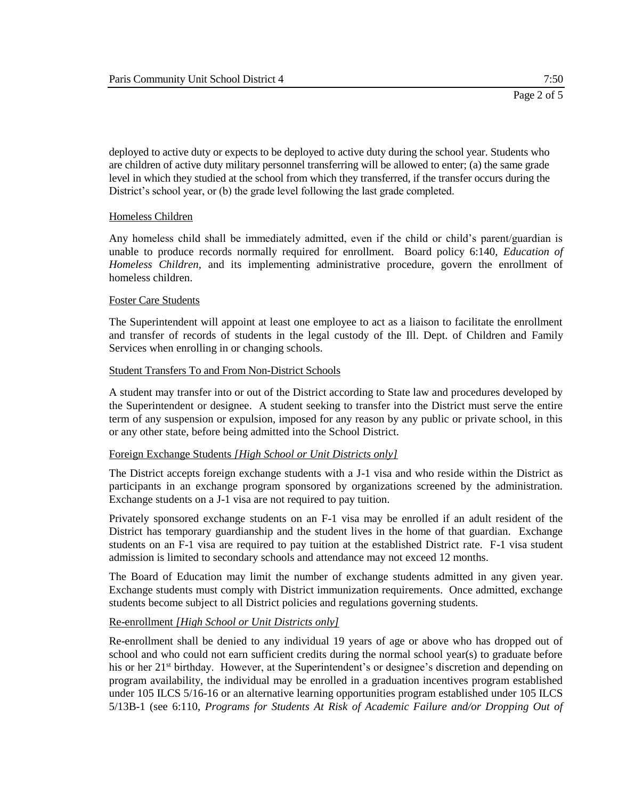deployed to active duty or expects to be deployed to active duty during the school year. Students who are children of active duty military personnel transferring will be allowed to enter; (a) the same grade level in which they studied at the school from which they transferred, if the transfer occurs during the District's school year, or (b) the grade level following the last grade completed.

#### Homeless Children

Any homeless child shall be immediately admitted, even if the child or child's parent/guardian is unable to produce records normally required for enrollment. Board policy 6:140, *Education of Homeless Children,* and its implementing administrative procedure, govern the enrollment of homeless children.

#### Foster Care Students

The Superintendent will appoint at least one employee to act as a liaison to facilitate the enrollment and transfer of records of students in the legal custody of the Ill. Dept. of Children and Family Services when enrolling in or changing schools.

#### Student Transfers To and From Non-District Schools

A student may transfer into or out of the District according to State law and procedures developed by the Superintendent or designee. A student seeking to transfer into the District must serve the entire term of any suspension or expulsion, imposed for any reason by any public or private school, in this or any other state, before being admitted into the School District.

#### Foreign Exchange Students *[High School or Unit Districts only]*

The District accepts foreign exchange students with a J-1 visa and who reside within the District as participants in an exchange program sponsored by organizations screened by the administration. Exchange students on a J-1 visa are not required to pay tuition.

Privately sponsored exchange students on an F-1 visa may be enrolled if an adult resident of the District has temporary guardianship and the student lives in the home of that guardian. Exchange students on an F-1 visa are required to pay tuition at the established District rate. F-1 visa student admission is limited to secondary schools and attendance may not exceed 12 months.

The Board of Education may limit the number of exchange students admitted in any given year. Exchange students must comply with District immunization requirements. Once admitted, exchange students become subject to all District policies and regulations governing students.

#### Re-enrollment *[High School or Unit Districts only]*

Re-enrollment shall be denied to any individual 19 years of age or above who has dropped out of school and who could not earn sufficient credits during the normal school year(s) to graduate before his or her 21<sup>st</sup> birthday. However, at the Superintendent's or designee's discretion and depending on program availability, the individual may be enrolled in a graduation incentives program established under 105 ILCS 5/16-16 or an alternative learning opportunities program established under 105 ILCS 5/13B-1 (see 6:110, *Programs for Students At Risk of Academic Failure and/or Dropping Out of*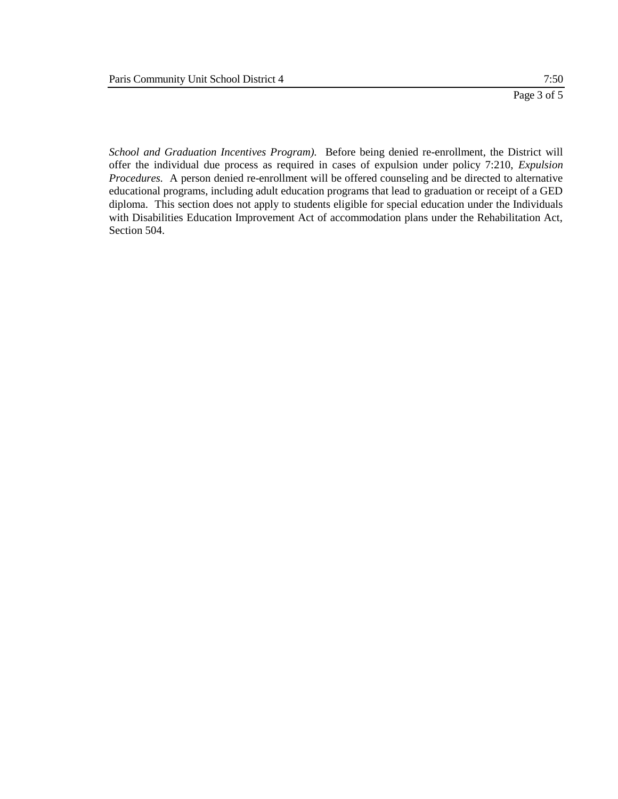*School and Graduation Incentives Program).* Before being denied re-enrollment, the District will offer the individual due process as required in cases of expulsion under policy 7:210, *Expulsion Procedures.* A person denied re-enrollment will be offered counseling and be directed to alternative educational programs, including adult education programs that lead to graduation or receipt of a GED diploma. This section does not apply to students eligible for special education under the Individuals with Disabilities Education Improvement Act of accommodation plans under the Rehabilitation Act, Section 504.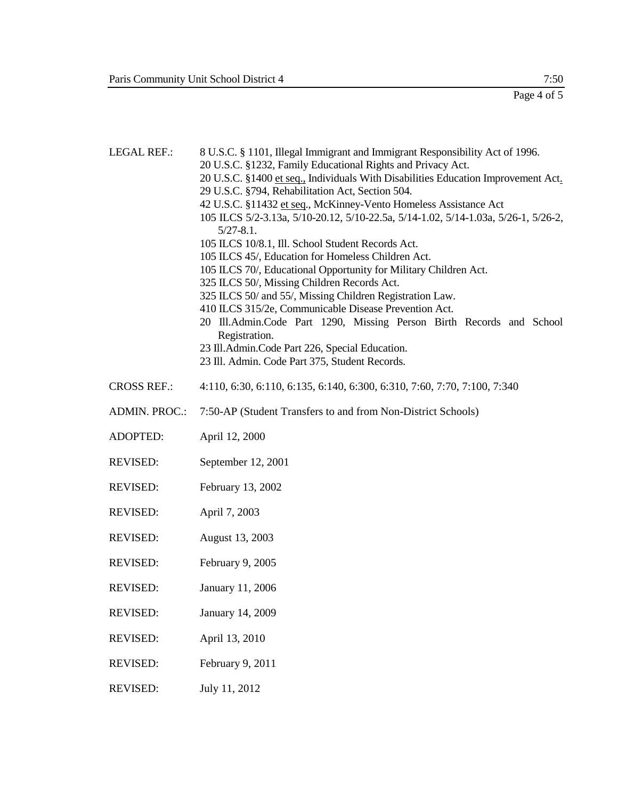Page 4 of 5

LEGAL REF.: 8 U.S.C. § 1101, Illegal Immigrant and Immigrant Responsibility Act of 1996.

- 20 U.S.C. §1232, Family Educational Rights and Privacy Act.
- 20 U.S.C. §1400 et seq., Individuals With Disabilities Education Improvement Act.
- 29 U.S.C. §794, Rehabilitation Act, Section 504.
- 42 U.S.C. §11432 et seq., McKinney-Vento Homeless Assistance Act 105 ILCS 5/2-3.13a, 5/10-20.12, 5/10-22.5a, 5/14-1.02, 5/14-1.03a, 5/26-1, 5/26-2, 5/27-8.1.
- 105 ILCS 10/8.1, Ill. School Student Records Act.
- 105 ILCS 45/, Education for Homeless Children Act.
- 105 ILCS 70/, Educational Opportunity for Military Children Act.
- 325 ILCS 50/, Missing Children Records Act.
- 325 ILCS 50/ and 55/, Missing Children Registration Law.
- 410 ILCS 315/2e, Communicable Disease Prevention Act.
- 20 Ill.Admin.Code Part 1290, Missing Person Birth Records and School Registration.
- 23 Ill.Admin.Code Part 226, Special Education.
- 23 Ill. Admin. Code Part 375, Student Records.
- CROSS REF.: 4:110, 6:30, 6:110, 6:135, 6:140, 6:300, 6:310, 7:60, 7:70, 7:100, 7:340
- ADMIN. PROC.: 7:50-AP (Student Transfers to and from Non-District Schools)
- ADOPTED: April 12, 2000
- REVISED: September 12, 2001
- REVISED: February 13, 2002
- REVISED: April 7, 2003
- REVISED: August 13, 2003
- REVISED: February 9, 2005
- REVISED: January 11, 2006
- REVISED: January 14, 2009
- REVISED: April 13, 2010
- REVISED: February 9, 2011
- REVISED: July 11, 2012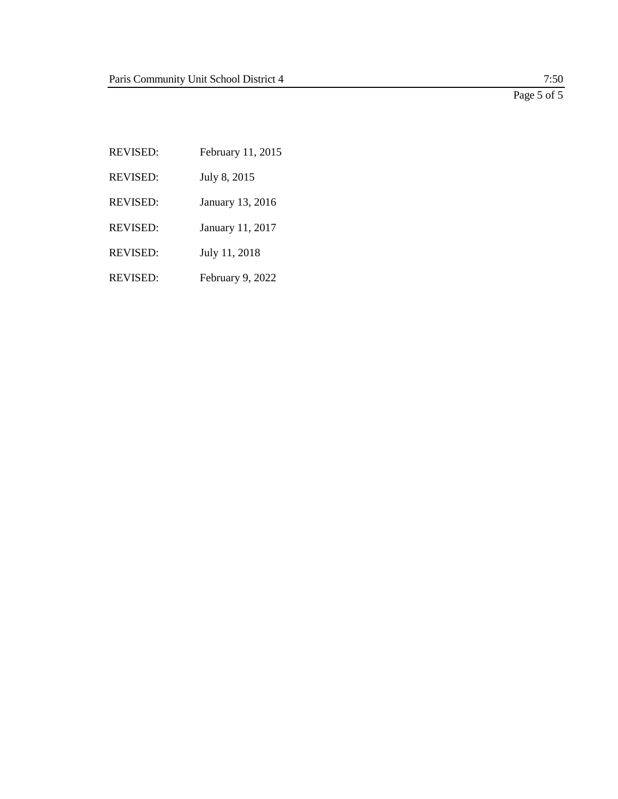Page 5 of 5

REVISED: February 11, 2015 REVISED: July 8, 2015 REVISED: January 13, 2016 REVISED: January 11, 2017 REVISED: July 11, 2018 REVISED: February 9, 2022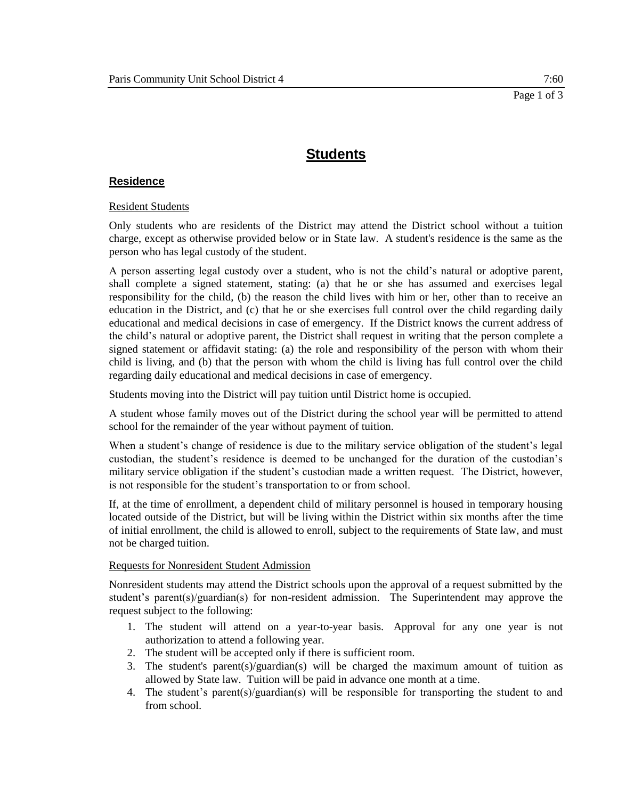#### **Residence**

#### Resident Students

Only students who are residents of the District may attend the District school without a tuition charge, except as otherwise provided below or in State law. A student's residence is the same as the person who has legal custody of the student.

A person asserting legal custody over a student, who is not the child's natural or adoptive parent, shall complete a signed statement, stating: (a) that he or she has assumed and exercises legal responsibility for the child, (b) the reason the child lives with him or her, other than to receive an education in the District, and (c) that he or she exercises full control over the child regarding daily educational and medical decisions in case of emergency. If the District knows the current address of the child's natural or adoptive parent, the District shall request in writing that the person complete a signed statement or affidavit stating: (a) the role and responsibility of the person with whom their child is living, and (b) that the person with whom the child is living has full control over the child regarding daily educational and medical decisions in case of emergency.

Students moving into the District will pay tuition until District home is occupied.

A student whose family moves out of the District during the school year will be permitted to attend school for the remainder of the year without payment of tuition.

When a student's change of residence is due to the military service obligation of the student's legal custodian, the student's residence is deemed to be unchanged for the duration of the custodian's military service obligation if the student's custodian made a written request. The District, however, is not responsible for the student's transportation to or from school.

If, at the time of enrollment, a dependent child of military personnel is housed in temporary housing located outside of the District, but will be living within the District within six months after the time of initial enrollment, the child is allowed to enroll, subject to the requirements of State law, and must not be charged tuition.

#### Requests for Nonresident Student Admission

Nonresident students may attend the District schools upon the approval of a request submitted by the student's parent(s)/guardian(s) for non-resident admission. The Superintendent may approve the request subject to the following:

- 1. The student will attend on a year-to-year basis. Approval for any one year is not authorization to attend a following year.
- 2. The student will be accepted only if there is sufficient room.
- 3. The student's parent(s)/guardian(s) will be charged the maximum amount of tuition as allowed by State law. Tuition will be paid in advance one month at a time.
- 4. The student's parent(s)/guardian(s) will be responsible for transporting the student to and from school.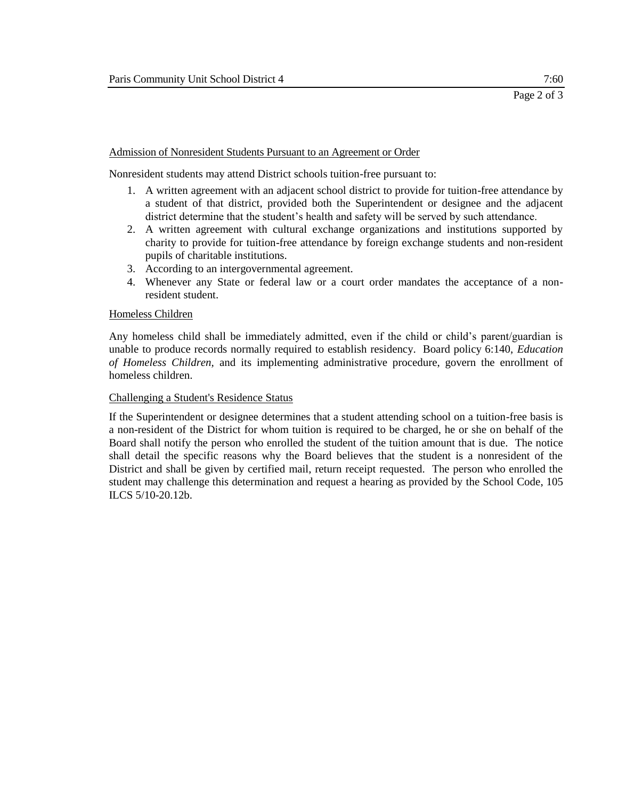#### Admission of Nonresident Students Pursuant to an Agreement or Order

Nonresident students may attend District schools tuition-free pursuant to:

- 1. A written agreement with an adjacent school district to provide for tuition-free attendance by a student of that district, provided both the Superintendent or designee and the adjacent district determine that the student's health and safety will be served by such attendance.
- 2. A written agreement with cultural exchange organizations and institutions supported by charity to provide for tuition-free attendance by foreign exchange students and non-resident pupils of charitable institutions.
- 3. According to an intergovernmental agreement.
- 4. Whenever any State or federal law or a court order mandates the acceptance of a nonresident student.

#### Homeless Children

Any homeless child shall be immediately admitted, even if the child or child's parent/guardian is unable to produce records normally required to establish residency. Board policy 6:140, *Education of Homeless Children,* and its implementing administrative procedure, govern the enrollment of homeless children.

#### Challenging a Student's Residence Status

If the Superintendent or designee determines that a student attending school on a tuition-free basis is a non-resident of the District for whom tuition is required to be charged, he or she on behalf of the Board shall notify the person who enrolled the student of the tuition amount that is due. The notice shall detail the specific reasons why the Board believes that the student is a nonresident of the District and shall be given by certified mail, return receipt requested. The person who enrolled the student may challenge this determination and request a hearing as provided by the School Code, 105 ILCS 5/10-20.12b.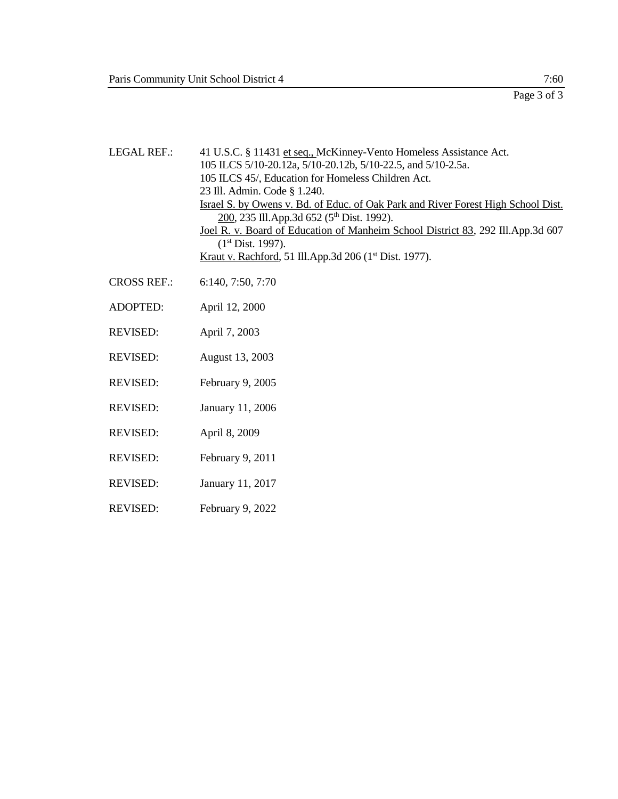LEGAL REF.: 41 U.S.C. § 11431 et seq., McKinney-Vento Homeless Assistance Act. 105 ILCS 5/10-20.12a, 5/10-20.12b, 5/10-22.5, and 5/10-2.5a. 105 ILCS 45/, Education for Homeless Children Act. 23 Ill. Admin. Code § 1.240. Israel S. by Owens v. Bd. of Educ. of Oak Park and River Forest High School Dist. 200, 235 Ill.App.3d 652 (5<sup>th</sup> Dist. 1992). Joel R. v. Board of Education of Manheim School District 83, 292 Ill.App.3d 607 (1 st Dist. 1997). Kraut v. Rachford, 51 Ill.App.3d 206 (1<sup>st</sup> Dist. 1977). CROSS REF.: 6:140, 7:50, 7:70 ADOPTED: April 12, 2000 REVISED: April 7, 2003

- REVISED: August 13, 2003
- REVISED: February 9, 2005
- REVISED: January 11, 2006
- REVISED: April 8, 2009
- REVISED: February 9, 2011
- REVISED: January 11, 2017
- REVISED: February 9, 2022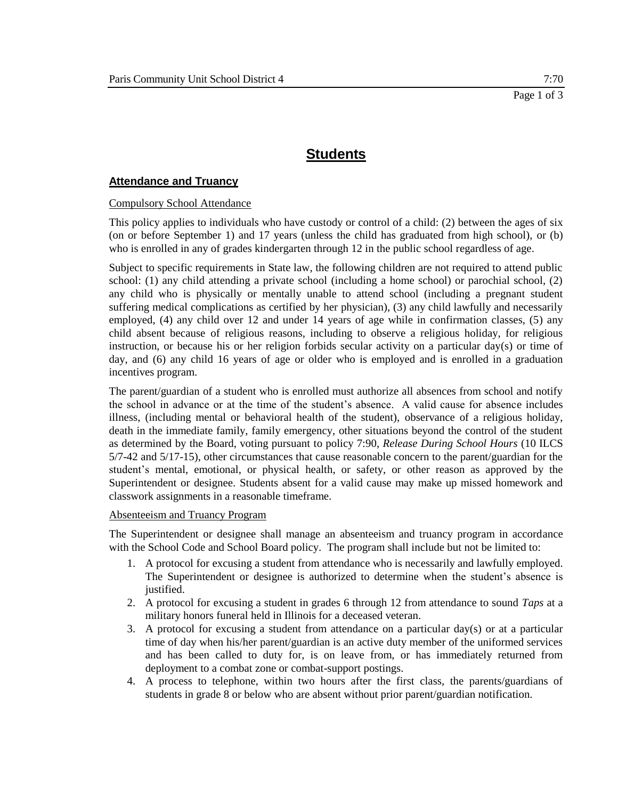### **Attendance and Truancy**

#### Compulsory School Attendance

This policy applies to individuals who have custody or control of a child: (2) between the ages of six (on or before September 1) and 17 years (unless the child has graduated from high school), or (b) who is enrolled in any of grades kindergarten through 12 in the public school regardless of age.

Subject to specific requirements in State law, the following children are not required to attend public school: (1) any child attending a private school (including a home school) or parochial school, (2) any child who is physically or mentally unable to attend school (including a pregnant student suffering medical complications as certified by her physician), (3) any child lawfully and necessarily employed, (4) any child over 12 and under 14 years of age while in confirmation classes, (5) any child absent because of religious reasons, including to observe a religious holiday, for religious instruction, or because his or her religion forbids secular activity on a particular day(s) or time of day, and (6) any child 16 years of age or older who is employed and is enrolled in a graduation incentives program.

The parent/guardian of a student who is enrolled must authorize all absences from school and notify the school in advance or at the time of the student's absence. A valid cause for absence includes illness, (including mental or behavioral health of the student), observance of a religious holiday, death in the immediate family, family emergency, other situations beyond the control of the student as determined by the Board, voting pursuant to policy 7:90, *Release During School Hours* (10 ILCS 5/7-42 and 5/17-15), other circumstances that cause reasonable concern to the parent/guardian for the student's mental, emotional, or physical health, or safety, or other reason as approved by the Superintendent or designee. Students absent for a valid cause may make up missed homework and classwork assignments in a reasonable timeframe.

#### Absenteeism and Truancy Program

The Superintendent or designee shall manage an absenteeism and truancy program in accordance with the School Code and School Board policy. The program shall include but not be limited to:

- 1. A protocol for excusing a student from attendance who is necessarily and lawfully employed. The Superintendent or designee is authorized to determine when the student's absence is justified.
- 2. A protocol for excusing a student in grades 6 through 12 from attendance to sound *Taps* at a military honors funeral held in Illinois for a deceased veteran.
- 3. A protocol for excusing a student from attendance on a particular day(s) or at a particular time of day when his/her parent/guardian is an active duty member of the uniformed services and has been called to duty for, is on leave from, or has immediately returned from deployment to a combat zone or combat-support postings.
- 4. A process to telephone, within two hours after the first class, the parents/guardians of students in grade 8 or below who are absent without prior parent/guardian notification.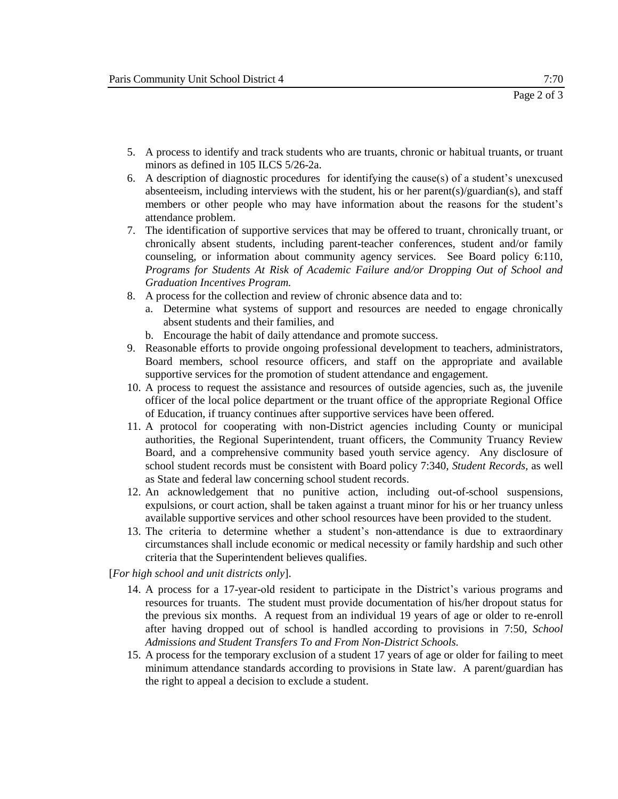- 5. A process to identify and track students who are truants, chronic or habitual truants, or truant minors as defined in 105 ILCS 5/26-2a.
- 6. A description of diagnostic procedures for identifying the cause(s) of a student's unexcused absenteeism, including interviews with the student, his or her parent(s)/guardian(s), and staff members or other people who may have information about the reasons for the student's attendance problem.
- 7. The identification of supportive services that may be offered to truant, chronically truant, or chronically absent students, including parent-teacher conferences, student and/or family counseling, or information about community agency services. See Board policy 6:110, *Programs for Students At Risk of Academic Failure and/or Dropping Out of School and Graduation Incentives Program.*
- 8. A process for the collection and review of chronic absence data and to:
	- a. Determine what systems of support and resources are needed to engage chronically absent students and their families, and
	- b. Encourage the habit of daily attendance and promote success.
- 9. Reasonable efforts to provide ongoing professional development to teachers, administrators, Board members, school resource officers, and staff on the appropriate and available supportive services for the promotion of student attendance and engagement.
- 10. A process to request the assistance and resources of outside agencies, such as, the juvenile officer of the local police department or the truant office of the appropriate Regional Office of Education, if truancy continues after supportive services have been offered.
- 11. A protocol for cooperating with non-District agencies including County or municipal authorities, the Regional Superintendent, truant officers, the Community Truancy Review Board, and a comprehensive community based youth service agency. Any disclosure of school student records must be consistent with Board policy 7:340, *Student Records,* as well as State and federal law concerning school student records.
- 12. An acknowledgement that no punitive action, including out-of-school suspensions, expulsions, or court action, shall be taken against a truant minor for his or her truancy unless available supportive services and other school resources have been provided to the student.
- 13. The criteria to determine whether a student's non-attendance is due to extraordinary circumstances shall include economic or medical necessity or family hardship and such other criteria that the Superintendent believes qualifies.
- [*For high school and unit districts only*].
	- 14. A process for a 17-year-old resident to participate in the District's various programs and resources for truants. The student must provide documentation of his/her dropout status for the previous six months. A request from an individual 19 years of age or older to re-enroll after having dropped out of school is handled according to provisions in 7:50, *School Admissions and Student Transfers To and From Non-District Schools.*
	- 15. A process for the temporary exclusion of a student 17 years of age or older for failing to meet minimum attendance standards according to provisions in State law. A parent/guardian has the right to appeal a decision to exclude a student.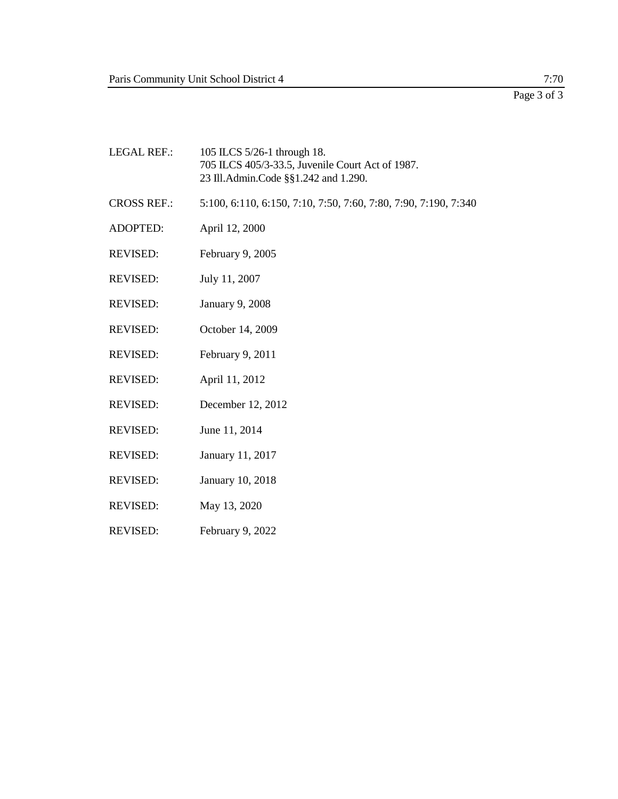| <b>LEGAL REF.:</b> | 105 ILCS 5/26-1 through 18.<br>705 ILCS 405/3-33.5, Juvenile Court Act of 1987.<br>23 Ill.Admin.Code §§1.242 and 1.290. |
|--------------------|-------------------------------------------------------------------------------------------------------------------------|
| <b>CROSS REF.:</b> | 5:100, 6:110, 6:150, 7:10, 7:50, 7:60, 7:80, 7:90, 7:190, 7:340                                                         |
| ADOPTED:           | April 12, 2000                                                                                                          |
| <b>REVISED:</b>    | February 9, 2005                                                                                                        |
| <b>REVISED:</b>    | July 11, 2007                                                                                                           |
| <b>REVISED:</b>    | <b>January 9, 2008</b>                                                                                                  |
| <b>REVISED:</b>    | October 14, 2009                                                                                                        |
| <b>REVISED:</b>    | February 9, 2011                                                                                                        |
| <b>REVISED:</b>    | April 11, 2012                                                                                                          |
| <b>REVISED:</b>    | December 12, 2012                                                                                                       |
| <b>REVISED:</b>    | June 11, 2014                                                                                                           |
| <b>REVISED:</b>    | January 11, 2017                                                                                                        |
| <b>REVISED:</b>    | January 10, 2018                                                                                                        |
| <b>REVISED:</b>    | May 13, 2020                                                                                                            |

REVISED: February 9, 2022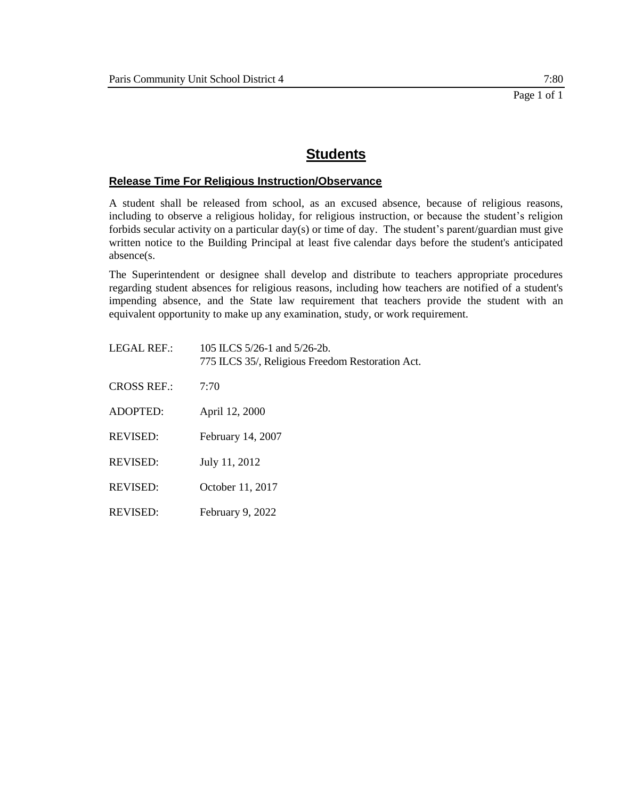## **Release Time For Religious Instruction/Observance**

A student shall be released from school, as an excused absence, because of religious reasons, including to observe a religious holiday, for religious instruction, or because the student's religion forbids secular activity on a particular day(s) or time of day. The student's parent/guardian must give written notice to the Building Principal at least five calendar days before the student's anticipated absence(s.

The Superintendent or designee shall develop and distribute to teachers appropriate procedures regarding student absences for religious reasons, including how teachers are notified of a student's impending absence, and the State law requirement that teachers provide the student with an equivalent opportunity to make up any examination, study, or work requirement.

| LEGAL REF.:        | 105 ILCS $5/26-1$ and $5/26-2b$ .<br>775 ILCS 35/, Religious Freedom Restoration Act. |
|--------------------|---------------------------------------------------------------------------------------|
| <b>CROSS REF.:</b> | 7:70                                                                                  |
| ADOPTED:           | April 12, 2000                                                                        |
| <b>REVISED:</b>    | February 14, 2007                                                                     |
| <b>REVISED:</b>    | July 11, 2012                                                                         |
| <b>REVISED:</b>    | October 11, 2017                                                                      |
| <b>REVISED:</b>    | February 9, 2022                                                                      |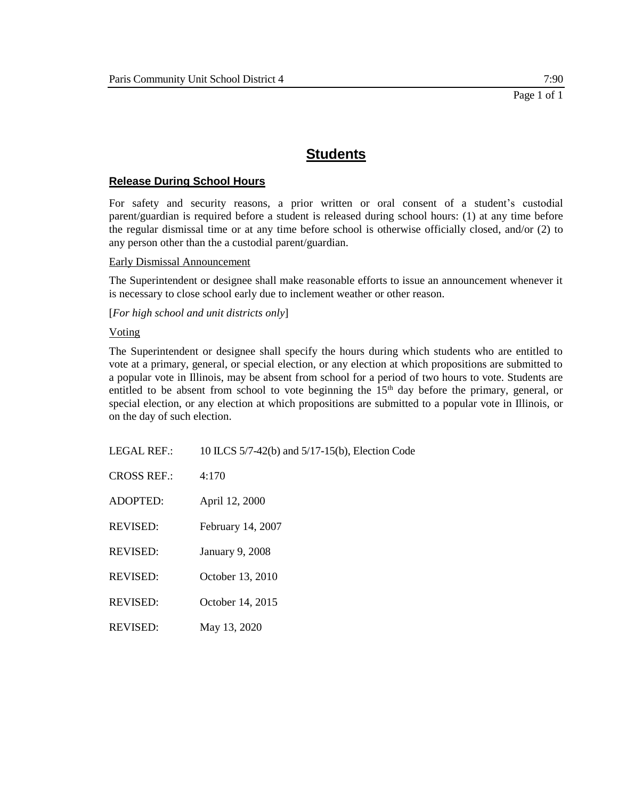## **Release During School Hours**

For safety and security reasons, a prior written or oral consent of a student's custodial parent/guardian is required before a student is released during school hours: (1) at any time before the regular dismissal time or at any time before school is otherwise officially closed, and/or (2) to any person other than the a custodial parent/guardian.

#### Early Dismissal Announcement

The Superintendent or designee shall make reasonable efforts to issue an announcement whenever it is necessary to close school early due to inclement weather or other reason.

[*For high school and unit districts only*]

#### Voting

The Superintendent or designee shall specify the hours during which students who are entitled to vote at a primary, general, or special election, or any election at which propositions are submitted to a popular vote in Illinois, may be absent from school for a period of two hours to vote. Students are entitled to be absent from school to vote beginning the  $15<sup>th</sup>$  day before the primary, general, or special election, or any election at which propositions are submitted to a popular vote in Illinois, or on the day of such election.

| <b>LEGAL REF.:</b> | 10 ILCS 5/7-42(b) and 5/17-15(b), Election Code |
|--------------------|-------------------------------------------------|
| <b>CROSS REF.:</b> | 4:170                                           |
| <b>ADOPTED:</b>    | April 12, 2000                                  |
| <b>REVISED:</b>    | February 14, 2007                               |
| <b>REVISED:</b>    | <b>January 9, 2008</b>                          |
| <b>REVISED:</b>    | October 13, 2010                                |
| <b>REVISED:</b>    | October 14, 2015                                |
| <b>REVISED:</b>    | May 13, 2020                                    |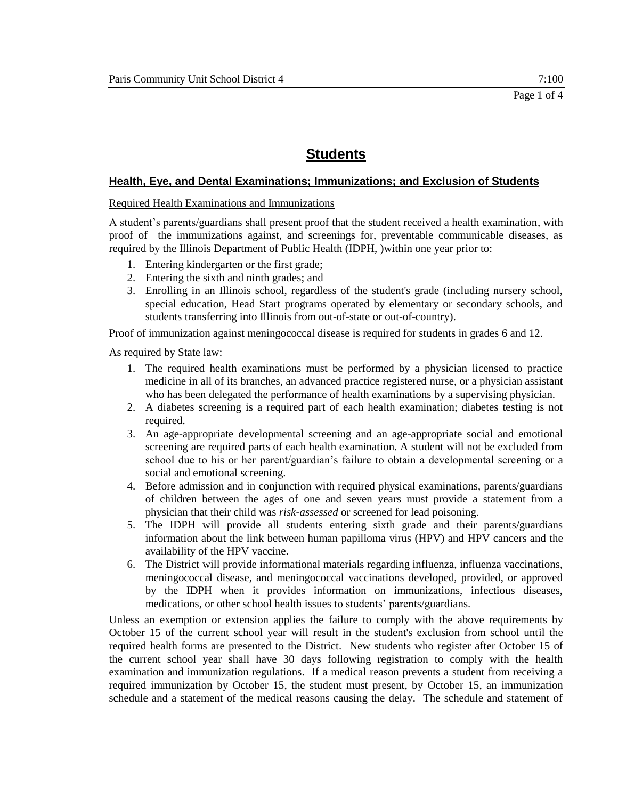### **Health, Eye, and Dental Examinations; Immunizations; and Exclusion of Students**

#### Required Health Examinations and Immunizations

A student's parents/guardians shall present proof that the student received a health examination, with proof of the immunizations against, and screenings for, preventable communicable diseases, as required by the Illinois Department of Public Health (IDPH, )within one year prior to:

- 1. Entering kindergarten or the first grade;
- 2. Entering the sixth and ninth grades; and
- 3. Enrolling in an Illinois school, regardless of the student's grade (including nursery school, special education, Head Start programs operated by elementary or secondary schools, and students transferring into Illinois from out-of-state or out-of-country).

Proof of immunization against meningococcal disease is required for students in grades 6 and 12.

As required by State law:

- 1. The required health examinations must be performed by a physician licensed to practice medicine in all of its branches, an advanced practice registered nurse, or a physician assistant who has been delegated the performance of health examinations by a supervising physician.
- 2. A diabetes screening is a required part of each health examination; diabetes testing is not required.
- 3. An age-appropriate developmental screening and an age-appropriate social and emotional screening are required parts of each health examination. A student will not be excluded from school due to his or her parent/guardian's failure to obtain a developmental screening or a social and emotional screening.
- 4. Before admission and in conjunction with required physical examinations, parents/guardians of children between the ages of one and seven years must provide a statement from a physician that their child was *risk-assessed* or screened for lead poisoning.
- 5. The IDPH will provide all students entering sixth grade and their parents/guardians information about the link between human papilloma virus (HPV) and HPV cancers and the availability of the HPV vaccine.
- 6. The District will provide informational materials regarding influenza, influenza vaccinations, meningococcal disease, and meningococcal vaccinations developed, provided, or approved by the IDPH when it provides information on immunizations, infectious diseases, medications, or other school health issues to students' parents/guardians.

Unless an exemption or extension applies the failure to comply with the above requirements by October 15 of the current school year will result in the student's exclusion from school until the required health forms are presented to the District. New students who register after October 15 of the current school year shall have 30 days following registration to comply with the health examination and immunization regulations. If a medical reason prevents a student from receiving a required immunization by October 15, the student must present, by October 15, an immunization schedule and a statement of the medical reasons causing the delay. The schedule and statement of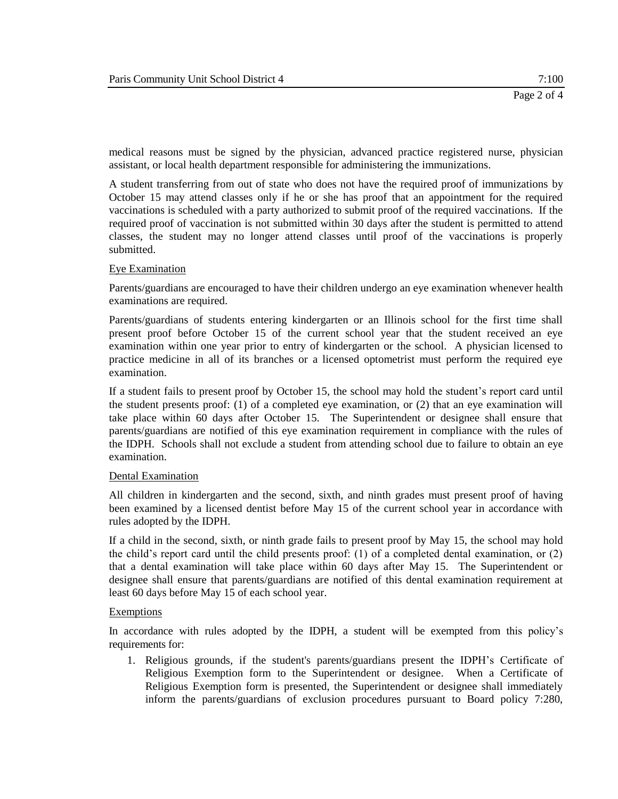medical reasons must be signed by the physician, advanced practice registered nurse, physician assistant, or local health department responsible for administering the immunizations.

A student transferring from out of state who does not have the required proof of immunizations by October 15 may attend classes only if he or she has proof that an appointment for the required vaccinations is scheduled with a party authorized to submit proof of the required vaccinations. If the required proof of vaccination is not submitted within 30 days after the student is permitted to attend classes, the student may no longer attend classes until proof of the vaccinations is properly submitted.

## Eye Examination

Parents/guardians are encouraged to have their children undergo an eye examination whenever health examinations are required.

Parents/guardians of students entering kindergarten or an Illinois school for the first time shall present proof before October 15 of the current school year that the student received an eye examination within one year prior to entry of kindergarten or the school. A physician licensed to practice medicine in all of its branches or a licensed optometrist must perform the required eye examination.

If a student fails to present proof by October 15, the school may hold the student's report card until the student presents proof: (1) of a completed eye examination, or (2) that an eye examination will take place within 60 days after October 15. The Superintendent or designee shall ensure that parents/guardians are notified of this eye examination requirement in compliance with the rules of the IDPH. Schools shall not exclude a student from attending school due to failure to obtain an eye examination.

#### Dental Examination

All children in kindergarten and the second, sixth, and ninth grades must present proof of having been examined by a licensed dentist before May 15 of the current school year in accordance with rules adopted by the IDPH.

If a child in the second, sixth, or ninth grade fails to present proof by May 15, the school may hold the child's report card until the child presents proof: (1) of a completed dental examination, or (2) that a dental examination will take place within 60 days after May 15. The Superintendent or designee shall ensure that parents/guardians are notified of this dental examination requirement at least 60 days before May 15 of each school year.

#### Exemptions

In accordance with rules adopted by the IDPH, a student will be exempted from this policy's requirements for:

1. Religious grounds, if the student's parents/guardians present the IDPH's Certificate of Religious Exemption form to the Superintendent or designee. When a Certificate of Religious Exemption form is presented, the Superintendent or designee shall immediately inform the parents/guardians of exclusion procedures pursuant to Board policy 7:280,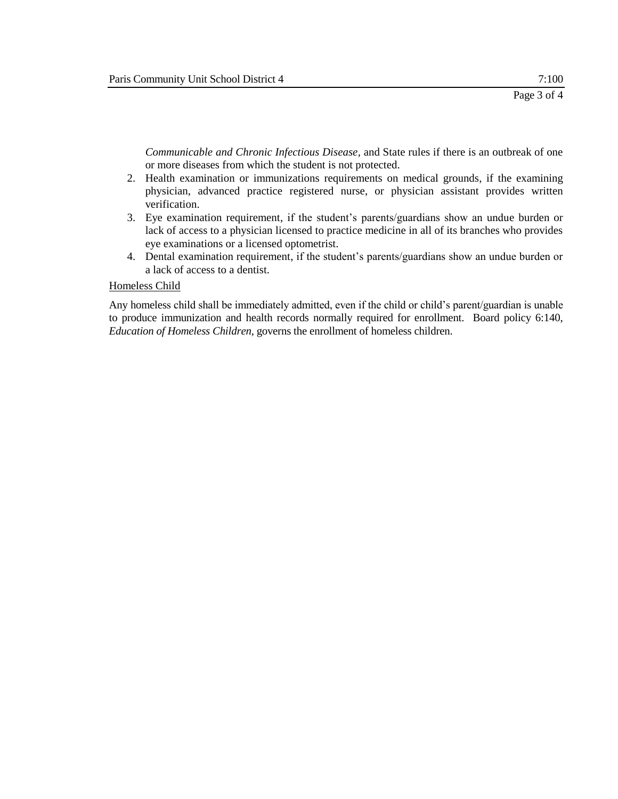*Communicable and Chronic Infectious Disease,* and State rules if there is an outbreak of one or more diseases from which the student is not protected.

- 2. Health examination or immunizations requirements on medical grounds, if the examining physician, advanced practice registered nurse, or physician assistant provides written verification.
- 3. Eye examination requirement, if the student's parents/guardians show an undue burden or lack of access to a physician licensed to practice medicine in all of its branches who provides eye examinations or a licensed optometrist.
- 4. Dental examination requirement, if the student's parents/guardians show an undue burden or a lack of access to a dentist.

#### Homeless Child

Any homeless child shall be immediately admitted, even if the child or child's parent/guardian is unable to produce immunization and health records normally required for enrollment. Board policy 6:140, *Education of Homeless Children,* governs the enrollment of homeless children.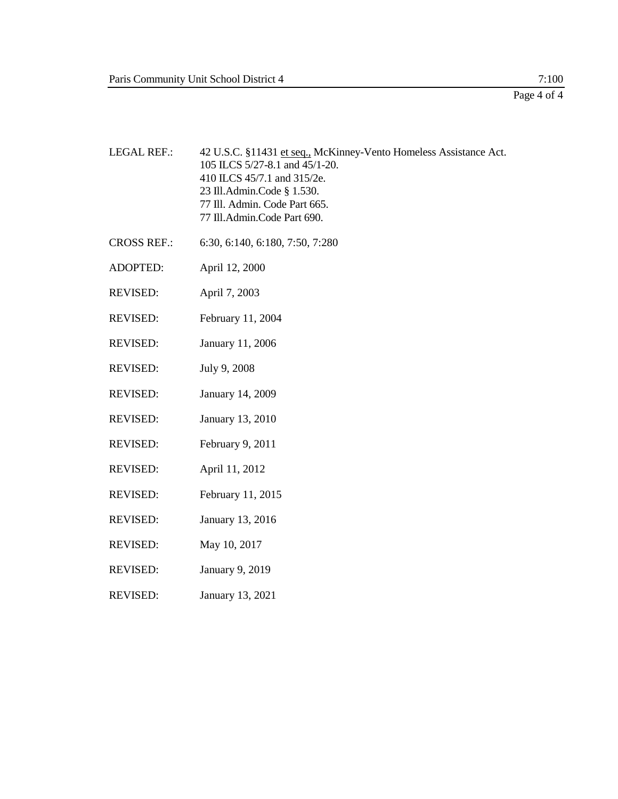Page 4 of 4

- LEGAL REF.: 42 U.S.C. §11431 et seq., McKinney-Vento Homeless Assistance Act. 105 ILCS 5/27-8.1 and 45/1-20. 410 ILCS 45/7.1 and 315/2e. 23 Ill.Admin.Code § 1.530. 77 Ill. Admin. Code Part 665. 77 Ill.Admin.Code Part 690. CROSS REF.: 6:30, 6:140, 6:180, 7:50, 7:280 ADOPTED: April 12, 2000 REVISED: April 7, 2003 REVISED: February 11, 2004 REVISED: January 11, 2006 REVISED: July 9, 2008 REVISED: January 14, 2009 REVISED: January 13, 2010 REVISED: February 9, 2011 REVISED: April 11, 2012 REVISED: February 11, 2015 REVISED: January 13, 2016 REVISED: May 10, 2017 REVISED: January 9, 2019
- REVISED: January 13, 2021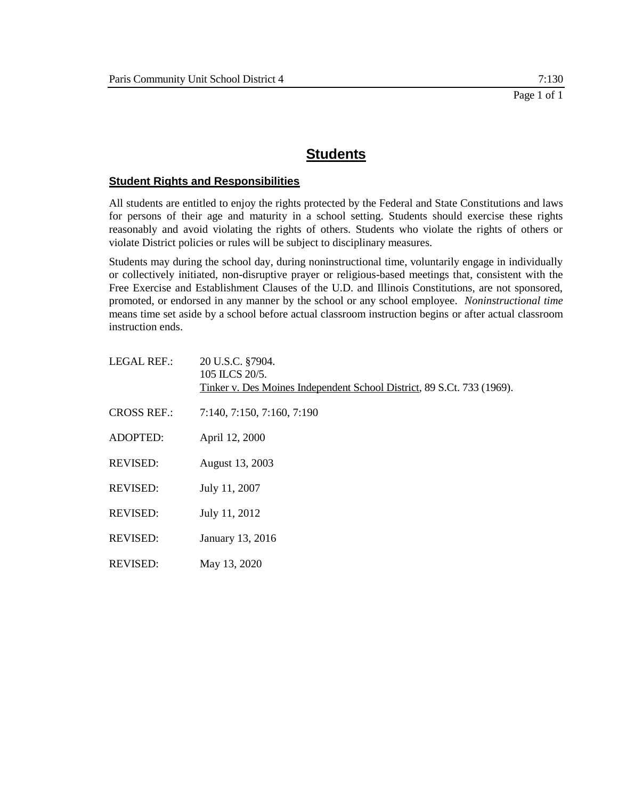### **Student Rights and Responsibilities**

All students are entitled to enjoy the rights protected by the Federal and State Constitutions and laws for persons of their age and maturity in a school setting. Students should exercise these rights reasonably and avoid violating the rights of others. Students who violate the rights of others or violate District policies or rules will be subject to disciplinary measures.

Students may during the school day, during noninstructional time, voluntarily engage in individually or collectively initiated, non-disruptive prayer or religious-based meetings that, consistent with the Free Exercise and Establishment Clauses of the U.D. and Illinois Constitutions, are not sponsored, promoted, or endorsed in any manner by the school or any school employee. *Noninstructional time*  means time set aside by a school before actual classroom instruction begins or after actual classroom instruction ends.

| <b>LEGAL REF.:</b> | 20 U.S.C. §7904.<br>105 ILCS 20/5.<br>Tinker v. Des Moines Independent School District, 89 S.Ct. 733 (1969). |
|--------------------|--------------------------------------------------------------------------------------------------------------|
| <b>CROSS REF.:</b> | 7:140, 7:150, 7:160, 7:190                                                                                   |
| <b>ADOPTED:</b>    | April 12, 2000                                                                                               |
| <b>REVISED:</b>    | August 13, 2003                                                                                              |
| <b>REVISED:</b>    | July 11, 2007                                                                                                |
| <b>REVISED:</b>    | July 11, 2012                                                                                                |
| <b>REVISED:</b>    | January 13, 2016                                                                                             |
| <b>REVISED:</b>    | May 13, 2020                                                                                                 |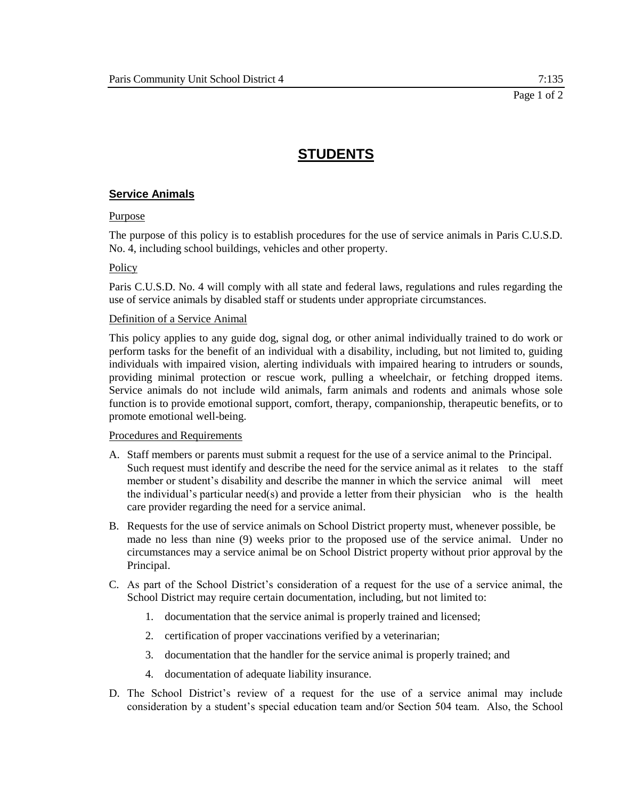# **STUDENTS**

## **Service Animals**

#### Purpose

The purpose of this policy is to establish procedures for the use of service animals in Paris C.U.S.D. No. 4, including school buildings, vehicles and other property.

#### Policy

Paris C.U.S.D. No. 4 will comply with all state and federal laws, regulations and rules regarding the use of service animals by disabled staff or students under appropriate circumstances.

#### Definition of a Service Animal

This policy applies to any guide dog, signal dog, or other animal individually trained to do work or perform tasks for the benefit of an individual with a disability, including, but not limited to, guiding individuals with impaired vision, alerting individuals with impaired hearing to intruders or sounds, providing minimal protection or rescue work, pulling a wheelchair, or fetching dropped items. Service animals do not include wild animals, farm animals and rodents and animals whose sole function is to provide emotional support, comfort, therapy, companionship, therapeutic benefits, or to promote emotional well-being.

#### Procedures and Requirements

- A. Staff members or parents must submit a request for the use of a service animal to the Principal. Such request must identify and describe the need for the service animal as it relates to the staff member or student's disability and describe the manner in which the service animal will meet the individual's particular need(s) and provide a letter from their physician who is the health care provider regarding the need for a service animal.
- B. Requests for the use of service animals on School District property must, whenever possible, be made no less than nine (9) weeks prior to the proposed use of the service animal. Under no circumstances may a service animal be on School District property without prior approval by the Principal.
- C. As part of the School District's consideration of a request for the use of a service animal, the School District may require certain documentation, including, but not limited to:
	- 1. documentation that the service animal is properly trained and licensed;
	- 2. certification of proper vaccinations verified by a veterinarian;
	- 3. documentation that the handler for the service animal is properly trained; and
	- 4. documentation of adequate liability insurance.
- D. The School District's review of a request for the use of a service animal may include consideration by a student's special education team and/or Section 504 team. Also, the School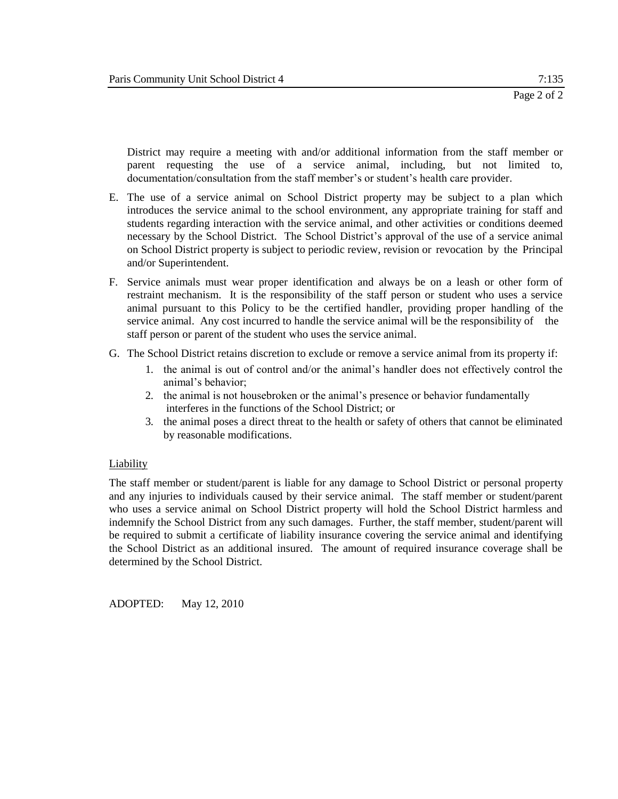District may require a meeting with and/or additional information from the staff member or parent requesting the use of a service animal, including, but not limited to, documentation/consultation from the staff member's or student's health care provider.

- E. The use of a service animal on School District property may be subject to a plan which introduces the service animal to the school environment, any appropriate training for staff and students regarding interaction with the service animal, and other activities or conditions deemed necessary by the School District. The School District's approval of the use of a service animal on School District property is subject to periodic review, revision or revocation by the Principal and/or Superintendent.
- F. Service animals must wear proper identification and always be on a leash or other form of restraint mechanism. It is the responsibility of the staff person or student who uses a service animal pursuant to this Policy to be the certified handler, providing proper handling of the service animal. Any cost incurred to handle the service animal will be the responsibility of the staff person or parent of the student who uses the service animal.
- G. The School District retains discretion to exclude or remove a service animal from its property if:
	- 1. the animal is out of control and/or the animal's handler does not effectively control the animal's behavior;
	- 2. the animal is not housebroken or the animal's presence or behavior fundamentally interferes in the functions of the School District; or
	- 3. the animal poses a direct threat to the health or safety of others that cannot be eliminated by reasonable modifications.

#### Liability

The staff member or student/parent is liable for any damage to School District or personal property and any injuries to individuals caused by their service animal. The staff member or student/parent who uses a service animal on School District property will hold the School District harmless and indemnify the School District from any such damages. Further, the staff member, student/parent will be required to submit a certificate of liability insurance covering the service animal and identifying the School District as an additional insured. The amount of required insurance coverage shall be determined by the School District.

ADOPTED: May 12, 2010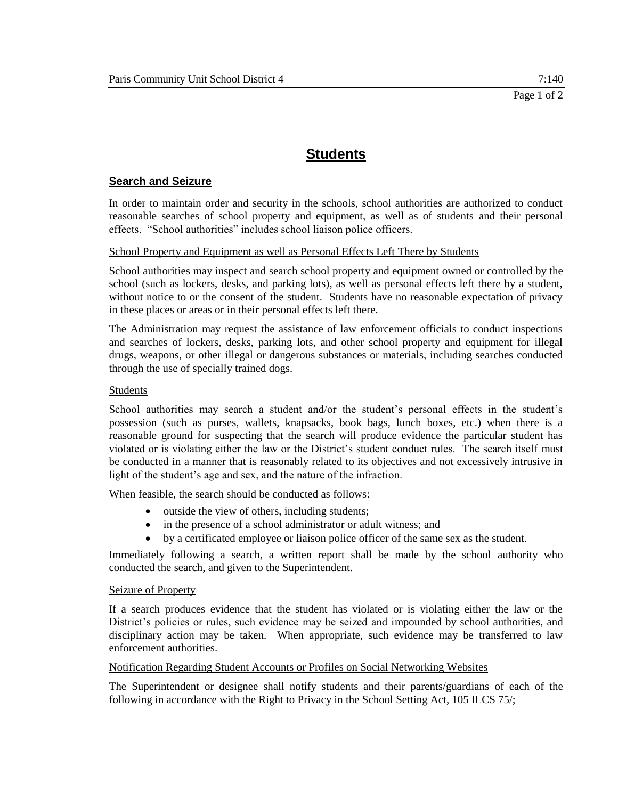## **Search and Seizure**

In order to maintain order and security in the schools, school authorities are authorized to conduct reasonable searches of school property and equipment, as well as of students and their personal effects. "School authorities" includes school liaison police officers.

## School Property and Equipment as well as Personal Effects Left There by Students

School authorities may inspect and search school property and equipment owned or controlled by the school (such as lockers, desks, and parking lots), as well as personal effects left there by a student, without notice to or the consent of the student. Students have no reasonable expectation of privacy in these places or areas or in their personal effects left there.

The Administration may request the assistance of law enforcement officials to conduct inspections and searches of lockers, desks, parking lots, and other school property and equipment for illegal drugs, weapons, or other illegal or dangerous substances or materials, including searches conducted through the use of specially trained dogs.

## Students

School authorities may search a student and/or the student's personal effects in the student's possession (such as purses, wallets, knapsacks, book bags, lunch boxes, etc.) when there is a reasonable ground for suspecting that the search will produce evidence the particular student has violated or is violating either the law or the District's student conduct rules. The search itself must be conducted in a manner that is reasonably related to its objectives and not excessively intrusive in light of the student's age and sex, and the nature of the infraction.

When feasible, the search should be conducted as follows:

- outside the view of others, including students;
- in the presence of a school administrator or adult witness; and
- by a certificated employee or liaison police officer of the same sex as the student.

Immediately following a search, a written report shall be made by the school authority who conducted the search, and given to the Superintendent.

#### Seizure of Property

If a search produces evidence that the student has violated or is violating either the law or the District's policies or rules, such evidence may be seized and impounded by school authorities, and disciplinary action may be taken. When appropriate, such evidence may be transferred to law enforcement authorities.

#### Notification Regarding Student Accounts or Profiles on Social Networking Websites

The Superintendent or designee shall notify students and their parents/guardians of each of the following in accordance with the Right to Privacy in the School Setting Act, 105 ILCS 75/;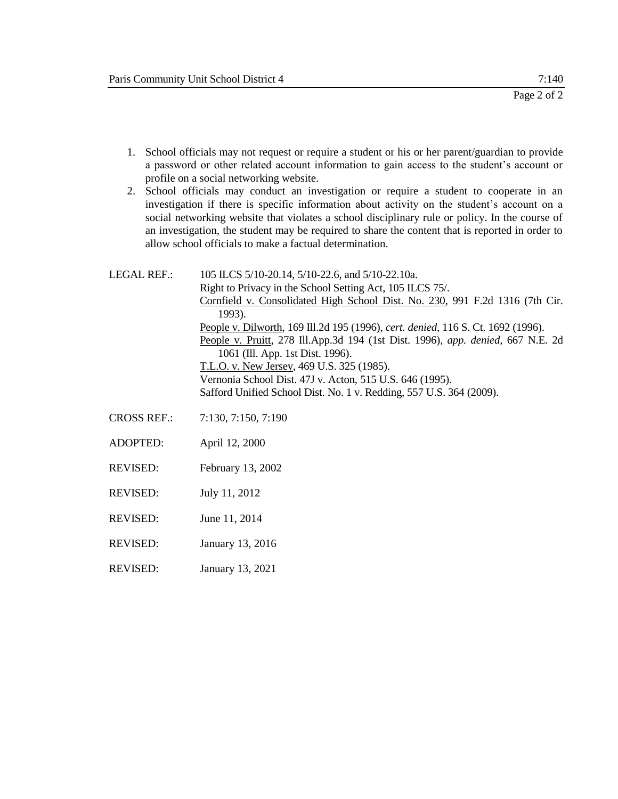- 1. School officials may not request or require a student or his or her parent/guardian to provide a password or other related account information to gain access to the student's account or profile on a social networking website.
- 2. School officials may conduct an investigation or require a student to cooperate in an investigation if there is specific information about activity on the student's account on a social networking website that violates a school disciplinary rule or policy. In the course of an investigation, the student may be required to share the content that is reported in order to allow school officials to make a factual determination.

| LEGAL REF.:        | 105 ILCS 5/10-20.14, 5/10-22.6, and 5/10-22.10a.<br>Right to Privacy in the School Setting Act, 105 ILCS 75/.<br>Cornfield v. Consolidated High School Dist. No. 230, 991 F.2d 1316 (7th Cir.<br>1993).<br>People v. Dilworth, 169 Ill.2d 195 (1996), cert. denied, 116 S. Ct. 1692 (1996).<br>People v. Pruitt, 278 Ill.App.3d 194 (1st Dist. 1996), app. denied, 667 N.E. 2d<br>1061 (Ill. App. 1st Dist. 1996).<br>T.L.O. v. New Jersey, 469 U.S. 325 (1985). |
|--------------------|------------------------------------------------------------------------------------------------------------------------------------------------------------------------------------------------------------------------------------------------------------------------------------------------------------------------------------------------------------------------------------------------------------------------------------------------------------------|
|                    | Vernonia School Dist. 47J v. Acton, 515 U.S. 646 (1995).<br>Safford Unified School Dist. No. 1 v. Redding, 557 U.S. 364 (2009).                                                                                                                                                                                                                                                                                                                                  |
| <b>CROSS REF.:</b> | 7:130, 7:150, 7:190                                                                                                                                                                                                                                                                                                                                                                                                                                              |
| <b>ADOPTED:</b>    | April 12, 2000                                                                                                                                                                                                                                                                                                                                                                                                                                                   |
| REVISED:           | February 13, 2002                                                                                                                                                                                                                                                                                                                                                                                                                                                |
| REVISED:           | July 11, 2012                                                                                                                                                                                                                                                                                                                                                                                                                                                    |
| REVISED:           | June 11, 2014                                                                                                                                                                                                                                                                                                                                                                                                                                                    |

- REVISED: January 13, 2016
- REVISED: January 13, 2021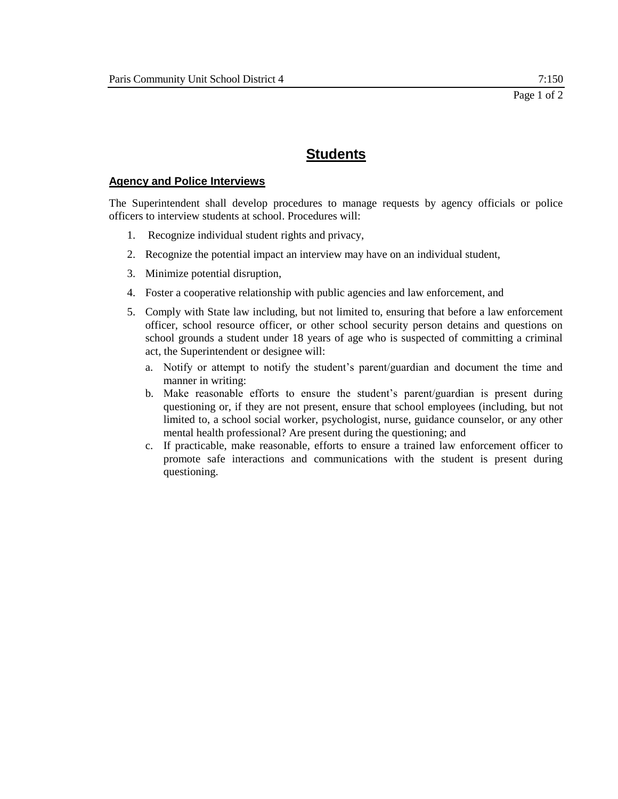### **Agency and Police Interviews**

The Superintendent shall develop procedures to manage requests by agency officials or police officers to interview students at school. Procedures will:

- 1. Recognize individual student rights and privacy,
- 2. Recognize the potential impact an interview may have on an individual student,
- 3. Minimize potential disruption,
- 4. Foster a cooperative relationship with public agencies and law enforcement, and
- 5. Comply with State law including, but not limited to, ensuring that before a law enforcement officer, school resource officer, or other school security person detains and questions on school grounds a student under 18 years of age who is suspected of committing a criminal act, the Superintendent or designee will:
	- a. Notify or attempt to notify the student's parent/guardian and document the time and manner in writing:
	- b. Make reasonable efforts to ensure the student's parent/guardian is present during questioning or, if they are not present, ensure that school employees (including, but not limited to, a school social worker, psychologist, nurse, guidance counselor, or any other mental health professional? Are present during the questioning; and
	- c. If practicable, make reasonable, efforts to ensure a trained law enforcement officer to promote safe interactions and communications with the student is present during questioning.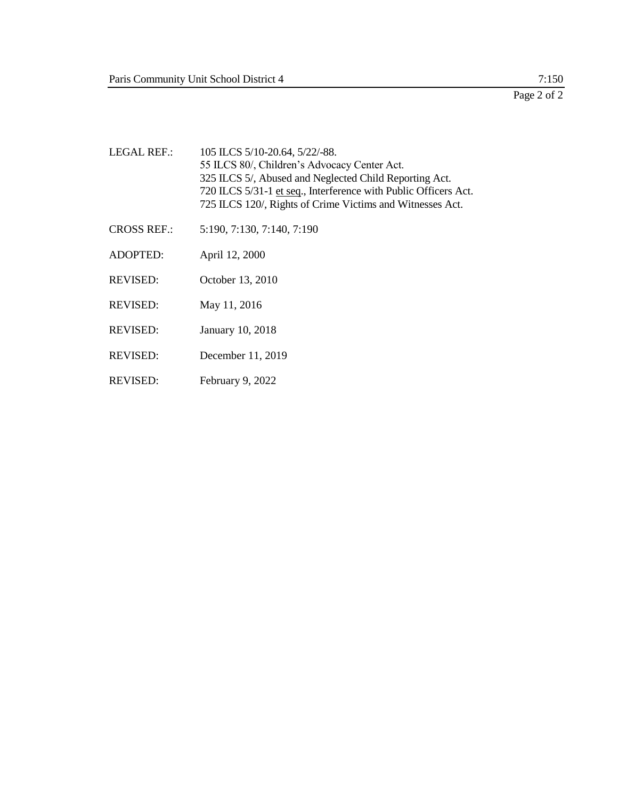| <b>LEGAL REF.:</b> | 105 ILCS 5/10-20.64, 5/22/-88.<br>55 ILCS 80/, Children's Advocacy Center Act.<br>325 ILCS 5/, Abused and Neglected Child Reporting Act.<br>720 ILCS 5/31-1 et seq., Interference with Public Officers Act.<br>725 ILCS 120/, Rights of Crime Victims and Witnesses Act. |
|--------------------|--------------------------------------------------------------------------------------------------------------------------------------------------------------------------------------------------------------------------------------------------------------------------|
| <b>CROSS REF.:</b> | 5:190, 7:130, 7:140, 7:190                                                                                                                                                                                                                                               |
| <b>ADOPTED:</b>    | April 12, 2000                                                                                                                                                                                                                                                           |
| <b>REVISED:</b>    | October 13, 2010                                                                                                                                                                                                                                                         |
| <b>REVISED:</b>    | May 11, 2016                                                                                                                                                                                                                                                             |
| <b>REVISED:</b>    | January 10, 2018                                                                                                                                                                                                                                                         |
| <b>REVISED:</b>    | December 11, 2019                                                                                                                                                                                                                                                        |
| <b>REVISED:</b>    | February 9, 2022                                                                                                                                                                                                                                                         |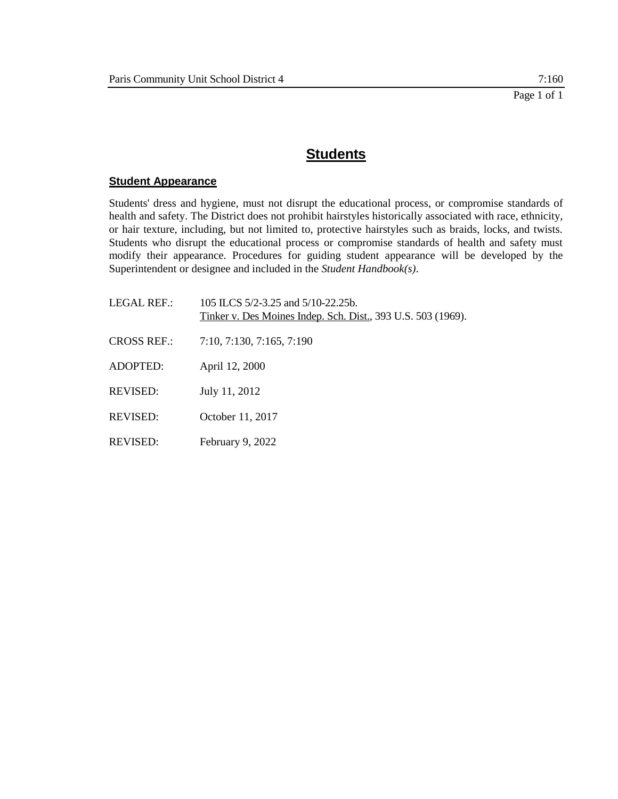### **Student Appearance**

Students' dress and hygiene, must not disrupt the educational process, or compromise standards of health and safety. The District does not prohibit hairstyles historically associated with race, ethnicity, or hair texture, including, but not limited to, protective hairstyles such as braids, locks, and twists. Students who disrupt the educational process or compromise standards of health and safety must modify their appearance. Procedures for guiding student appearance will be developed by the Superintendent or designee and included in the *Student Handbook(s)*.

| LEGAL REF.:        | 105 ILCS 5/2-3.25 and 5/10-22.25b.<br>Tinker v. Des Moines Indep. Sch. Dist., 393 U.S. 503 (1969). |
|--------------------|----------------------------------------------------------------------------------------------------|
| <b>CROSS REF.:</b> | 7:10, 7:130, 7:165, 7:190                                                                          |
| ADOPTED:           | April 12, 2000                                                                                     |
| REVISED:           | July 11, 2012                                                                                      |
| REVISED:           | October 11, 2017                                                                                   |
| REVISED:           | February 9, 2022                                                                                   |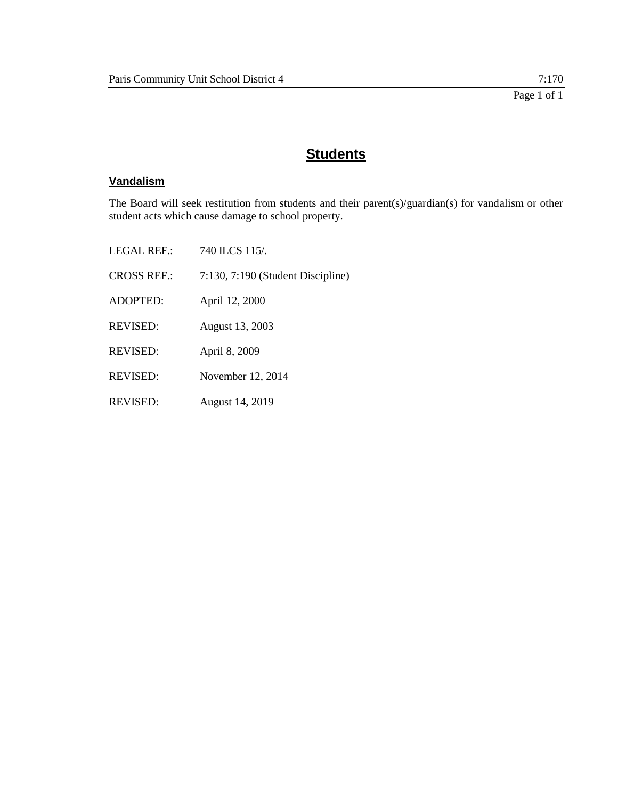## **Vandalism**

The Board will seek restitution from students and their parent(s)/guardian(s) for vandalism or other student acts which cause damage to school property.

| LEGAL REF.:        | 740 ILCS 115/                     |
|--------------------|-----------------------------------|
| <b>CROSS REF.:</b> | 7:130, 7:190 (Student Discipline) |
| ADOPTED:           | April 12, 2000                    |
| <b>REVISED:</b>    | August 13, 2003                   |
| <b>REVISED:</b>    | April 8, 2009                     |
| REVISED:           | November 12, 2014                 |
| <b>REVISED:</b>    | August 14, 2019                   |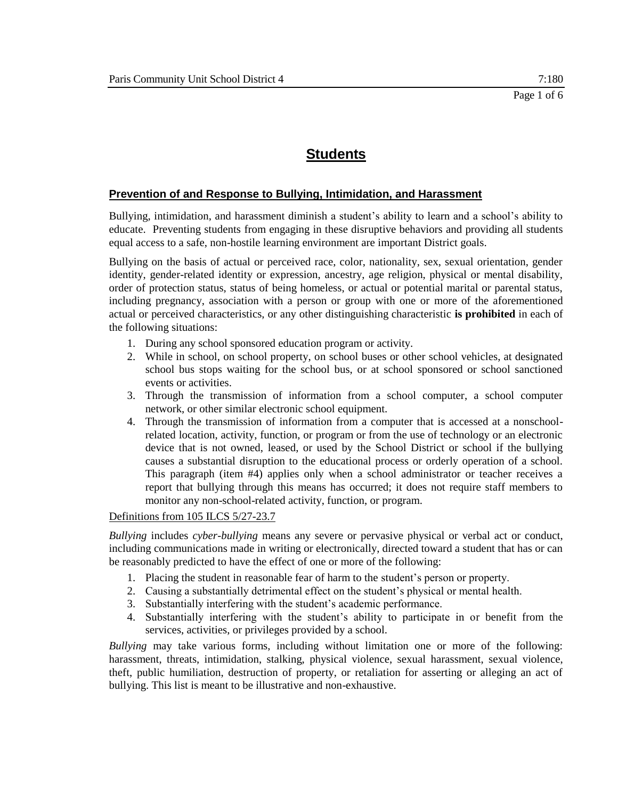### **Prevention of and Response to Bullying, Intimidation, and Harassment**

Bullying, intimidation, and harassment diminish a student's ability to learn and a school's ability to educate. Preventing students from engaging in these disruptive behaviors and providing all students equal access to a safe, non-hostile learning environment are important District goals.

Bullying on the basis of actual or perceived race, color, nationality, sex, sexual orientation, gender identity, gender-related identity or expression, ancestry, age religion, physical or mental disability, order of protection status, status of being homeless, or actual or potential marital or parental status, including pregnancy, association with a person or group with one or more of the aforementioned actual or perceived characteristics, or any other distinguishing characteristic **is prohibited** in each of the following situations:

- 1. During any school sponsored education program or activity.
- 2. While in school, on school property, on school buses or other school vehicles, at designated school bus stops waiting for the school bus, or at school sponsored or school sanctioned events or activities.
- 3. Through the transmission of information from a school computer, a school computer network, or other similar electronic school equipment.
- 4. Through the transmission of information from a computer that is accessed at a nonschoolrelated location, activity, function, or program or from the use of technology or an electronic device that is not owned, leased, or used by the School District or school if the bullying causes a substantial disruption to the educational process or orderly operation of a school. This paragraph (item #4) applies only when a school administrator or teacher receives a report that bullying through this means has occurred; it does not require staff members to monitor any non-school-related activity, function, or program.

### Definitions from 105 ILCS 5/27-23.7

*Bullying* includes *cyber-bullying* means any severe or pervasive physical or verbal act or conduct, including communications made in writing or electronically, directed toward a student that has or can be reasonably predicted to have the effect of one or more of the following:

- 1. Placing the student in reasonable fear of harm to the student's person or property.
- 2. Causing a substantially detrimental effect on the student's physical or mental health.
- 3. Substantially interfering with the student's academic performance.
- 4. Substantially interfering with the student's ability to participate in or benefit from the services, activities, or privileges provided by a school.

*Bullying* may take various forms, including without limitation one or more of the following: harassment, threats, intimidation, stalking, physical violence, sexual harassment, sexual violence, theft, public humiliation, destruction of property, or retaliation for asserting or alleging an act of bullying. This list is meant to be illustrative and non-exhaustive.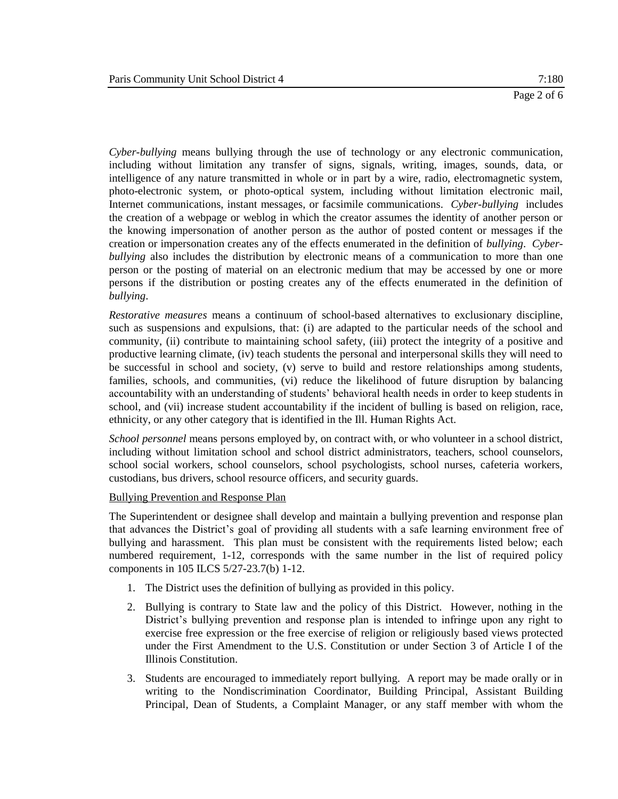*Cyber-bullying* means bullying through the use of technology or any electronic communication, including without limitation any transfer of signs, signals, writing, images, sounds, data, or intelligence of any nature transmitted in whole or in part by a wire, radio, electromagnetic system, photo-electronic system, or photo-optical system, including without limitation electronic mail, Internet communications, instant messages, or facsimile communications. *Cyber-bullying* includes the creation of a webpage or weblog in which the creator assumes the identity of another person or the knowing impersonation of another person as the author of posted content or messages if the creation or impersonation creates any of the effects enumerated in the definition of *bullying*. *Cyberbullying* also includes the distribution by electronic means of a communication to more than one person or the posting of material on an electronic medium that may be accessed by one or more persons if the distribution or posting creates any of the effects enumerated in the definition of *bullying*.

*Restorative measures* means a continuum of school-based alternatives to exclusionary discipline, such as suspensions and expulsions, that: (i) are adapted to the particular needs of the school and community, (ii) contribute to maintaining school safety, (iii) protect the integrity of a positive and productive learning climate, (iv) teach students the personal and interpersonal skills they will need to be successful in school and society, (v) serve to build and restore relationships among students, families, schools, and communities, (vi) reduce the likelihood of future disruption by balancing accountability with an understanding of students' behavioral health needs in order to keep students in school, and (vii) increase student accountability if the incident of bulling is based on religion, race, ethnicity, or any other category that is identified in the Ill. Human Rights Act.

*School personnel* means persons employed by, on contract with, or who volunteer in a school district, including without limitation school and school district administrators, teachers, school counselors, school social workers, school counselors, school psychologists, school nurses, cafeteria workers, custodians, bus drivers, school resource officers, and security guards.

### Bullying Prevention and Response Plan

The Superintendent or designee shall develop and maintain a bullying prevention and response plan that advances the District's goal of providing all students with a safe learning environment free of bullying and harassment. This plan must be consistent with the requirements listed below; each numbered requirement, 1-12, corresponds with the same number in the list of required policy components in 105 ILCS 5/27-23.7(b) 1-12.

- 1. The District uses the definition of bullying as provided in this policy.
- 2. Bullying is contrary to State law and the policy of this District. However, nothing in the District's bullying prevention and response plan is intended to infringe upon any right to exercise free expression or the free exercise of religion or religiously based views protected under the First Amendment to the U.S. Constitution or under Section 3 of Article I of the Illinois Constitution.
- 3. Students are encouraged to immediately report bullying. A report may be made orally or in writing to the Nondiscrimination Coordinator, Building Principal, Assistant Building Principal, Dean of Students, a Complaint Manager, or any staff member with whom the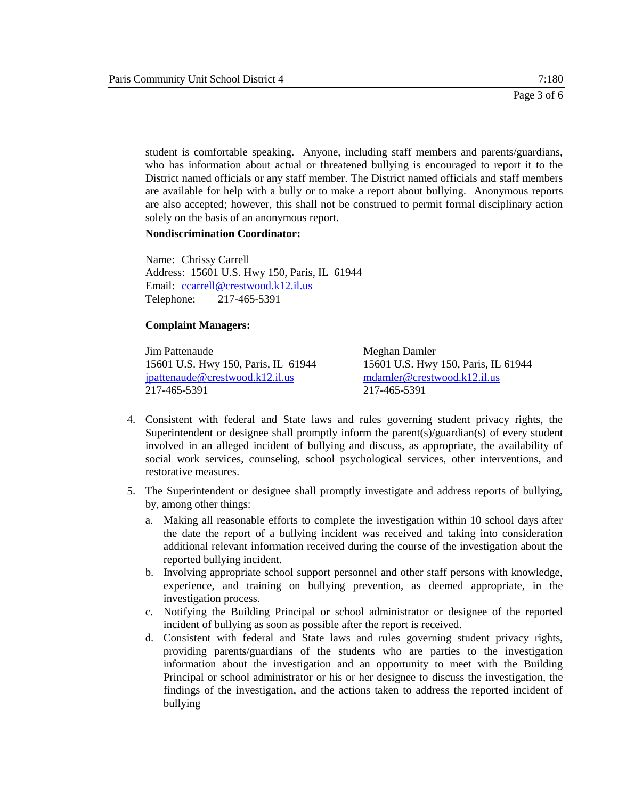student is comfortable speaking. Anyone, including staff members and parents/guardians, who has information about actual or threatened bullying is encouraged to report it to the District named officials or any staff member. The District named officials and staff members are available for help with a bully or to make a report about bullying. Anonymous reports are also accepted; however, this shall not be construed to permit formal disciplinary action solely on the basis of an anonymous report.

#### **Nondiscrimination Coordinator:**

Name: Chrissy Carrell Address: 15601 U.S. Hwy 150, Paris, IL 61944 Email: [ccarrell@crestwood.k12.il.us](mailto:ccarrell@crestwood.k12.il.us) Telephone: 217-465-5391

#### **Complaint Managers:**

**Jim Pattenaude** Meghan Damler 15601 U.S. Hwy 150, Paris, IL 61944 15601 U.S. Hwy 150, Paris, IL 61944 [jpattenaude@crestwood.k12.il.us](mailto:jpattenaude@crestwood.k12.il.us) mdamler@crestwood.k12.il.us 217-465-5391 217-465-5391

- 4. Consistent with federal and State laws and rules governing student privacy rights, the Superintendent or designee shall promptly inform the parent(s)/guardian(s) of every student involved in an alleged incident of bullying and discuss, as appropriate, the availability of social work services, counseling, school psychological services, other interventions, and restorative measures.
- 5. The Superintendent or designee shall promptly investigate and address reports of bullying, by, among other things:
	- a. Making all reasonable efforts to complete the investigation within 10 school days after the date the report of a bullying incident was received and taking into consideration additional relevant information received during the course of the investigation about the reported bullying incident.
	- b. Involving appropriate school support personnel and other staff persons with knowledge, experience, and training on bullying prevention, as deemed appropriate, in the investigation process.
	- c. Notifying the Building Principal or school administrator or designee of the reported incident of bullying as soon as possible after the report is received.
	- d. Consistent with federal and State laws and rules governing student privacy rights, providing parents/guardians of the students who are parties to the investigation information about the investigation and an opportunity to meet with the Building Principal or school administrator or his or her designee to discuss the investigation, the findings of the investigation, and the actions taken to address the reported incident of bullying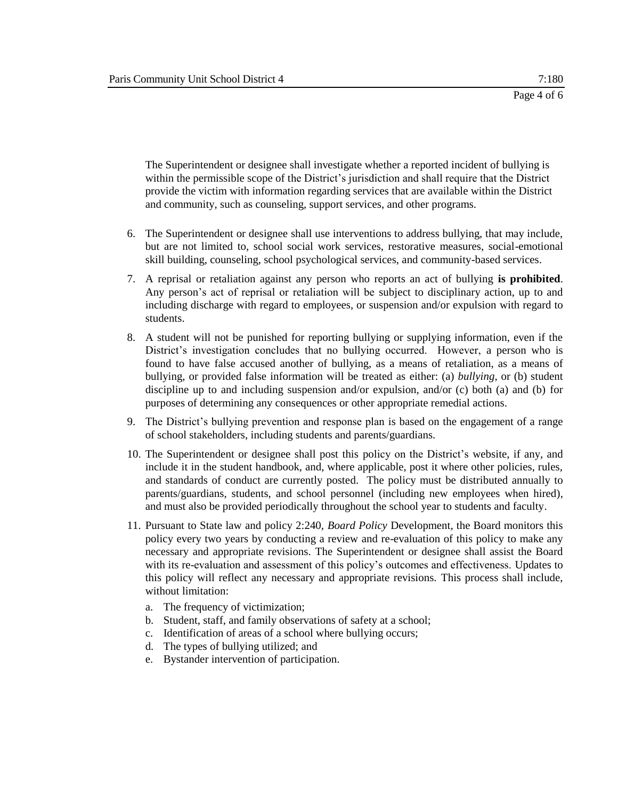The Superintendent or designee shall investigate whether a reported incident of bullying is within the permissible scope of the District's jurisdiction and shall require that the District provide the victim with information regarding services that are available within the District and community, such as counseling, support services, and other programs.

- 6. The Superintendent or designee shall use interventions to address bullying, that may include, but are not limited to, school social work services, restorative measures, social-emotional skill building, counseling, school psychological services, and community-based services.
- 7. A reprisal or retaliation against any person who reports an act of bullying **is prohibited**. Any person's act of reprisal or retaliation will be subject to disciplinary action, up to and including discharge with regard to employees, or suspension and/or expulsion with regard to students.
- 8. A student will not be punished for reporting bullying or supplying information, even if the District's investigation concludes that no bullying occurred. However, a person who is found to have false accused another of bullying, as a means of retaliation, as a means of bullying, or provided false information will be treated as either: (a) *bullying*, or (b) student discipline up to and including suspension and/or expulsion, and/or (c) both (a) and (b) for purposes of determining any consequences or other appropriate remedial actions.
- 9. The District's bullying prevention and response plan is based on the engagement of a range of school stakeholders, including students and parents/guardians.
- 10. The Superintendent or designee shall post this policy on the District's website, if any, and include it in the student handbook, and, where applicable, post it where other policies, rules, and standards of conduct are currently posted. The policy must be distributed annually to parents/guardians, students, and school personnel (including new employees when hired), and must also be provided periodically throughout the school year to students and faculty.
- 11. Pursuant to State law and policy 2:240, *Board Policy* Development, the Board monitors this policy every two years by conducting a review and re-evaluation of this policy to make any necessary and appropriate revisions. The Superintendent or designee shall assist the Board with its re-evaluation and assessment of this policy's outcomes and effectiveness. Updates to this policy will reflect any necessary and appropriate revisions. This process shall include, without limitation:
	- a. The frequency of victimization;
	- b. Student, staff, and family observations of safety at a school;
	- c. Identification of areas of a school where bullying occurs;
	- d. The types of bullying utilized; and
	- e. Bystander intervention of participation.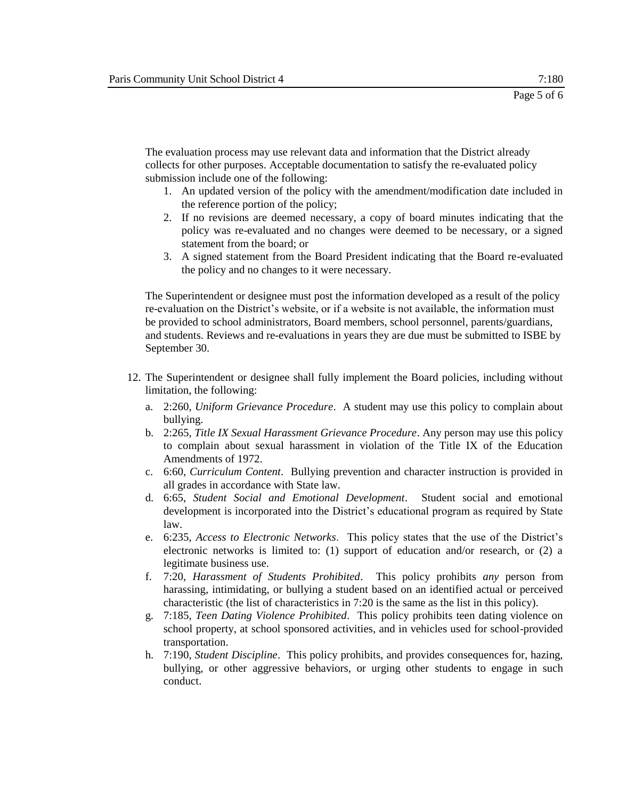The evaluation process may use relevant data and information that the District already collects for other purposes. Acceptable documentation to satisfy the re-evaluated policy submission include one of the following:

- 1. An updated version of the policy with the amendment/modification date included in the reference portion of the policy;
- 2. If no revisions are deemed necessary, a copy of board minutes indicating that the policy was re-evaluated and no changes were deemed to be necessary, or a signed statement from the board; or
- 3. A signed statement from the Board President indicating that the Board re-evaluated the policy and no changes to it were necessary.

The Superintendent or designee must post the information developed as a result of the policy re-evaluation on the District's website, or if a website is not available, the information must be provided to school administrators, Board members, school personnel, parents/guardians, and students. Reviews and re-evaluations in years they are due must be submitted to ISBE by September 30.

- 12. The Superintendent or designee shall fully implement the Board policies, including without limitation, the following:
	- a. 2:260, *Uniform Grievance Procedure*. A student may use this policy to complain about bullying.
	- b. 2:265, *Title IX Sexual Harassment Grievance Procedure*. Any person may use this policy to complain about sexual harassment in violation of the Title IX of the Education Amendments of 1972.
	- c. 6:60, *Curriculum Content*. Bullying prevention and character instruction is provided in all grades in accordance with State law.
	- d. 6:65, *Student Social and Emotional Development*. Student social and emotional development is incorporated into the District's educational program as required by State law.
	- e. 6:235, *Access to Electronic Networks*. This policy states that the use of the District's electronic networks is limited to: (1) support of education and/or research, or (2) a legitimate business use.
	- f. 7:20, *Harassment of Students Prohibited*. This policy prohibits *any* person from harassing, intimidating, or bullying a student based on an identified actual or perceived characteristic (the list of characteristics in 7:20 is the same as the list in this policy).
	- g. 7:185, *Teen Dating Violence Prohibited*. This policy prohibits teen dating violence on school property, at school sponsored activities, and in vehicles used for school-provided transportation.
	- h. 7:190, *Student Discipline*. This policy prohibits, and provides consequences for, hazing, bullying, or other aggressive behaviors, or urging other students to engage in such conduct.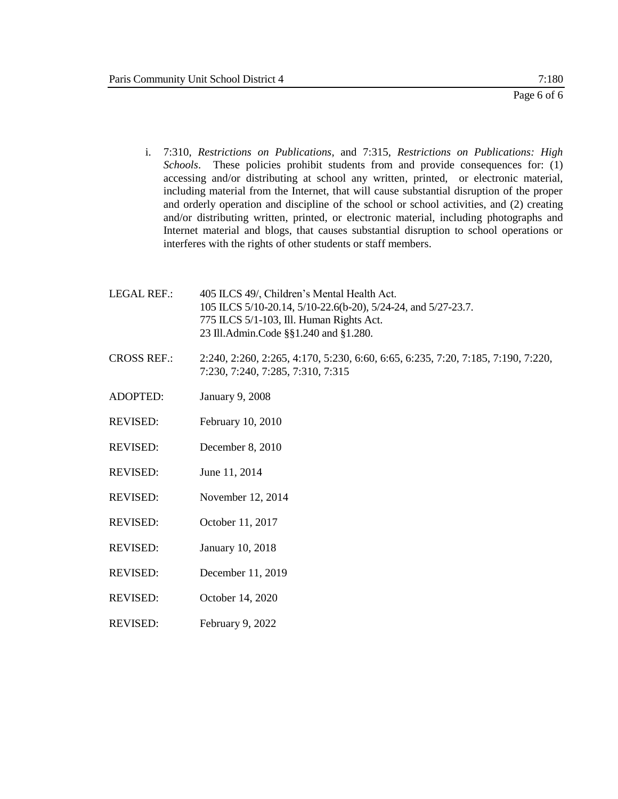- i. 7:310, *Restrictions on Publications*, and 7:315, *Restrictions on Publications: High Schools*. These policies prohibit students from and provide consequences for: (1) accessing and/or distributing at school any written, printed, or electronic material, including material from the Internet, that will cause substantial disruption of the proper and orderly operation and discipline of the school or school activities, and (2) creating and/or distributing written, printed, or electronic material, including photographs and Internet material and blogs, that causes substantial disruption to school operations or interferes with the rights of other students or staff members.
- LEGAL REF.: 405 ILCS 49/, Children's Mental Health Act. 105 ILCS 5/10-20.14, 5/10-22.6(b-20), 5/24-24, and 5/27-23.7. 775 ILCS 5/1-103, Ill. Human Rights Act. 23 Ill.Admin.Code §§1.240 and §1.280.
- CROSS REF.: 2:240, 2:260, 2:265, 4:170, 5:230, 6:60, 6:65, 6:235, 7:20, 7:185, 7:190, 7:220, 7:230, 7:240, 7:285, 7:310, 7:315
- ADOPTED: January 9, 2008
- REVISED: February 10, 2010
- REVISED: December 8, 2010
- REVISED: June 11, 2014
- REVISED: November 12, 2014
- REVISED: October 11, 2017
- REVISED: January 10, 2018
- REVISED: December 11, 2019
- REVISED: October 14, 2020
- REVISED: February 9, 2022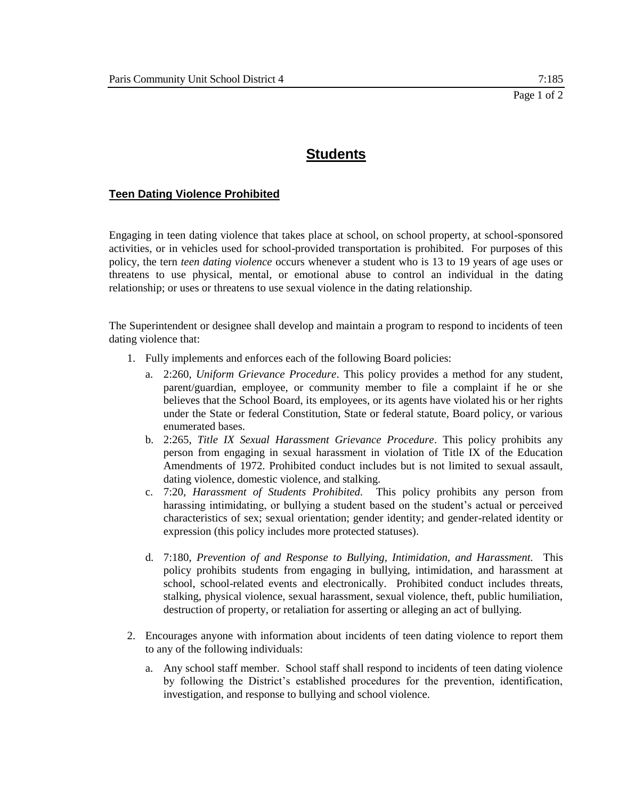### **Teen Dating Violence Prohibited**

Engaging in teen dating violence that takes place at school, on school property, at school-sponsored activities, or in vehicles used for school-provided transportation is prohibited. For purposes of this policy, the tern *teen dating violence* occurs whenever a student who is 13 to 19 years of age uses or threatens to use physical, mental, or emotional abuse to control an individual in the dating relationship; or uses or threatens to use sexual violence in the dating relationship.

The Superintendent or designee shall develop and maintain a program to respond to incidents of teen dating violence that:

- 1. Fully implements and enforces each of the following Board policies:
	- a. 2:260, *Uniform Grievance Procedure*. This policy provides a method for any student, parent/guardian, employee, or community member to file a complaint if he or she believes that the School Board, its employees, or its agents have violated his or her rights under the State or federal Constitution, State or federal statute, Board policy, or various enumerated bases.
	- b. 2:265, *Title IX Sexual Harassment Grievance Procedure*. This policy prohibits any person from engaging in sexual harassment in violation of Title IX of the Education Amendments of 1972. Prohibited conduct includes but is not limited to sexual assault, dating violence, domestic violence, and stalking.
	- c. 7:20, *Harassment of Students Prohibited.* This policy prohibits any person from harassing intimidating, or bullying a student based on the student's actual or perceived characteristics of sex; sexual orientation; gender identity; and gender-related identity or expression (this policy includes more protected statuses).
	- d. 7:180, *Prevention of and Response to Bullying, Intimidation, and Harassment.* This policy prohibits students from engaging in bullying, intimidation, and harassment at school, school-related events and electronically. Prohibited conduct includes threats, stalking, physical violence, sexual harassment, sexual violence, theft, public humiliation, destruction of property, or retaliation for asserting or alleging an act of bullying.
- 2. Encourages anyone with information about incidents of teen dating violence to report them to any of the following individuals:
	- a. Any school staff member. School staff shall respond to incidents of teen dating violence by following the District's established procedures for the prevention, identification, investigation, and response to bullying and school violence.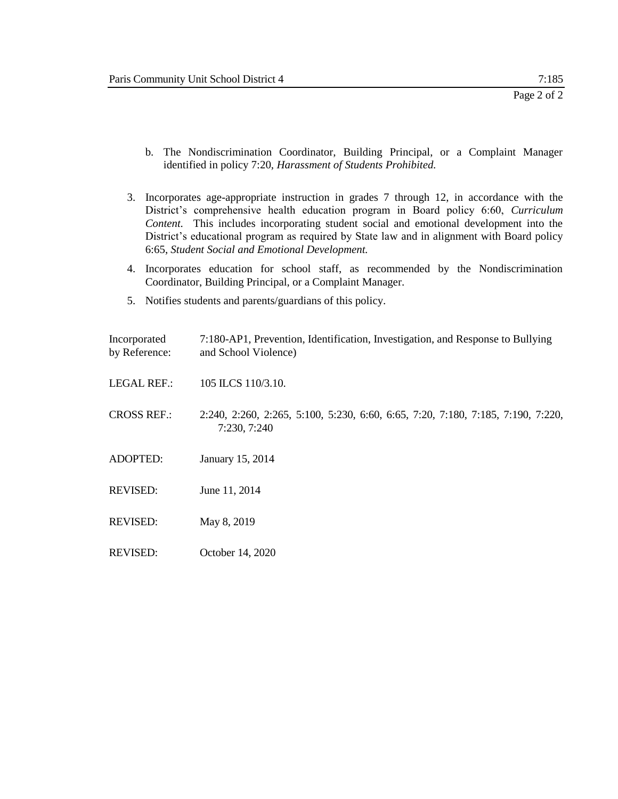- b. The Nondiscrimination Coordinator, Building Principal, or a Complaint Manager identified in policy 7:20, *Harassment of Students Prohibited.*
- 3. Incorporates age-appropriate instruction in grades 7 through 12, in accordance with the District's comprehensive health education program in Board policy 6:60, *Curriculum Content.* This includes incorporating student social and emotional development into the District's educational program as required by State law and in alignment with Board policy 6:65, *Student Social and Emotional Development.*
- 4. Incorporates education for school staff, as recommended by the Nondiscrimination Coordinator, Building Principal, or a Complaint Manager.
- 5. Notifies students and parents/guardians of this policy.

| Incorporated<br>by Reference: | 7:180-AP1, Prevention, Identification, Investigation, and Response to Bullying<br>and School Violence) |
|-------------------------------|--------------------------------------------------------------------------------------------------------|
| <b>LEGAL REF.:</b>            | 105 ILCS 110/3.10.                                                                                     |
| <b>CROSS REF.:</b>            | 2:240, 2:260, 2:265, 5:100, 5:230, 6:60, 6:65, 7:20, 7:180, 7:185, 7:190, 7:220,<br>7:230, 7:240       |
| <b>ADOPTED:</b>               | January 15, 2014                                                                                       |
| <b>REVISED:</b>               | June 11, 2014                                                                                          |
| <b>REVISED:</b>               | May 8, 2019                                                                                            |
| <b>REVISED:</b>               | October 14, 2020                                                                                       |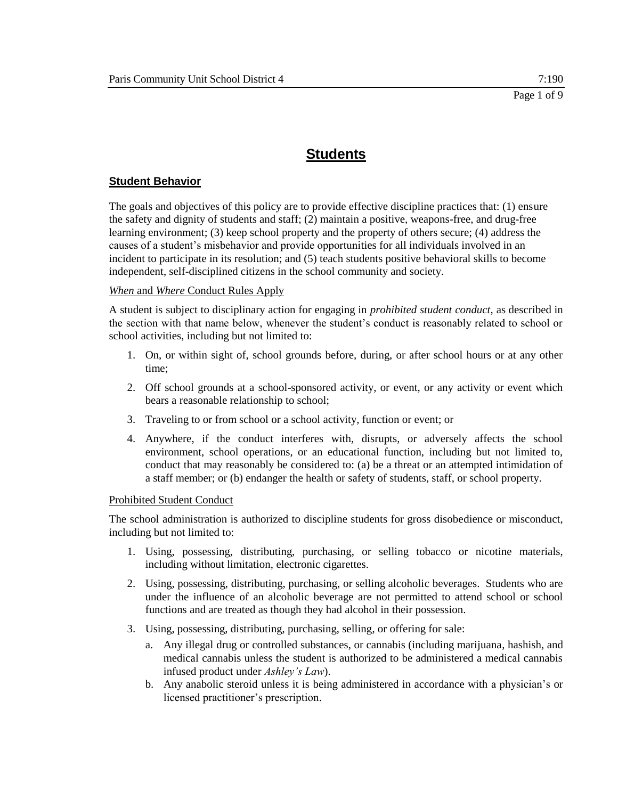### **Student Behavior**

The goals and objectives of this policy are to provide effective discipline practices that: (1) ensure the safety and dignity of students and staff; (2) maintain a positive, weapons-free, and drug-free learning environment; (3) keep school property and the property of others secure; (4) address the causes of a student's misbehavior and provide opportunities for all individuals involved in an incident to participate in its resolution; and (5) teach students positive behavioral skills to become independent, self-disciplined citizens in the school community and society.

### *When* and *Where* Conduct Rules Apply

A student is subject to disciplinary action for engaging in *prohibited student conduct,* as described in the section with that name below, whenever the student's conduct is reasonably related to school or school activities, including but not limited to:

- 1. On, or within sight of, school grounds before, during, or after school hours or at any other time;
- 2. Off school grounds at a school-sponsored activity, or event, or any activity or event which bears a reasonable relationship to school;
- 3. Traveling to or from school or a school activity, function or event; or
- 4. Anywhere, if the conduct interferes with, disrupts, or adversely affects the school environment, school operations, or an educational function, including but not limited to, conduct that may reasonably be considered to: (a) be a threat or an attempted intimidation of a staff member; or (b) endanger the health or safety of students, staff, or school property.

### Prohibited Student Conduct

The school administration is authorized to discipline students for gross disobedience or misconduct, including but not limited to:

- 1. Using, possessing, distributing, purchasing, or selling tobacco or nicotine materials, including without limitation, electronic cigarettes.
- 2. Using, possessing, distributing, purchasing, or selling alcoholic beverages. Students who are under the influence of an alcoholic beverage are not permitted to attend school or school functions and are treated as though they had alcohol in their possession.
- 3. Using, possessing, distributing, purchasing, selling, or offering for sale:
	- a. Any illegal drug or controlled substances, or cannabis (including marijuana, hashish, and medical cannabis unless the student is authorized to be administered a medical cannabis infused product under *Ashley's Law*).
	- b. Any anabolic steroid unless it is being administered in accordance with a physician's or licensed practitioner's prescription.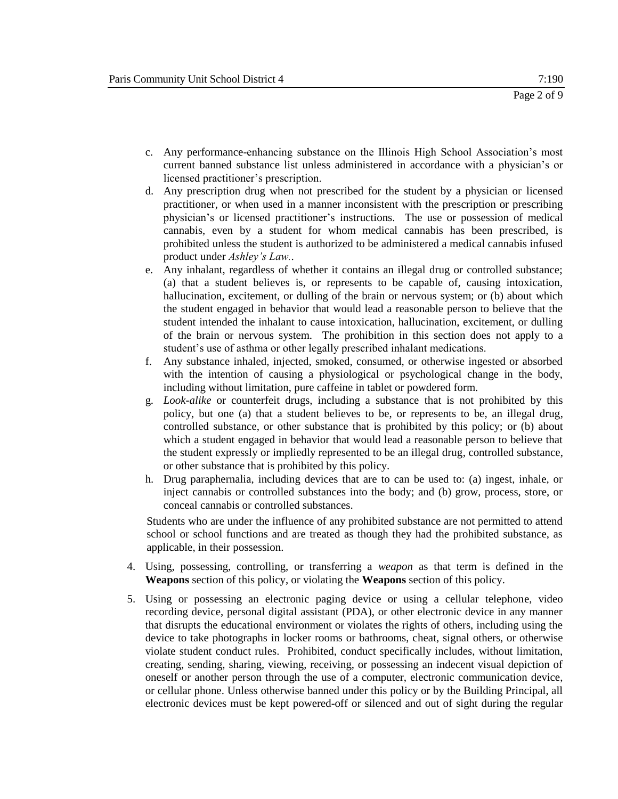- c. Any performance-enhancing substance on the Illinois High School Association's most current banned substance list unless administered in accordance with a physician's or licensed practitioner's prescription.
- d. Any prescription drug when not prescribed for the student by a physician or licensed practitioner, or when used in a manner inconsistent with the prescription or prescribing physician's or licensed practitioner's instructions. The use or possession of medical cannabis, even by a student for whom medical cannabis has been prescribed, is prohibited unless the student is authorized to be administered a medical cannabis infused product under *Ashley's Law.*.
- e. Any inhalant, regardless of whether it contains an illegal drug or controlled substance; (a) that a student believes is, or represents to be capable of, causing intoxication, hallucination, excitement, or dulling of the brain or nervous system; or (b) about which the student engaged in behavior that would lead a reasonable person to believe that the student intended the inhalant to cause intoxication, hallucination, excitement, or dulling of the brain or nervous system. The prohibition in this section does not apply to a student's use of asthma or other legally prescribed inhalant medications.
- f. Any substance inhaled, injected, smoked, consumed, or otherwise ingested or absorbed with the intention of causing a physiological or psychological change in the body, including without limitation, pure caffeine in tablet or powdered form.
- g. *Look-alike* or counterfeit drugs, including a substance that is not prohibited by this policy, but one (a) that a student believes to be, or represents to be, an illegal drug, controlled substance, or other substance that is prohibited by this policy; or (b) about which a student engaged in behavior that would lead a reasonable person to believe that the student expressly or impliedly represented to be an illegal drug, controlled substance, or other substance that is prohibited by this policy.
- h. Drug paraphernalia, including devices that are to can be used to: (a) ingest, inhale, or inject cannabis or controlled substances into the body; and (b) grow, process, store, or conceal cannabis or controlled substances.

 Students who are under the influence of any prohibited substance are not permitted to attend school or school functions and are treated as though they had the prohibited substance, as applicable, in their possession.

- 4. Using, possessing, controlling, or transferring a *weapon* as that term is defined in the **Weapons** section of this policy, or violating the **Weapons** section of this policy.
- 5. Using or possessing an electronic paging device or using a cellular telephone, video recording device, personal digital assistant (PDA), or other electronic device in any manner that disrupts the educational environment or violates the rights of others, including using the device to take photographs in locker rooms or bathrooms, cheat, signal others, or otherwise violate student conduct rules. Prohibited, conduct specifically includes, without limitation, creating, sending, sharing, viewing, receiving, or possessing an indecent visual depiction of oneself or another person through the use of a computer, electronic communication device, or cellular phone. Unless otherwise banned under this policy or by the Building Principal, all electronic devices must be kept powered-off or silenced and out of sight during the regular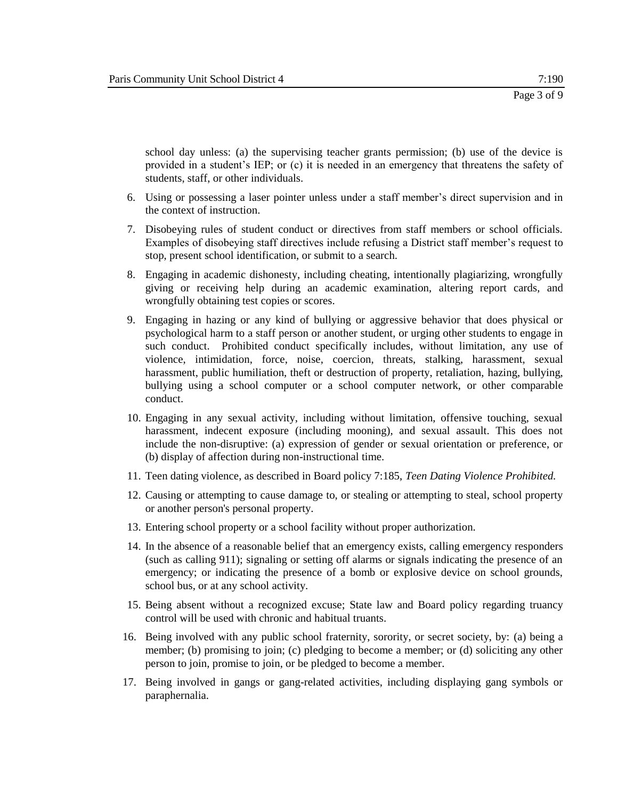school day unless: (a) the supervising teacher grants permission; (b) use of the device is provided in a student's IEP; or (c) it is needed in an emergency that threatens the safety of students, staff, or other individuals.

- 6. Using or possessing a laser pointer unless under a staff member's direct supervision and in the context of instruction.
- 7. Disobeying rules of student conduct or directives from staff members or school officials. Examples of disobeying staff directives include refusing a District staff member's request to stop, present school identification, or submit to a search.
- 8. Engaging in academic dishonesty, including cheating, intentionally plagiarizing, wrongfully giving or receiving help during an academic examination, altering report cards, and wrongfully obtaining test copies or scores.
- 9. Engaging in hazing or any kind of bullying or aggressive behavior that does physical or psychological harm to a staff person or another student, or urging other students to engage in such conduct. Prohibited conduct specifically includes, without limitation, any use of violence, intimidation, force, noise, coercion, threats, stalking, harassment, sexual harassment, public humiliation, theft or destruction of property, retaliation, hazing, bullying, bullying using a school computer or a school computer network, or other comparable conduct.
- 10. Engaging in any sexual activity, including without limitation, offensive touching, sexual harassment, indecent exposure (including mooning), and sexual assault. This does not include the non-disruptive: (a) expression of gender or sexual orientation or preference, or (b) display of affection during non-instructional time.
- 11. Teen dating violence, as described in Board policy 7:185, *Teen Dating Violence Prohibited.*
- 12. Causing or attempting to cause damage to, or stealing or attempting to steal, school property or another person's personal property.
- 13. Entering school property or a school facility without proper authorization.
- 14. In the absence of a reasonable belief that an emergency exists, calling emergency responders (such as calling 911); signaling or setting off alarms or signals indicating the presence of an emergency; or indicating the presence of a bomb or explosive device on school grounds, school bus, or at any school activity.
- 15. Being absent without a recognized excuse; State law and Board policy regarding truancy control will be used with chronic and habitual truants.
- 16. Being involved with any public school fraternity, sorority, or secret society, by: (a) being a member; (b) promising to join; (c) pledging to become a member; or (d) soliciting any other person to join, promise to join, or be pledged to become a member.
- 17. Being involved in gangs or gang-related activities, including displaying gang symbols or paraphernalia.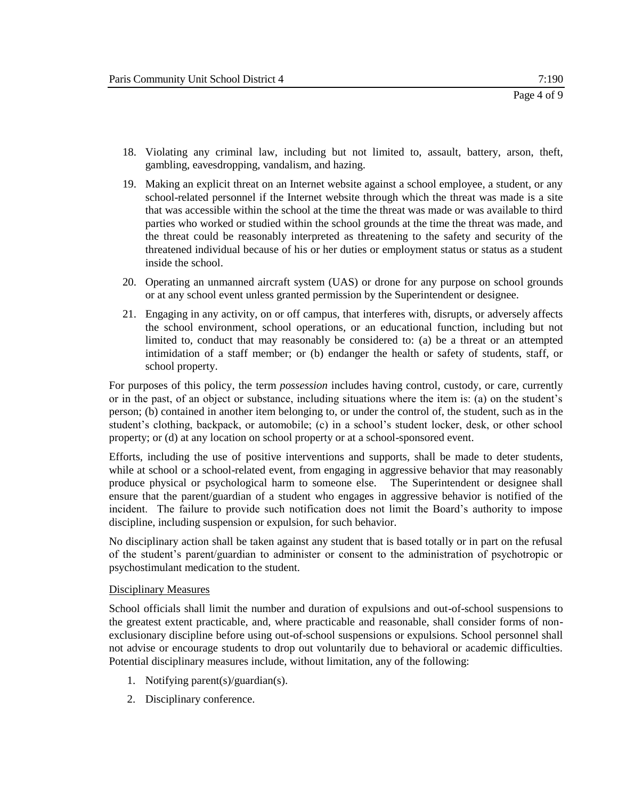- 18. Violating any criminal law, including but not limited to, assault, battery, arson, theft, gambling, eavesdropping, vandalism, and hazing.
- 19. Making an explicit threat on an Internet website against a school employee, a student, or any school-related personnel if the Internet website through which the threat was made is a site that was accessible within the school at the time the threat was made or was available to third parties who worked or studied within the school grounds at the time the threat was made, and the threat could be reasonably interpreted as threatening to the safety and security of the threatened individual because of his or her duties or employment status or status as a student inside the school.
- 20. Operating an unmanned aircraft system (UAS) or drone for any purpose on school grounds or at any school event unless granted permission by the Superintendent or designee.
- 21. Engaging in any activity, on or off campus, that interferes with, disrupts, or adversely affects the school environment, school operations, or an educational function, including but not limited to, conduct that may reasonably be considered to: (a) be a threat or an attempted intimidation of a staff member; or (b) endanger the health or safety of students, staff, or school property.

For purposes of this policy, the term *possession* includes having control, custody, or care, currently or in the past, of an object or substance, including situations where the item is: (a) on the student's person; (b) contained in another item belonging to, or under the control of, the student, such as in the student's clothing, backpack, or automobile; (c) in a school's student locker, desk, or other school property; or (d) at any location on school property or at a school-sponsored event.

Efforts, including the use of positive interventions and supports, shall be made to deter students, while at school or a school-related event, from engaging in aggressive behavior that may reasonably produce physical or psychological harm to someone else. The Superintendent or designee shall ensure that the parent/guardian of a student who engages in aggressive behavior is notified of the incident. The failure to provide such notification does not limit the Board's authority to impose discipline, including suspension or expulsion, for such behavior.

No disciplinary action shall be taken against any student that is based totally or in part on the refusal of the student's parent/guardian to administer or consent to the administration of psychotropic or psychostimulant medication to the student.

### Disciplinary Measures

School officials shall limit the number and duration of expulsions and out-of-school suspensions to the greatest extent practicable, and, where practicable and reasonable, shall consider forms of nonexclusionary discipline before using out-of-school suspensions or expulsions. School personnel shall not advise or encourage students to drop out voluntarily due to behavioral or academic difficulties. Potential disciplinary measures include, without limitation, any of the following:

- 1. Notifying parent(s)/guardian(s).
- 2. Disciplinary conference.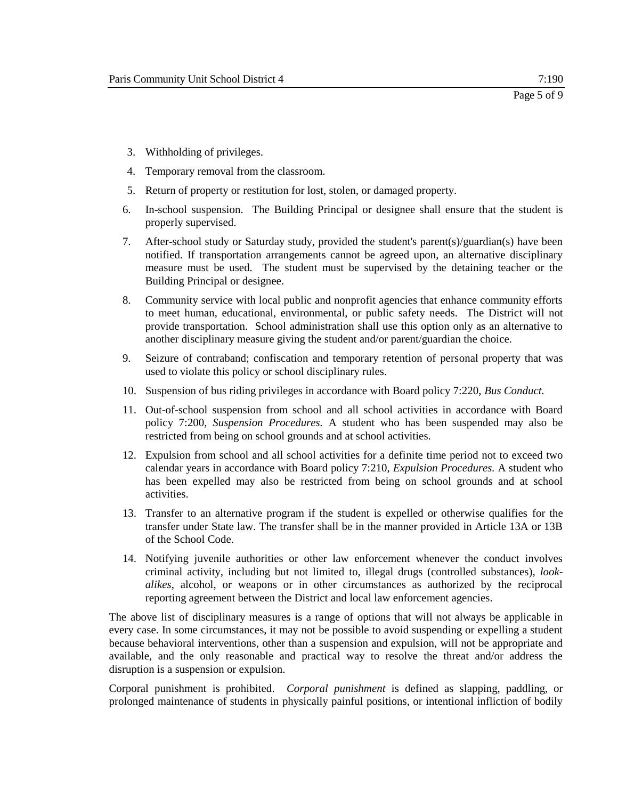- 3. Withholding of privileges.
- 4. Temporary removal from the classroom.
- 5. Return of property or restitution for lost, stolen, or damaged property.
- 6. In-school suspension. The Building Principal or designee shall ensure that the student is properly supervised.
- 7. After-school study or Saturday study, provided the student's parent(s)/guardian(s) have been notified. If transportation arrangements cannot be agreed upon, an alternative disciplinary measure must be used. The student must be supervised by the detaining teacher or the Building Principal or designee.
- 8. Community service with local public and nonprofit agencies that enhance community efforts to meet human, educational, environmental, or public safety needs. The District will not provide transportation. School administration shall use this option only as an alternative to another disciplinary measure giving the student and/or parent/guardian the choice.
- 9. Seizure of contraband; confiscation and temporary retention of personal property that was used to violate this policy or school disciplinary rules.
- 10. Suspension of bus riding privileges in accordance with Board policy 7:220, *Bus Conduct.*
- 11. Out-of-school suspension from school and all school activities in accordance with Board policy 7:200, *Suspension Procedures.* A student who has been suspended may also be restricted from being on school grounds and at school activities.
- 12. Expulsion from school and all school activities for a definite time period not to exceed two calendar years in accordance with Board policy 7:210, *Expulsion Procedures.* A student who has been expelled may also be restricted from being on school grounds and at school activities.
- 13. Transfer to an alternative program if the student is expelled or otherwise qualifies for the transfer under State law. The transfer shall be in the manner provided in Article 13A or 13B of the School Code.
- 14. Notifying juvenile authorities or other law enforcement whenever the conduct involves criminal activity, including but not limited to, illegal drugs (controlled substances), *lookalikes*, alcohol, or weapons or in other circumstances as authorized by the reciprocal reporting agreement between the District and local law enforcement agencies.

The above list of disciplinary measures is a range of options that will not always be applicable in every case. In some circumstances, it may not be possible to avoid suspending or expelling a student because behavioral interventions, other than a suspension and expulsion, will not be appropriate and available, and the only reasonable and practical way to resolve the threat and/or address the disruption is a suspension or expulsion.

Corporal punishment is prohibited. *Corporal punishment* is defined as slapping, paddling, or prolonged maintenance of students in physically painful positions, or intentional infliction of bodily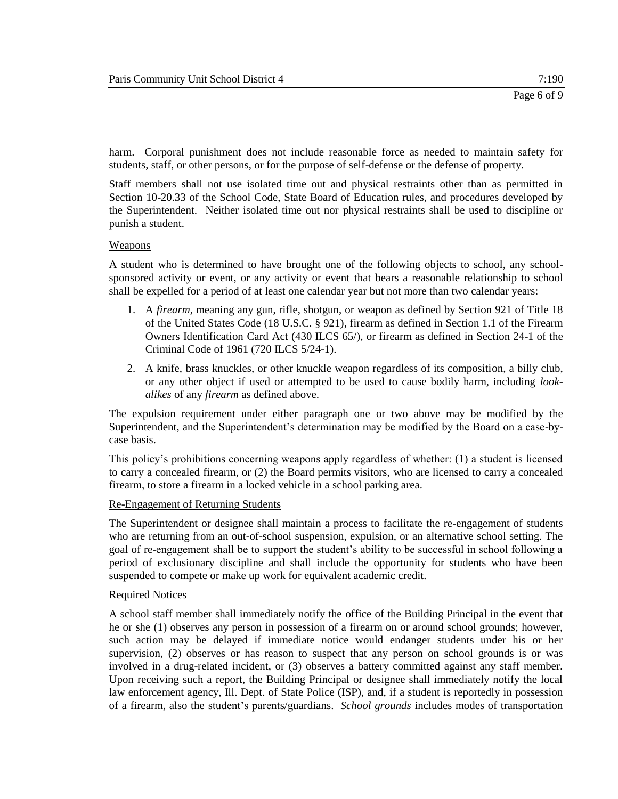harm. Corporal punishment does not include reasonable force as needed to maintain safety for students, staff, or other persons, or for the purpose of self-defense or the defense of property.

Staff members shall not use isolated time out and physical restraints other than as permitted in Section 10-20.33 of the School Code, State Board of Education rules, and procedures developed by the Superintendent. Neither isolated time out nor physical restraints shall be used to discipline or punish a student.

### Weapons

A student who is determined to have brought one of the following objects to school, any schoolsponsored activity or event, or any activity or event that bears a reasonable relationship to school shall be expelled for a period of at least one calendar year but not more than two calendar years:

- 1. A *firearm*, meaning any gun, rifle, shotgun, or weapon as defined by Section 921 of Title 18 of the United States Code (18 U.S.C. § 921), firearm as defined in Section 1.1 of the Firearm Owners Identification Card Act (430 ILCS 65/), or firearm as defined in Section 24-1 of the Criminal Code of 1961 (720 ILCS 5/24-1).
- 2. A knife, brass knuckles, or other knuckle weapon regardless of its composition, a billy club, or any other object if used or attempted to be used to cause bodily harm, including *lookalikes* of any *firearm* as defined above.

The expulsion requirement under either paragraph one or two above may be modified by the Superintendent, and the Superintendent's determination may be modified by the Board on a case-bycase basis.

This policy's prohibitions concerning weapons apply regardless of whether: (1) a student is licensed to carry a concealed firearm, or (2) the Board permits visitors, who are licensed to carry a concealed firearm, to store a firearm in a locked vehicle in a school parking area.

### Re-Engagement of Returning Students

The Superintendent or designee shall maintain a process to facilitate the re-engagement of students who are returning from an out-of-school suspension, expulsion, or an alternative school setting. The goal of re-engagement shall be to support the student's ability to be successful in school following a period of exclusionary discipline and shall include the opportunity for students who have been suspended to compete or make up work for equivalent academic credit.

### Required Notices

A school staff member shall immediately notify the office of the Building Principal in the event that he or she (1) observes any person in possession of a firearm on or around school grounds; however, such action may be delayed if immediate notice would endanger students under his or her supervision, (2) observes or has reason to suspect that any person on school grounds is or was involved in a drug-related incident, or (3) observes a battery committed against any staff member. Upon receiving such a report, the Building Principal or designee shall immediately notify the local law enforcement agency, Ill. Dept. of State Police (ISP), and, if a student is reportedly in possession of a firearm, also the student's parents/guardians. *School grounds* includes modes of transportation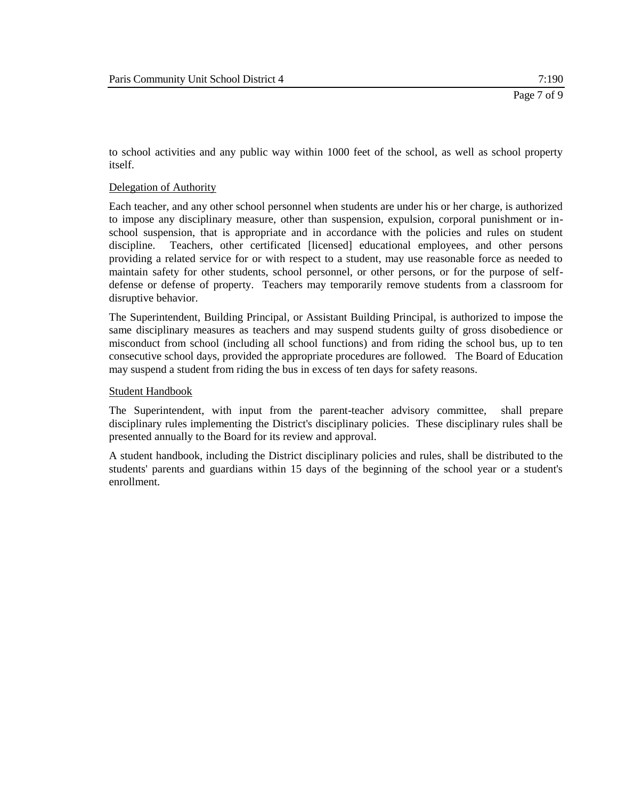to school activities and any public way within 1000 feet of the school, as well as school property itself.

#### Delegation of Authority

Each teacher, and any other school personnel when students are under his or her charge, is authorized to impose any disciplinary measure, other than suspension, expulsion, corporal punishment or inschool suspension, that is appropriate and in accordance with the policies and rules on student discipline. Teachers, other certificated [licensed] educational employees, and other persons providing a related service for or with respect to a student, may use reasonable force as needed to maintain safety for other students, school personnel, or other persons, or for the purpose of selfdefense or defense of property. Teachers may temporarily remove students from a classroom for disruptive behavior.

The Superintendent, Building Principal, or Assistant Building Principal, is authorized to impose the same disciplinary measures as teachers and may suspend students guilty of gross disobedience or misconduct from school (including all school functions) and from riding the school bus, up to ten consecutive school days, provided the appropriate procedures are followed. The Board of Education may suspend a student from riding the bus in excess of ten days for safety reasons.

#### Student Handbook

The Superintendent, with input from the parent-teacher advisory committee, shall prepare disciplinary rules implementing the District's disciplinary policies. These disciplinary rules shall be presented annually to the Board for its review and approval.

A student handbook, including the District disciplinary policies and rules, shall be distributed to the students' parents and guardians within 15 days of the beginning of the school year or a student's enrollment.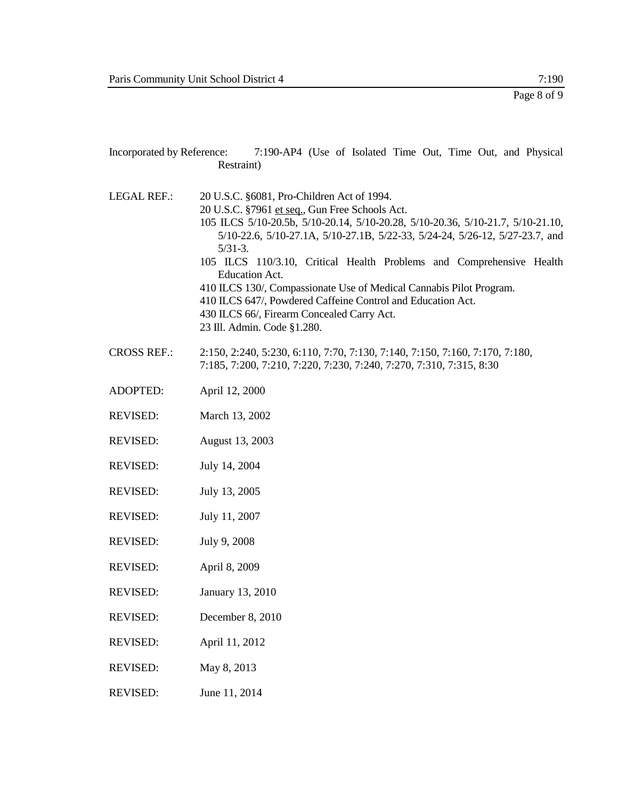| Incorporated by Reference: 7:190-AP4 (Use of Isolated Time Out, Time Out, and Physical<br>Restraint) |                                                                                                                                                                                                                                                                                                                                                                                                                                                                                                                                                                                                  |
|------------------------------------------------------------------------------------------------------|--------------------------------------------------------------------------------------------------------------------------------------------------------------------------------------------------------------------------------------------------------------------------------------------------------------------------------------------------------------------------------------------------------------------------------------------------------------------------------------------------------------------------------------------------------------------------------------------------|
| <b>LEGAL REF.:</b>                                                                                   | 20 U.S.C. §6081, Pro-Children Act of 1994.<br>20 U.S.C. §7961 et seq., Gun Free Schools Act.<br>105 ILCS 5/10-20.5b, 5/10-20.14, 5/10-20.28, 5/10-20.36, 5/10-21.7, 5/10-21.10,<br>5/10-22.6, 5/10-27.1A, 5/10-27.1B, 5/22-33, 5/24-24, 5/26-12, 5/27-23.7, and<br>$5/31-3.$<br>105 ILCS 110/3.10, Critical Health Problems and Comprehensive Health<br><b>Education Act.</b><br>410 ILCS 130/, Compassionate Use of Medical Cannabis Pilot Program.<br>410 ILCS 647/, Powdered Caffeine Control and Education Act.<br>430 ILCS 66/, Firearm Concealed Carry Act.<br>23 Ill. Admin. Code §1.280. |
| <b>CROSS REF.:</b>                                                                                   | 2:150, 2:240, 5:230, 6:110, 7:70, 7:130, 7:140, 7:150, 7:160, 7:170, 7:180,<br>7:185, 7:200, 7:210, 7:220, 7:230, 7:240, 7:270, 7:310, 7:315, 8:30                                                                                                                                                                                                                                                                                                                                                                                                                                               |
| <b>ADOPTED:</b>                                                                                      | April 12, 2000                                                                                                                                                                                                                                                                                                                                                                                                                                                                                                                                                                                   |
| <b>REVISED:</b>                                                                                      | March 13, 2002                                                                                                                                                                                                                                                                                                                                                                                                                                                                                                                                                                                   |
| <b>REVISED:</b>                                                                                      | August 13, 2003                                                                                                                                                                                                                                                                                                                                                                                                                                                                                                                                                                                  |
| <b>REVISED:</b>                                                                                      | July 14, 2004                                                                                                                                                                                                                                                                                                                                                                                                                                                                                                                                                                                    |
| <b>REVISED:</b>                                                                                      | July 13, 2005                                                                                                                                                                                                                                                                                                                                                                                                                                                                                                                                                                                    |
| <b>REVISED:</b>                                                                                      | July 11, 2007                                                                                                                                                                                                                                                                                                                                                                                                                                                                                                                                                                                    |
| <b>REVISED:</b>                                                                                      | July 9, 2008                                                                                                                                                                                                                                                                                                                                                                                                                                                                                                                                                                                     |
| <b>REVISED:</b>                                                                                      | April 8, 2009                                                                                                                                                                                                                                                                                                                                                                                                                                                                                                                                                                                    |
| <b>REVISED:</b>                                                                                      | January 13, 2010                                                                                                                                                                                                                                                                                                                                                                                                                                                                                                                                                                                 |
| <b>REVISED:</b>                                                                                      | December 8, 2010                                                                                                                                                                                                                                                                                                                                                                                                                                                                                                                                                                                 |
| <b>REVISED:</b>                                                                                      | April 11, 2012                                                                                                                                                                                                                                                                                                                                                                                                                                                                                                                                                                                   |
| <b>REVISED:</b>                                                                                      | May 8, 2013                                                                                                                                                                                                                                                                                                                                                                                                                                                                                                                                                                                      |

REVISED: June 11, 2014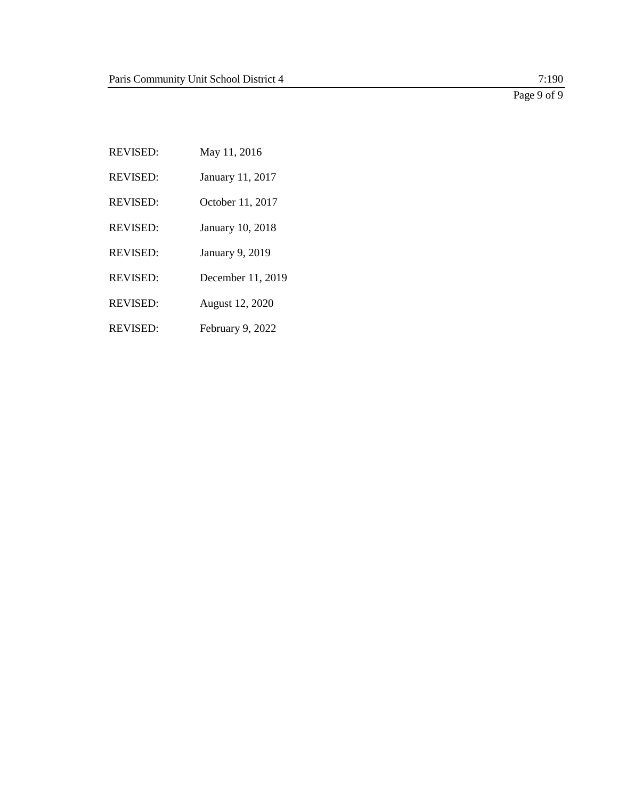Page 9 of 9

REVISED: May 11, 2016 REVISED: January 11, 2017 REVISED: October 11, 2017 REVISED: January 10, 2018 REVISED: January 9, 2019 REVISED: December 11, 2019 REVISED: August 12, 2020 REVISED: February 9, 2022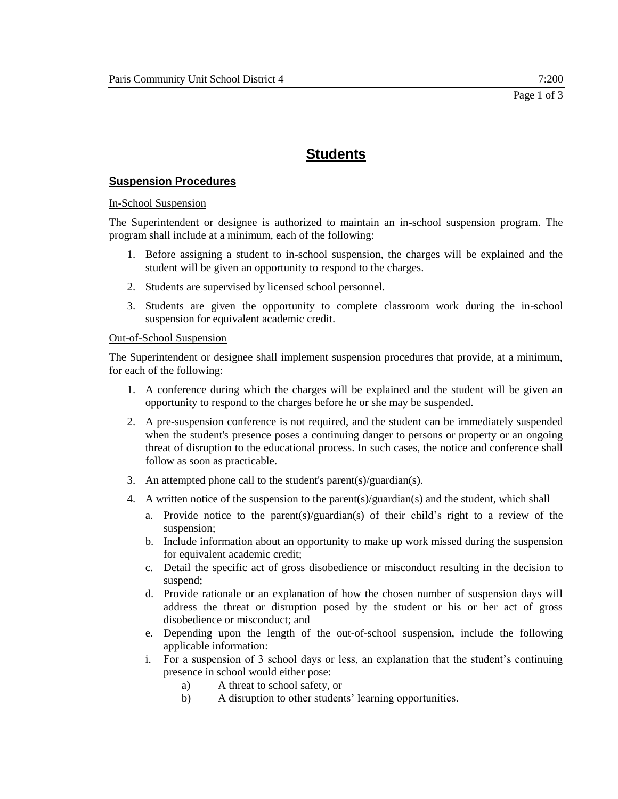### **Suspension Procedures**

#### In-School Suspension

The Superintendent or designee is authorized to maintain an in-school suspension program. The program shall include at a minimum, each of the following:

- 1. Before assigning a student to in-school suspension, the charges will be explained and the student will be given an opportunity to respond to the charges.
- 2. Students are supervised by licensed school personnel.
- 3. Students are given the opportunity to complete classroom work during the in-school suspension for equivalent academic credit.

#### Out-of-School Suspension

The Superintendent or designee shall implement suspension procedures that provide, at a minimum, for each of the following:

- 1. A conference during which the charges will be explained and the student will be given an opportunity to respond to the charges before he or she may be suspended.
- 2. A pre-suspension conference is not required, and the student can be immediately suspended when the student's presence poses a continuing danger to persons or property or an ongoing threat of disruption to the educational process. In such cases, the notice and conference shall follow as soon as practicable.
- 3. An attempted phone call to the student's parent(s)/guardian(s).
- 4. A written notice of the suspension to the parent(s)/guardian(s) and the student, which shall
	- a. Provide notice to the parent(s)/guardian(s) of their child's right to a review of the suspension;
	- b. Include information about an opportunity to make up work missed during the suspension for equivalent academic credit;
	- c. Detail the specific act of gross disobedience or misconduct resulting in the decision to suspend;
	- d. Provide rationale or an explanation of how the chosen number of suspension days will address the threat or disruption posed by the student or his or her act of gross disobedience or misconduct; and
	- e. Depending upon the length of the out-of-school suspension, include the following applicable information:
	- i. For a suspension of 3 school days or less, an explanation that the student's continuing presence in school would either pose:
		- a) A threat to school safety, or
		- b) A disruption to other students' learning opportunities.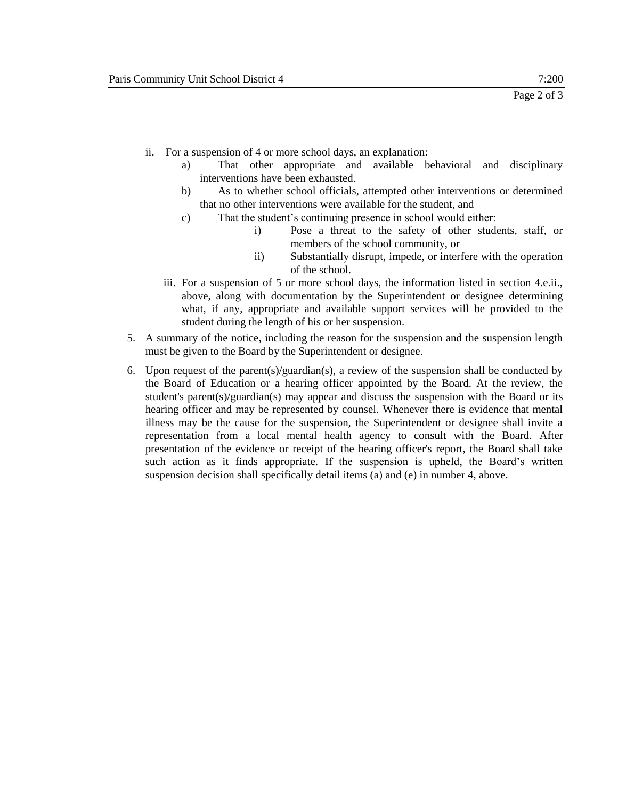- ii. For a suspension of 4 or more school days, an explanation:
	- a) That other appropriate and available behavioral and disciplinary interventions have been exhausted.
	- b) As to whether school officials, attempted other interventions or determined that no other interventions were available for the student, and
	- c) That the student's continuing presence in school would either:
		- i) Pose a threat to the safety of other students, staff, or members of the school community, or
		- ii) Substantially disrupt, impede, or interfere with the operation of the school.
	- iii. For a suspension of 5 or more school days, the information listed in section 4.e.ii., above, along with documentation by the Superintendent or designee determining what, if any, appropriate and available support services will be provided to the student during the length of his or her suspension.
- 5. A summary of the notice, including the reason for the suspension and the suspension length must be given to the Board by the Superintendent or designee.
- 6. Upon request of the parent(s)/guardian(s), a review of the suspension shall be conducted by the Board of Education or a hearing officer appointed by the Board. At the review, the student's parent(s)/guardian(s) may appear and discuss the suspension with the Board or its hearing officer and may be represented by counsel. Whenever there is evidence that mental illness may be the cause for the suspension, the Superintendent or designee shall invite a representation from a local mental health agency to consult with the Board. After presentation of the evidence or receipt of the hearing officer's report, the Board shall take such action as it finds appropriate. If the suspension is upheld, the Board's written suspension decision shall specifically detail items (a) and (e) in number 4, above.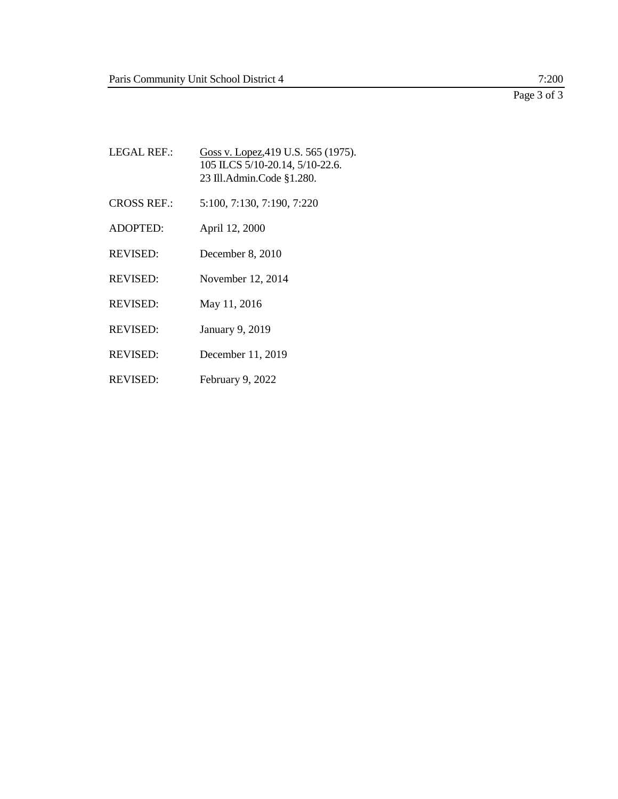Page 3 of 3

LEGAL REF.: Goss v. Lopez, 419 U.S. 565 (1975). 105 ILCS 5/10-20.14, 5/10-22.6. 23 Ill.Admin.Code §1.280. CROSS REF.: 5:100, 7:130, 7:190, 7:220 ADOPTED: April 12, 2000 REVISED: December 8, 2010 REVISED: November 12, 2014 REVISED: May 11, 2016 REVISED: January 9, 2019 REVISED: December 11, 2019 REVISED: February 9, 2022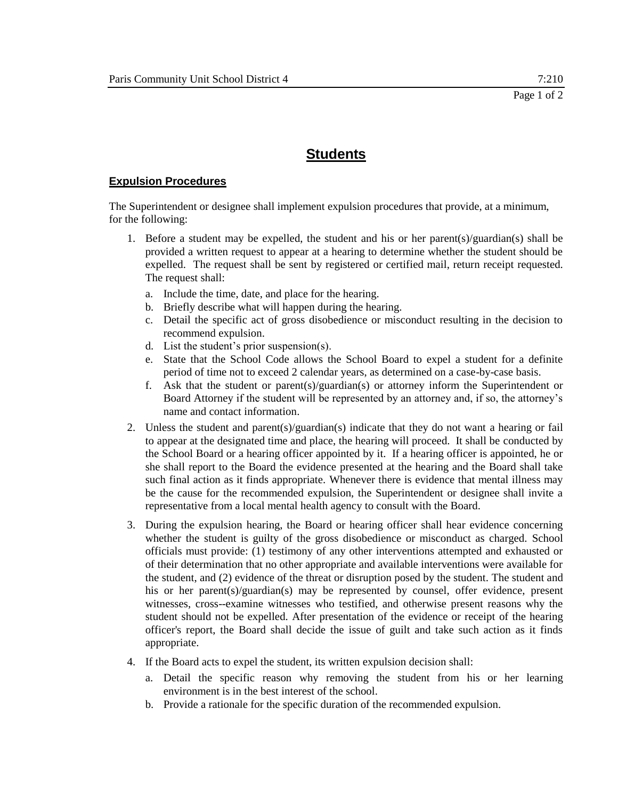### **Expulsion Procedures**

The Superintendent or designee shall implement expulsion procedures that provide, at a minimum, for the following:

- 1. Before a student may be expelled, the student and his or her parent(s)/guardian(s) shall be provided a written request to appear at a hearing to determine whether the student should be expelled. The request shall be sent by registered or certified mail, return receipt requested. The request shall:
	- a. Include the time, date, and place for the hearing.
	- b. Briefly describe what will happen during the hearing.
	- c. Detail the specific act of gross disobedience or misconduct resulting in the decision to recommend expulsion.
	- d. List the student's prior suspension(s).
	- e. State that the School Code allows the School Board to expel a student for a definite period of time not to exceed 2 calendar years, as determined on a case-by-case basis.
	- f. Ask that the student or parent(s)/guardian(s) or attorney inform the Superintendent or Board Attorney if the student will be represented by an attorney and, if so, the attorney's name and contact information.
- 2. Unless the student and parent(s)/guardian(s) indicate that they do not want a hearing or fail to appear at the designated time and place, the hearing will proceed. It shall be conducted by the School Board or a hearing officer appointed by it. If a hearing officer is appointed, he or she shall report to the Board the evidence presented at the hearing and the Board shall take such final action as it finds appropriate. Whenever there is evidence that mental illness may be the cause for the recommended expulsion, the Superintendent or designee shall invite a representative from a local mental health agency to consult with the Board.
- 3. During the expulsion hearing, the Board or hearing officer shall hear evidence concerning whether the student is guilty of the gross disobedience or misconduct as charged. School officials must provide: (1) testimony of any other interventions attempted and exhausted or of their determination that no other appropriate and available interventions were available for the student, and (2) evidence of the threat or disruption posed by the student. The student and his or her parent(s)/guardian(s) may be represented by counsel, offer evidence, present witnesses, cross--examine witnesses who testified, and otherwise present reasons why the student should not be expelled. After presentation of the evidence or receipt of the hearing officer's report, the Board shall decide the issue of guilt and take such action as it finds appropriate.
- 4. If the Board acts to expel the student, its written expulsion decision shall:
	- a. Detail the specific reason why removing the student from his or her learning environment is in the best interest of the school.
	- b. Provide a rationale for the specific duration of the recommended expulsion.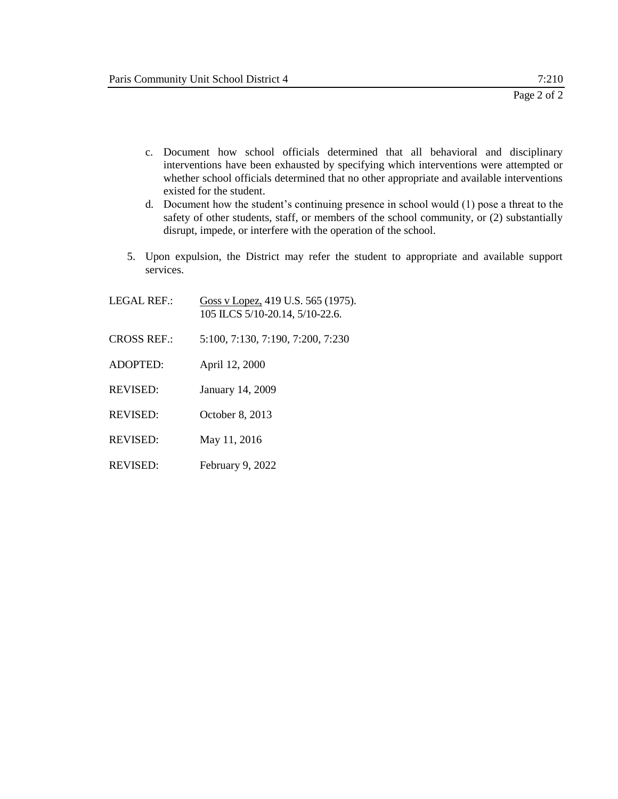- c. Document how school officials determined that all behavioral and disciplinary interventions have been exhausted by specifying which interventions were attempted or whether school officials determined that no other appropriate and available interventions existed for the student.
- d. Document how the student's continuing presence in school would (1) pose a threat to the safety of other students, staff, or members of the school community, or (2) substantially disrupt, impede, or interfere with the operation of the school.
- 5. Upon expulsion, the District may refer the student to appropriate and available support services.
- LEGAL REF.: Goss v Lopez, 419 U.S. 565 (1975). 105 ILCS 5/10-20.14, 5/10-22.6. CROSS REF.: 5:100, 7:130, 7:190, 7:200, 7:230 ADOPTED: April 12, 2000 REVISED: January 14, 2009 REVISED: October 8, 2013
- REVISED: May 11, 2016
- REVISED: February 9, 2022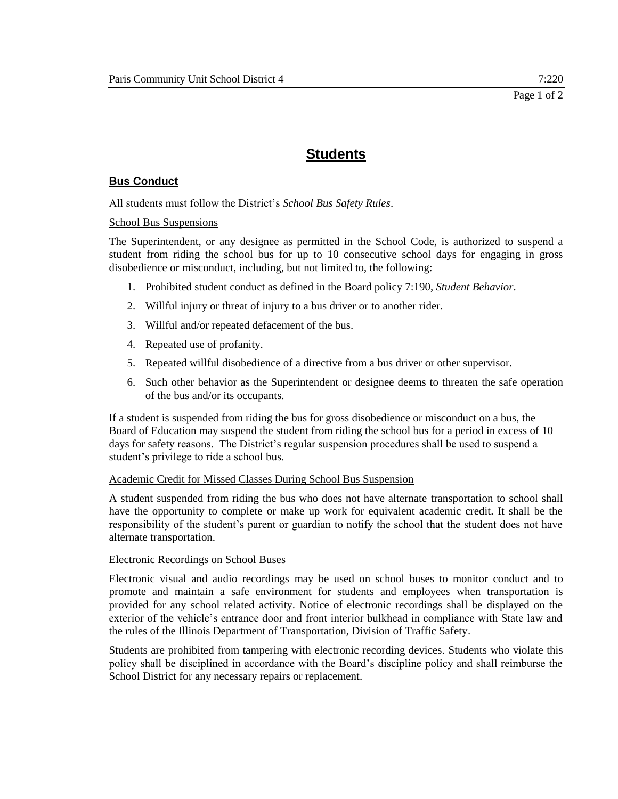### **Bus Conduct**

All students must follow the District's *School Bus Safety Rules*.

### School Bus Suspensions

The Superintendent, or any designee as permitted in the School Code, is authorized to suspend a student from riding the school bus for up to 10 consecutive school days for engaging in gross disobedience or misconduct, including, but not limited to, the following:

- 1. Prohibited student conduct as defined in the Board policy 7:190, *Student Behavior*.
- 2. Willful injury or threat of injury to a bus driver or to another rider.
- 3. Willful and/or repeated defacement of the bus.
- 4. Repeated use of profanity.
- 5. Repeated willful disobedience of a directive from a bus driver or other supervisor.
- 6. Such other behavior as the Superintendent or designee deems to threaten the safe operation of the bus and/or its occupants.

If a student is suspended from riding the bus for gross disobedience or misconduct on a bus, the Board of Education may suspend the student from riding the school bus for a period in excess of 10 days for safety reasons. The District's regular suspension procedures shall be used to suspend a student's privilege to ride a school bus.

### Academic Credit for Missed Classes During School Bus Suspension

A student suspended from riding the bus who does not have alternate transportation to school shall have the opportunity to complete or make up work for equivalent academic credit. It shall be the responsibility of the student's parent or guardian to notify the school that the student does not have alternate transportation.

### Electronic Recordings on School Buses

Electronic visual and audio recordings may be used on school buses to monitor conduct and to promote and maintain a safe environment for students and employees when transportation is provided for any school related activity. Notice of electronic recordings shall be displayed on the exterior of the vehicle's entrance door and front interior bulkhead in compliance with State law and the rules of the Illinois Department of Transportation, Division of Traffic Safety.

Students are prohibited from tampering with electronic recording devices. Students who violate this policy shall be disciplined in accordance with the Board's discipline policy and shall reimburse the School District for any necessary repairs or replacement.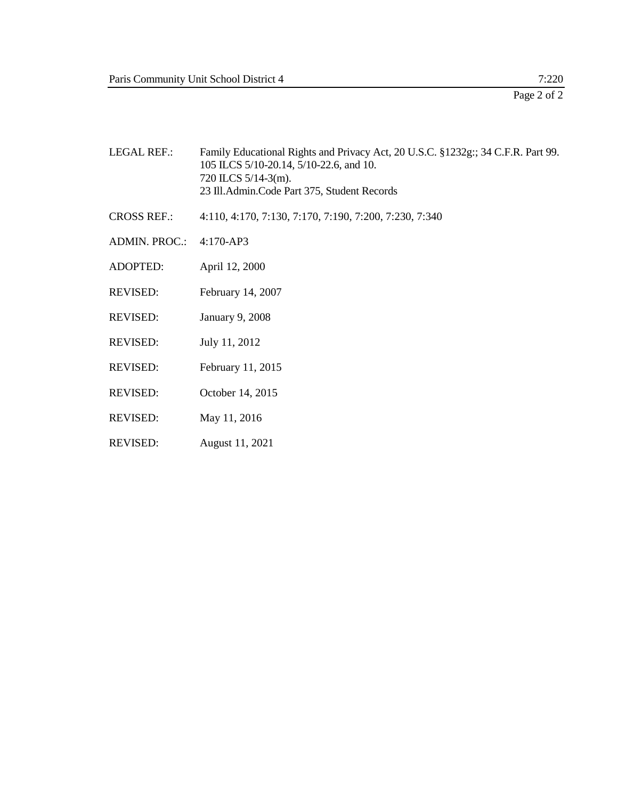| <b>LEGAL REF.:</b>   | Family Educational Rights and Privacy Act, 20 U.S.C. §1232g:; 34 C.F.R. Part 99.<br>105 ILCS 5/10-20.14, 5/10-22.6, and 10.<br>$720$ ILCS $5/14-3$ (m).<br>23 Ill.Admin.Code Part 375, Student Records |
|----------------------|--------------------------------------------------------------------------------------------------------------------------------------------------------------------------------------------------------|
| <b>CROSS REF.:</b>   | 4:110, 4:170, 7:130, 7:170, 7:190, 7:200, 7:230, 7:340                                                                                                                                                 |
| <b>ADMIN. PROC.:</b> | 4:170-AP3                                                                                                                                                                                              |
| <b>ADOPTED:</b>      | April 12, 2000                                                                                                                                                                                         |
| <b>REVISED:</b>      | February 14, 2007                                                                                                                                                                                      |
| <b>REVISED:</b>      | January 9, 2008                                                                                                                                                                                        |
| <b>REVISED:</b>      | July 11, 2012                                                                                                                                                                                          |
| <b>REVISED:</b>      | February 11, 2015                                                                                                                                                                                      |
| <b>REVISED:</b>      | October 14, 2015                                                                                                                                                                                       |
| <b>REVISED:</b>      | May 11, 2016                                                                                                                                                                                           |
| <b>REVISED:</b>      | August 11, 2021                                                                                                                                                                                        |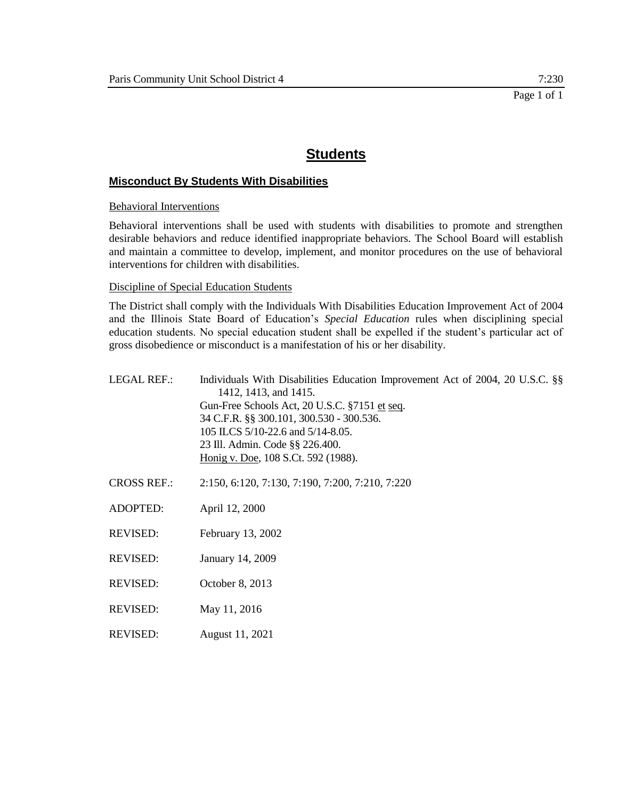### **Misconduct By Students With Disabilities**

Behavioral Interventions

Behavioral interventions shall be used with students with disabilities to promote and strengthen desirable behaviors and reduce identified inappropriate behaviors. The School Board will establish and maintain a committee to develop, implement, and monitor procedures on the use of behavioral interventions for children with disabilities.

### Discipline of Special Education Students

The District shall comply with the Individuals With Disabilities Education Improvement Act of 2004 and the Illinois State Board of Education's *Special Education* rules when disciplining special education students. No special education student shall be expelled if the student's particular act of gross disobedience or misconduct is a manifestation of his or her disability.

| <b>LEGAL REF.:</b> | Individuals With Disabilities Education Improvement Act of 2004, 20 U.S.C. §§<br>1412, 1413, and 1415.<br>Gun-Free Schools Act, 20 U.S.C. §7151 et seq.<br>34 C.F.R. §§ 300.101, 300.530 - 300.536.<br>105 ILCS 5/10-22.6 and 5/14-8.05.<br>23 Ill. Admin. Code §§ 226.400.<br>Honig v. Doe, 108 S.Ct. 592 (1988). |
|--------------------|--------------------------------------------------------------------------------------------------------------------------------------------------------------------------------------------------------------------------------------------------------------------------------------------------------------------|
| <b>CROSS REF.:</b> | 2:150, 6:120, 7:130, 7:190, 7:200, 7:210, 7:220                                                                                                                                                                                                                                                                    |
| ADOPTED:           | April 12, 2000                                                                                                                                                                                                                                                                                                     |
| REVISED:           | February 13, 2002                                                                                                                                                                                                                                                                                                  |
| <b>REVISED:</b>    | January 14, 2009                                                                                                                                                                                                                                                                                                   |
| REVISED:           | October 8, 2013                                                                                                                                                                                                                                                                                                    |
| REVISED:           | May 11, 2016                                                                                                                                                                                                                                                                                                       |
| <b>REVISED:</b>    | August 11, 2021                                                                                                                                                                                                                                                                                                    |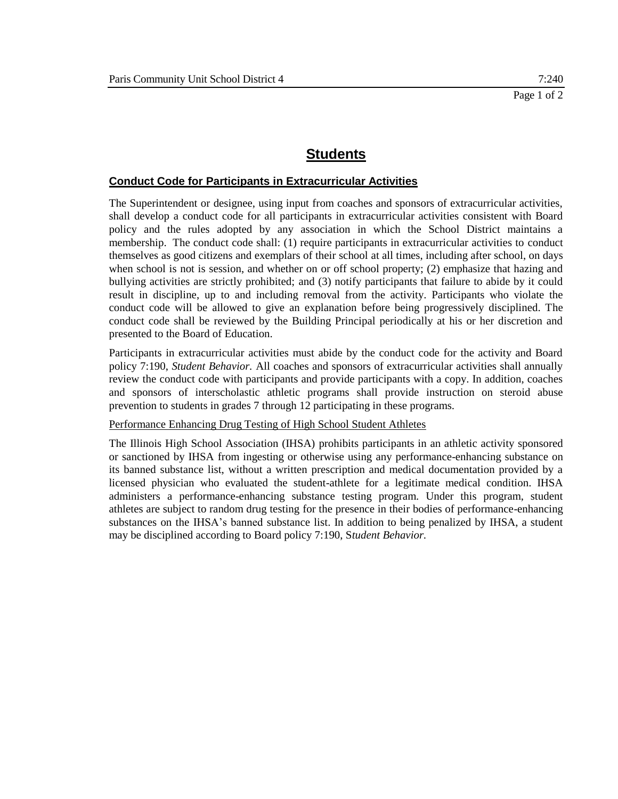### **Conduct Code for Participants in Extracurricular Activities**

The Superintendent or designee, using input from coaches and sponsors of extracurricular activities, shall develop a conduct code for all participants in extracurricular activities consistent with Board policy and the rules adopted by any association in which the School District maintains a membership. The conduct code shall: (1) require participants in extracurricular activities to conduct themselves as good citizens and exemplars of their school at all times, including after school, on days when school is not is session, and whether on or off school property; (2) emphasize that hazing and bullying activities are strictly prohibited; and (3) notify participants that failure to abide by it could result in discipline, up to and including removal from the activity. Participants who violate the conduct code will be allowed to give an explanation before being progressively disciplined. The conduct code shall be reviewed by the Building Principal periodically at his or her discretion and presented to the Board of Education.

Participants in extracurricular activities must abide by the conduct code for the activity and Board policy 7:190, *Student Behavior.* All coaches and sponsors of extracurricular activities shall annually review the conduct code with participants and provide participants with a copy. In addition, coaches and sponsors of interscholastic athletic programs shall provide instruction on steroid abuse prevention to students in grades 7 through 12 participating in these programs.

Performance Enhancing Drug Testing of High School Student Athletes

The Illinois High School Association (IHSA) prohibits participants in an athletic activity sponsored or sanctioned by IHSA from ingesting or otherwise using any performance-enhancing substance on its banned substance list, without a written prescription and medical documentation provided by a licensed physician who evaluated the student-athlete for a legitimate medical condition. IHSA administers a performance-enhancing substance testing program. Under this program, student athletes are subject to random drug testing for the presence in their bodies of performance-enhancing substances on the IHSA's banned substance list. In addition to being penalized by IHSA, a student may be disciplined according to Board policy 7:190, S*tudent Behavior.*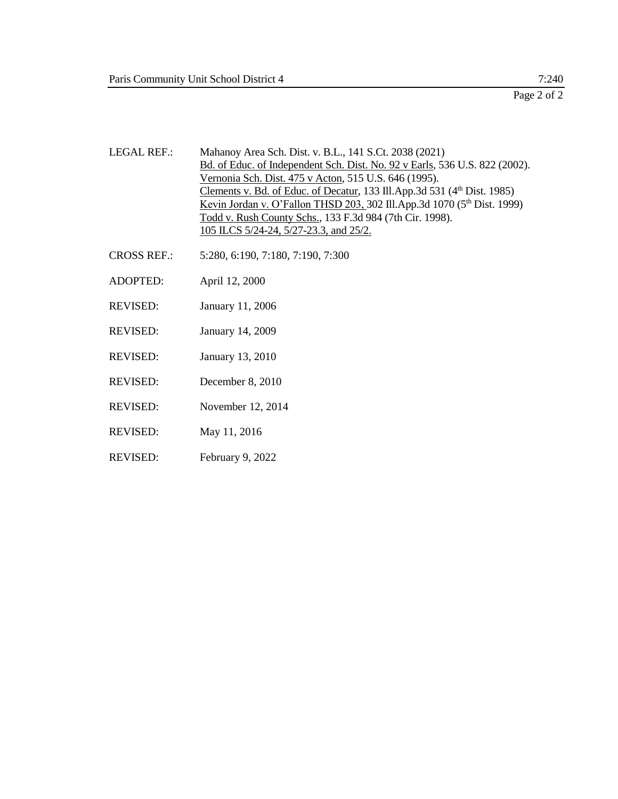Page 2 of 2

- LEGAL REF.: Mahanoy Area Sch. Dist. v. B.L., 141 S.Ct. 2038 (2021) Bd. of Educ. of Independent Sch. Dist. No. 92 v Earls, 536 U.S. 822 (2002). Vernonia Sch. Dist. 475 v Acton, 515 U.S. 646 (1995). Clements v. Bd. of Educ. of Decatur, 133 Ill.App.3d 531 (4<sup>th</sup> Dist. 1985) Kevin Jordan v. O'Fallon THSD 203, 302 Ill.App.3d 1070 (5<sup>th</sup> Dist. 1999) Todd v. Rush County Schs., 133 F.3d 984 (7th Cir. 1998). 105 ILCS 5/24-24, 5/27-23.3, and 25/2.
- CROSS REF.: 5:280, 6:190, 7:180, 7:190, 7:300
- ADOPTED: April 12, 2000
- REVISED: January 11, 2006
- REVISED: January 14, 2009
- REVISED: January 13, 2010
- REVISED: December 8, 2010
- REVISED: November 12, 2014
- REVISED: May 11, 2016
- REVISED: February 9, 2022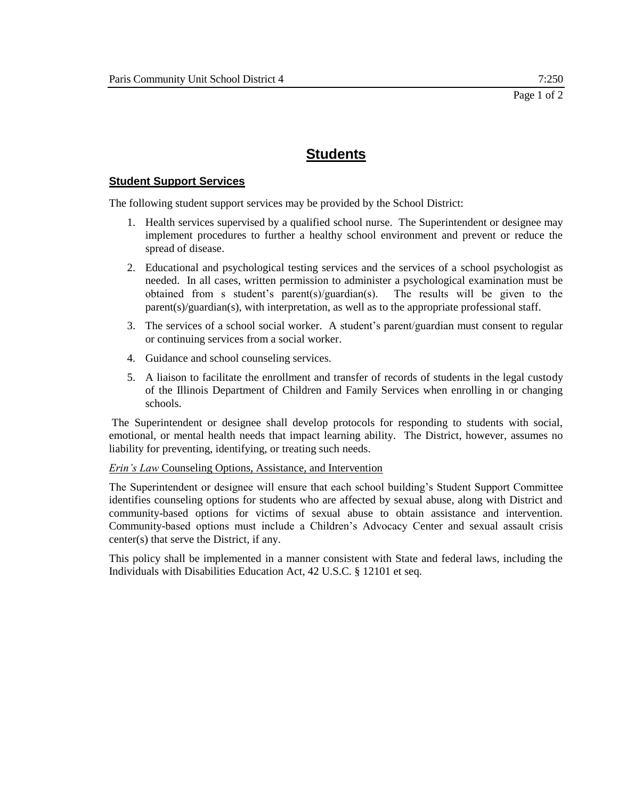### **Student Support Services**

The following student support services may be provided by the School District:

- 1. Health services supervised by a qualified school nurse. The Superintendent or designee may implement procedures to further a healthy school environment and prevent or reduce the spread of disease.
- 2. Educational and psychological testing services and the services of a school psychologist as needed. In all cases, written permission to administer a psychological examination must be obtained from s student's parent(s)/guardian(s). The results will be given to the parent(s)/guardian(s), with interpretation, as well as to the appropriate professional staff.
- 3. The services of a school social worker. A student's parent/guardian must consent to regular or continuing services from a social worker.
- 4. Guidance and school counseling services.
- 5. A liaison to facilitate the enrollment and transfer of records of students in the legal custody of the Illinois Department of Children and Family Services when enrolling in or changing schools.

The Superintendent or designee shall develop protocols for responding to students with social, emotional, or mental health needs that impact learning ability. The District, however, assumes no liability for preventing, identifying, or treating such needs.

*Erin's Law* Counseling Options, Assistance, and Intervention

The Superintendent or designee will ensure that each school building's Student Support Committee identifies counseling options for students who are affected by sexual abuse, along with District and community-based options for victims of sexual abuse to obtain assistance and intervention. Community-based options must include a Children's Advocacy Center and sexual assault crisis center(s) that serve the District, if any.

This policy shall be implemented in a manner consistent with State and federal laws, including the Individuals with Disabilities Education Act, 42 U.S.C. § 12101 et seq.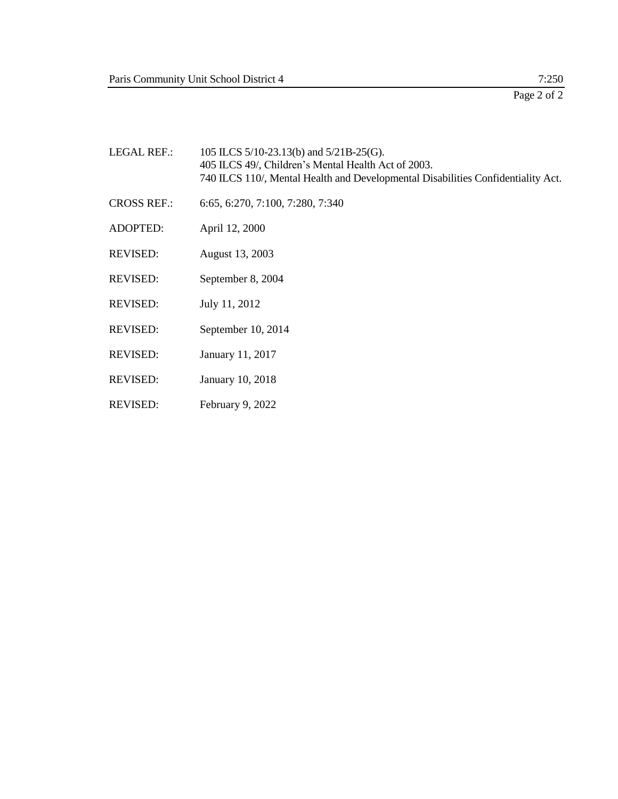| <b>LEGAL REF.:</b> | 105 ILCS 5/10-23.13(b) and 5/21B-25(G).<br>405 ILCS 49/, Children's Mental Health Act of 2003.<br>740 ILCS 110/, Mental Health and Developmental Disabilities Confidentiality Act. |
|--------------------|------------------------------------------------------------------------------------------------------------------------------------------------------------------------------------|
| <b>CROSS REF.:</b> | 6:65, 6:270, 7:100, 7:280, 7:340                                                                                                                                                   |
| <b>ADOPTED:</b>    | April 12, 2000                                                                                                                                                                     |
| <b>REVISED:</b>    | August 13, 2003                                                                                                                                                                    |
| <b>REVISED:</b>    | September 8, 2004                                                                                                                                                                  |
| <b>REVISED:</b>    | July 11, 2012                                                                                                                                                                      |
| <b>REVISED:</b>    | September 10, 2014                                                                                                                                                                 |
| <b>REVISED:</b>    | January 11, 2017                                                                                                                                                                   |
| <b>REVISED:</b>    | January 10, 2018                                                                                                                                                                   |
|                    |                                                                                                                                                                                    |

REVISED: February 9, 2022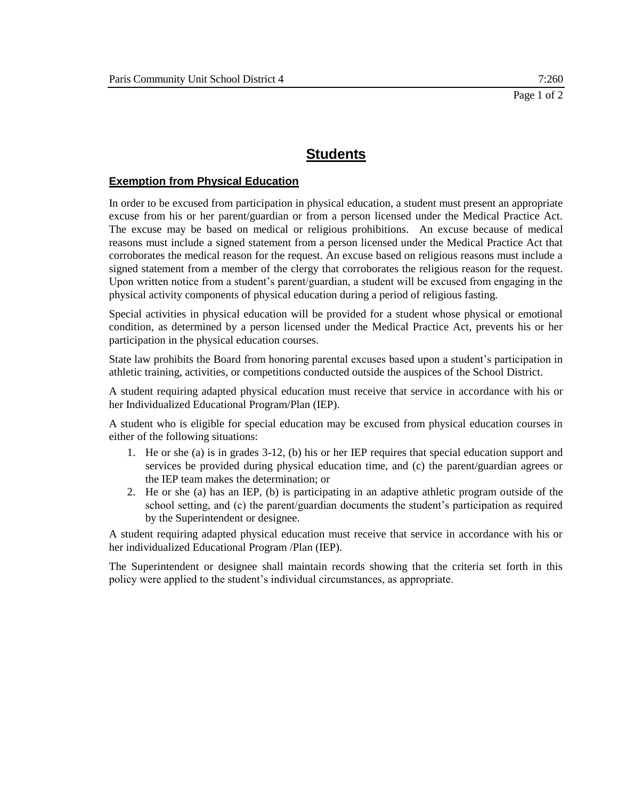### **Exemption from Physical Education**

In order to be excused from participation in physical education, a student must present an appropriate excuse from his or her parent/guardian or from a person licensed under the Medical Practice Act. The excuse may be based on medical or religious prohibitions. An excuse because of medical reasons must include a signed statement from a person licensed under the Medical Practice Act that corroborates the medical reason for the request. An excuse based on religious reasons must include a signed statement from a member of the clergy that corroborates the religious reason for the request. Upon written notice from a student's parent/guardian, a student will be excused from engaging in the physical activity components of physical education during a period of religious fasting.

Special activities in physical education will be provided for a student whose physical or emotional condition, as determined by a person licensed under the Medical Practice Act, prevents his or her participation in the physical education courses.

State law prohibits the Board from honoring parental excuses based upon a student's participation in athletic training, activities, or competitions conducted outside the auspices of the School District.

A student requiring adapted physical education must receive that service in accordance with his or her Individualized Educational Program/Plan (IEP).

A student who is eligible for special education may be excused from physical education courses in either of the following situations:

- 1. He or she (a) is in grades 3-12, (b) his or her IEP requires that special education support and services be provided during physical education time, and (c) the parent/guardian agrees or the IEP team makes the determination; or
- 2. He or she (a) has an IEP, (b) is participating in an adaptive athletic program outside of the school setting, and (c) the parent/guardian documents the student's participation as required by the Superintendent or designee.

A student requiring adapted physical education must receive that service in accordance with his or her individualized Educational Program /Plan (IEP).

The Superintendent or designee shall maintain records showing that the criteria set forth in this policy were applied to the student's individual circumstances, as appropriate.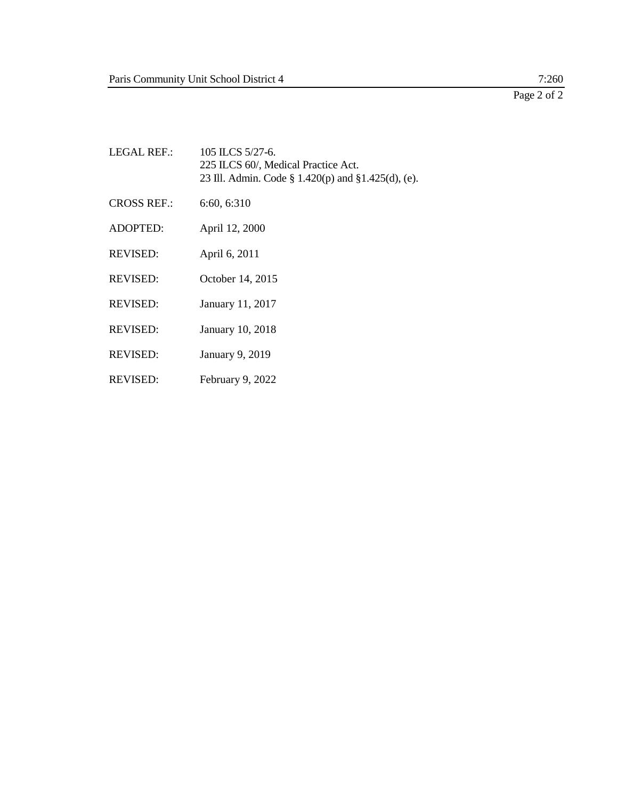# Page 2 of 2

| LEGAL REF.:        | 105 ILCS $5/27-6$ .<br>225 ILCS 60/, Medical Practice Act.<br>23 Ill. Admin. Code § 1.420(p) and §1.425(d), (e). |
|--------------------|------------------------------------------------------------------------------------------------------------------|
| <b>CROSS REF.:</b> | 6:60, 6:310                                                                                                      |
| <b>ADOPTED:</b>    | April 12, 2000                                                                                                   |
| <b>REVISED:</b>    | April 6, 2011                                                                                                    |
| <b>REVISED:</b>    | October 14, 2015                                                                                                 |
| <b>REVISED:</b>    | January 11, 2017                                                                                                 |
| <b>REVISED:</b>    | January 10, 2018                                                                                                 |
| <b>REVISED:</b>    | January 9, 2019                                                                                                  |
|                    |                                                                                                                  |

REVISED: February 9, 2022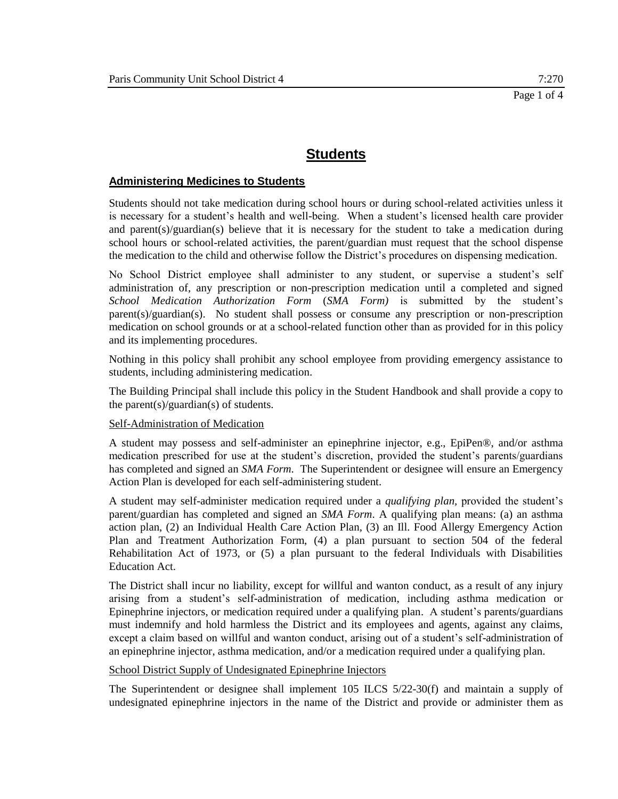## **Administering Medicines to Students**

Students should not take medication during school hours or during school-related activities unless it is necessary for a student's health and well-being. When a student's licensed health care provider and parent(s)/guardian(s) believe that it is necessary for the student to take a medication during school hours or school-related activities, the parent/guardian must request that the school dispense the medication to the child and otherwise follow the District's procedures on dispensing medication.

No School District employee shall administer to any student, or supervise a student's self administration of, any prescription or non-prescription medication until a completed and signed *School Medication Authorization Form* (*SMA Form)* is submitted by the student's parent(s)/guardian(s). No student shall possess or consume any prescription or non-prescription medication on school grounds or at a school-related function other than as provided for in this policy and its implementing procedures.

Nothing in this policy shall prohibit any school employee from providing emergency assistance to students, including administering medication.

The Building Principal shall include this policy in the Student Handbook and shall provide a copy to the parent(s)/guardian(s) of students.

#### Self-Administration of Medication

A student may possess and self-administer an epinephrine injector, e.g., EpiPen®, and/or asthma medication prescribed for use at the student's discretion, provided the student's parents/guardians has completed and signed an *SMA Form*. The Superintendent or designee will ensure an Emergency Action Plan is developed for each self-administering student.

A student may self-administer medication required under a *qualifying plan,* provided the student's parent/guardian has completed and signed an *SMA Form*. A qualifying plan means: (a) an asthma action plan, (2) an Individual Health Care Action Plan, (3) an Ill. Food Allergy Emergency Action Plan and Treatment Authorization Form, (4) a plan pursuant to section 504 of the federal Rehabilitation Act of 1973, or (5) a plan pursuant to the federal Individuals with Disabilities Education Act.

The District shall incur no liability, except for willful and wanton conduct, as a result of any injury arising from a student's self-administration of medication, including asthma medication or Epinephrine injectors, or medication required under a qualifying plan. A student's parents/guardians must indemnify and hold harmless the District and its employees and agents, against any claims, except a claim based on willful and wanton conduct, arising out of a student's self-administration of an epinephrine injector, asthma medication, and/or a medication required under a qualifying plan.

## School District Supply of Undesignated Epinephrine Injectors

The Superintendent or designee shall implement 105 ILCS 5/22-30(f) and maintain a supply of undesignated epinephrine injectors in the name of the District and provide or administer them as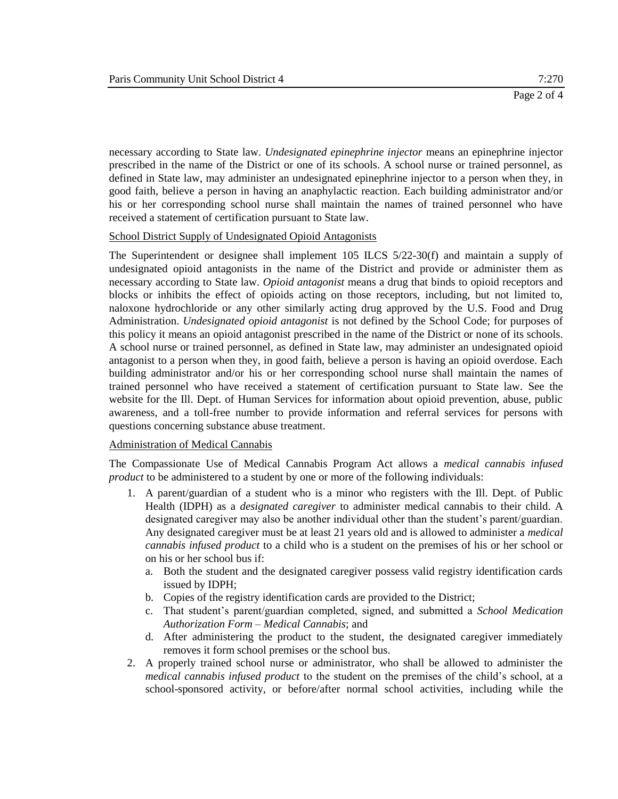necessary according to State law. *Undesignated epinephrine injector* means an epinephrine injector prescribed in the name of the District or one of its schools. A school nurse or trained personnel, as defined in State law, may administer an undesignated epinephrine injector to a person when they, in good faith, believe a person in having an anaphylactic reaction. Each building administrator and/or his or her corresponding school nurse shall maintain the names of trained personnel who have received a statement of certification pursuant to State law.

#### School District Supply of Undesignated Opioid Antagonists

The Superintendent or designee shall implement 105 ILCS 5/22-30(f) and maintain a supply of undesignated opioid antagonists in the name of the District and provide or administer them as necessary according to State law. *Opioid antagonist* means a drug that binds to opioid receptors and blocks or inhibits the effect of opioids acting on those receptors, including, but not limited to, naloxone hydrochloride or any other similarly acting drug approved by the U.S. Food and Drug Administration. *Undesignated opioid antagonist* is not defined by the School Code; for purposes of this policy it means an opioid antagonist prescribed in the name of the District or none of its schools. A school nurse or trained personnel, as defined in State law, may administer an undesignated opioid antagonist to a person when they, in good faith, believe a person is having an opioid overdose. Each building administrator and/or his or her corresponding school nurse shall maintain the names of trained personnel who have received a statement of certification pursuant to State law. See the website for the Ill. Dept. of Human Services for information about opioid prevention, abuse, public awareness, and a toll-free number to provide information and referral services for persons with questions concerning substance abuse treatment.

## Administration of Medical Cannabis

The Compassionate Use of Medical Cannabis Program Act allows a *medical cannabis infused product* to be administered to a student by one or more of the following individuals:

- 1. A parent/guardian of a student who is a minor who registers with the Ill. Dept. of Public Health (IDPH) as a *designated caregiver* to administer medical cannabis to their child. A designated caregiver may also be another individual other than the student's parent/guardian. Any designated caregiver must be at least 21 years old and is allowed to administer a *medical cannabis infused product* to a child who is a student on the premises of his or her school or on his or her school bus if:
	- a. Both the student and the designated caregiver possess valid registry identification cards issued by IDPH;
	- b. Copies of the registry identification cards are provided to the District;
	- c. That student's parent/guardian completed, signed, and submitted a *School Medication Authorization Form – Medical Cannabis*; and
	- d. After administering the product to the student, the designated caregiver immediately removes it form school premises or the school bus.
- 2. A properly trained school nurse or administrator, who shall be allowed to administer the *medical cannabis infused product* to the student on the premises of the child's school, at a school-sponsored activity, or before/after normal school activities, including while the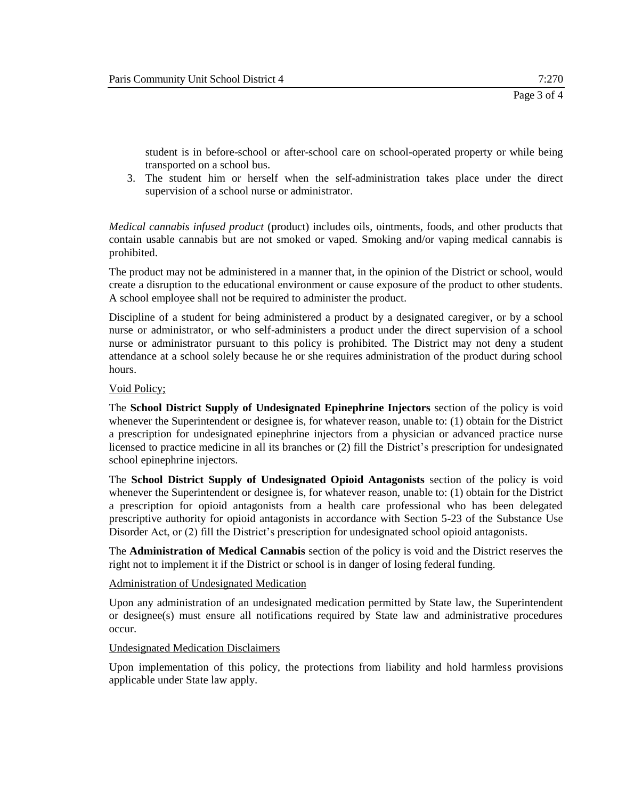student is in before-school or after-school care on school-operated property or while being transported on a school bus.

3. The student him or herself when the self-administration takes place under the direct supervision of a school nurse or administrator.

*Medical cannabis infused product* (product) includes oils, ointments, foods, and other products that contain usable cannabis but are not smoked or vaped. Smoking and/or vaping medical cannabis is prohibited.

The product may not be administered in a manner that, in the opinion of the District or school, would create a disruption to the educational environment or cause exposure of the product to other students. A school employee shall not be required to administer the product.

Discipline of a student for being administered a product by a designated caregiver, or by a school nurse or administrator, or who self-administers a product under the direct supervision of a school nurse or administrator pursuant to this policy is prohibited. The District may not deny a student attendance at a school solely because he or she requires administration of the product during school hours.

## Void Policy;

The **School District Supply of Undesignated Epinephrine Injectors** section of the policy is void whenever the Superintendent or designee is, for whatever reason, unable to: (1) obtain for the District a prescription for undesignated epinephrine injectors from a physician or advanced practice nurse licensed to practice medicine in all its branches or (2) fill the District's prescription for undesignated school epinephrine injectors.

The **School District Supply of Undesignated Opioid Antagonists** section of the policy is void whenever the Superintendent or designee is, for whatever reason, unable to: (1) obtain for the District a prescription for opioid antagonists from a health care professional who has been delegated prescriptive authority for opioid antagonists in accordance with Section 5-23 of the Substance Use Disorder Act, or (2) fill the District's prescription for undesignated school opioid antagonists.

The **Administration of Medical Cannabis** section of the policy is void and the District reserves the right not to implement it if the District or school is in danger of losing federal funding.

#### Administration of Undesignated Medication

Upon any administration of an undesignated medication permitted by State law, the Superintendent or designee(s) must ensure all notifications required by State law and administrative procedures occur.

#### Undesignated Medication Disclaimers

Upon implementation of this policy, the protections from liability and hold harmless provisions applicable under State law apply.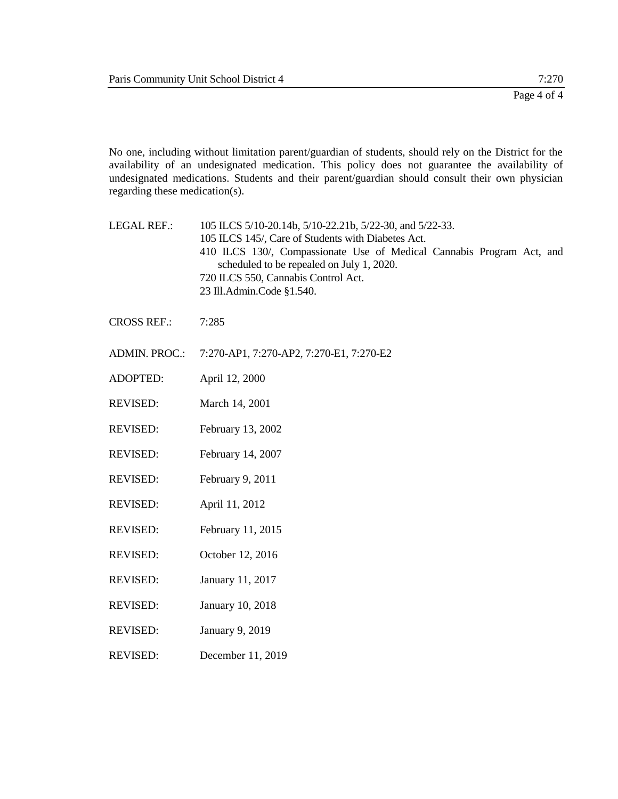No one, including without limitation parent/guardian of students, should rely on the District for the availability of an undesignated medication. This policy does not guarantee the availability of undesignated medications. Students and their parent/guardian should consult their own physician regarding these medication(s).

- LEGAL REF.: 105 ILCS 5/10-20.14b, 5/10-22.21b, 5/22-30, and 5/22-33. 105 ILCS 145/, Care of Students with Diabetes Act. 410 ILCS 130/, Compassionate Use of Medical Cannabis Program Act, and scheduled to be repealed on July 1, 2020. 720 ILCS 550, Cannabis Control Act. 23 Ill.Admin.Code §1.540.
- CROSS REF.: 7:285
- ADMIN. PROC.: 7:270-AP1, 7:270-AP2, 7:270-E1, 7:270-E2
- ADOPTED: April 12, 2000
- REVISED: March 14, 2001
- REVISED: February 13, 2002
- REVISED: February 14, 2007
- REVISED: February 9, 2011
- REVISED: April 11, 2012
- REVISED: February 11, 2015
- REVISED: October 12, 2016
- REVISED: January 11, 2017
- REVISED: January 10, 2018
- REVISED: January 9, 2019
- REVISED: December 11, 2019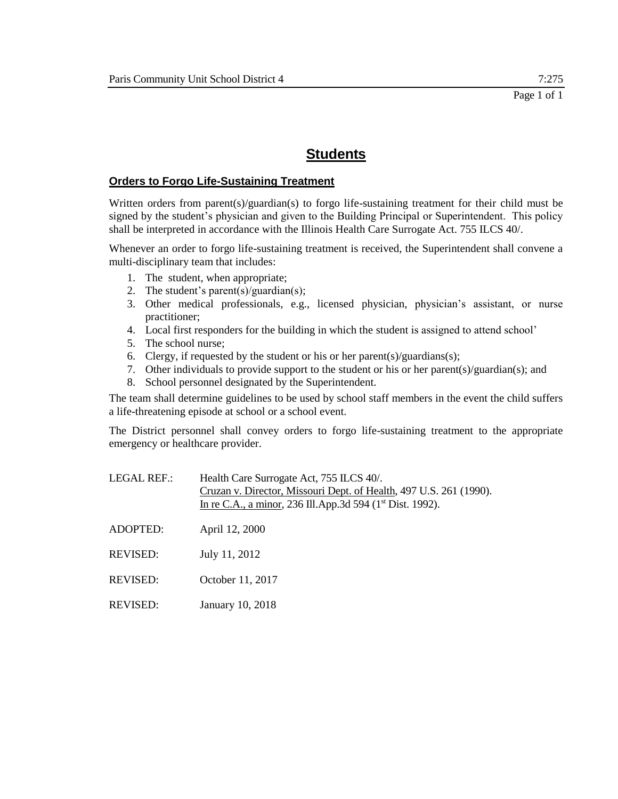# **Orders to Forgo Life-Sustaining Treatment**

Written orders from parent(s)/guardian(s) to forgo life-sustaining treatment for their child must be signed by the student's physician and given to the Building Principal or Superintendent. This policy shall be interpreted in accordance with the Illinois Health Care Surrogate Act. 755 ILCS 40/.

Whenever an order to forgo life-sustaining treatment is received, the Superintendent shall convene a multi-disciplinary team that includes:

- 1. The student, when appropriate;
- 2. The student's parent(s)/guardian(s);
- 3. Other medical professionals, e.g., licensed physician, physician's assistant, or nurse practitioner;
- 4. Local first responders for the building in which the student is assigned to attend school'
- 5. The school nurse;
- 6. Clergy, if requested by the student or his or her parent(s)/guardians(s);
- 7. Other individuals to provide support to the student or his or her parent(s)/guardian(s); and
- 8. School personnel designated by the Superintendent.

The team shall determine guidelines to be used by school staff members in the event the child suffers a life-threatening episode at school or a school event.

The District personnel shall convey orders to forgo life-sustaining treatment to the appropriate emergency or healthcare provider.

| LEGAL REF.:     | Health Care Surrogate Act, 755 ILCS 40/.<br>Cruzan v. Director, Missouri Dept. of Health, 497 U.S. 261 (1990).<br>In re C.A., a minor, 236 Ill.App.3d 594 (1 <sup>st</sup> Dist. 1992). |
|-----------------|-----------------------------------------------------------------------------------------------------------------------------------------------------------------------------------------|
| ADOPTED:        | April 12, 2000                                                                                                                                                                          |
| <b>REVISED:</b> | July 11, 2012                                                                                                                                                                           |
| REVISED:        | October 11, 2017                                                                                                                                                                        |
| REVISED:        | January 10, 2018                                                                                                                                                                        |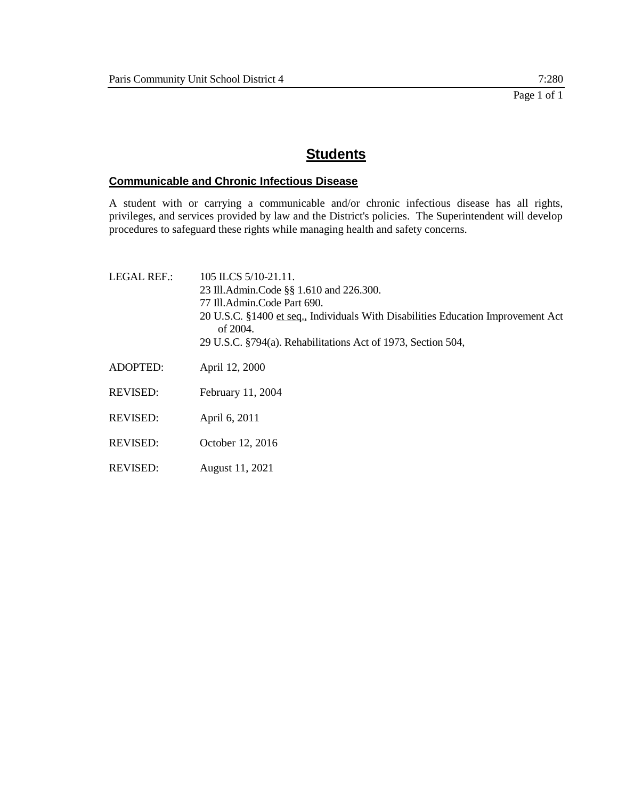# **Communicable and Chronic Infectious Disease**

A student with or carrying a communicable and/or chronic infectious disease has all rights, privileges, and services provided by law and the District's policies. The Superintendent will develop procedures to safeguard these rights while managing health and safety concerns.

| LEGAL REF.:     | 105 ILCS 5/10-21.11.<br>23 Ill.Admin.Code §§ 1.610 and 226.300.<br>77 Ill.Admin.Code Part 690.<br>20 U.S.C. §1400 et seq., Individuals With Disabilities Education Improvement Act<br>of 2004.<br>29 U.S.C. §794(a). Rehabilitations Act of 1973, Section 504, |
|-----------------|----------------------------------------------------------------------------------------------------------------------------------------------------------------------------------------------------------------------------------------------------------------|
| <b>ADOPTED:</b> | April 12, 2000                                                                                                                                                                                                                                                 |
| <b>REVISED:</b> | February 11, 2004                                                                                                                                                                                                                                              |
| <b>REVISED:</b> | April 6, 2011                                                                                                                                                                                                                                                  |
| <b>REVISED:</b> | October 12, 2016                                                                                                                                                                                                                                               |
| <b>REVISED:</b> | August 11, 2021                                                                                                                                                                                                                                                |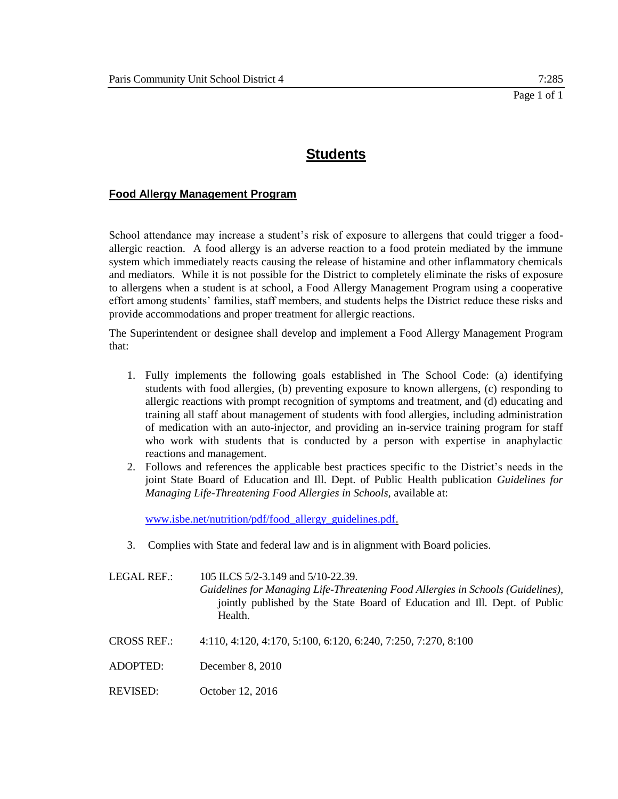# **Food Allergy Management Program**

School attendance may increase a student's risk of exposure to allergens that could trigger a foodallergic reaction. A food allergy is an adverse reaction to a food protein mediated by the immune system which immediately reacts causing the release of histamine and other inflammatory chemicals and mediators. While it is not possible for the District to completely eliminate the risks of exposure to allergens when a student is at school, a Food Allergy Management Program using a cooperative effort among students' families, staff members, and students helps the District reduce these risks and provide accommodations and proper treatment for allergic reactions.

The Superintendent or designee shall develop and implement a Food Allergy Management Program that:

- 1. Fully implements the following goals established in The School Code: (a) identifying students with food allergies, (b) preventing exposure to known allergens, (c) responding to allergic reactions with prompt recognition of symptoms and treatment, and (d) educating and training all staff about management of students with food allergies, including administration of medication with an auto-injector, and providing an in-service training program for staff who work with students that is conducted by a person with expertise in anaphylactic reactions and management.
- 2. Follows and references the applicable best practices specific to the District's needs in the joint State Board of Education and Ill. Dept. of Public Health publication *Guidelines for Managing Life-Threatening Food Allergies in Schools,* available at:

[www.isbe.net/nutrition/pdf/food\\_allergy\\_guidelines.pdf.](http://www.isbe.net/nutrition/pdf/food_allergy_guidelines.pdf)

3. Complies with State and federal law and is in alignment with Board policies.

| LEGAL REF.:        | 105 ILCS 5/2-3.149 and 5/10-22.39.<br>Guidelines for Managing Life-Threatening Food Allergies in Schools (Guidelines),<br>jointly published by the State Board of Education and III. Dept. of Public<br>Health. |
|--------------------|-----------------------------------------------------------------------------------------------------------------------------------------------------------------------------------------------------------------|
| <b>CROSS REF.:</b> | 4:110, 4:120, 4:170, 5:100, 6:120, 6:240, 7:250, 7:270, 8:100                                                                                                                                                   |
| ADOPTED:           | December 8, 2010                                                                                                                                                                                                |
| REVISED:           | October 12, 2016                                                                                                                                                                                                |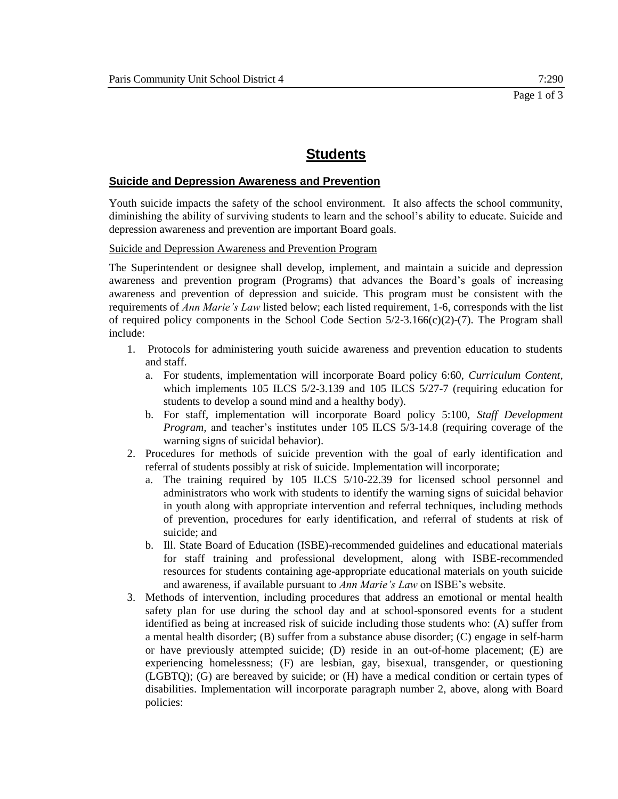## **Suicide and Depression Awareness and Prevention**

Youth suicide impacts the safety of the school environment. It also affects the school community, diminishing the ability of surviving students to learn and the school's ability to educate. Suicide and depression awareness and prevention are important Board goals.

#### Suicide and Depression Awareness and Prevention Program

The Superintendent or designee shall develop, implement, and maintain a suicide and depression awareness and prevention program (Programs) that advances the Board's goals of increasing awareness and prevention of depression and suicide. This program must be consistent with the requirements of *Ann Marie's Law* listed below; each listed requirement, 1-6, corresponds with the list of required policy components in the School Code Section  $5/2-3.166(c)(2)-(7)$ . The Program shall include:

- 1. Protocols for administering youth suicide awareness and prevention education to students and staff.
	- a. For students, implementation will incorporate Board policy 6:60, *Curriculum Content,*  which implements 105 ILCS 5/2-3.139 and 105 ILCS 5/27-7 (requiring education for students to develop a sound mind and a healthy body).
	- b. For staff, implementation will incorporate Board policy 5:100, *Staff Development Program*, and teacher's institutes under 105 ILCS 5/3-14.8 (requiring coverage of the warning signs of suicidal behavior).
- 2. Procedures for methods of suicide prevention with the goal of early identification and referral of students possibly at risk of suicide. Implementation will incorporate;
	- a. The training required by 105 ILCS 5/10-22.39 for licensed school personnel and administrators who work with students to identify the warning signs of suicidal behavior in youth along with appropriate intervention and referral techniques, including methods of prevention, procedures for early identification, and referral of students at risk of suicide; and
	- b. Ill. State Board of Education (ISBE)-recommended guidelines and educational materials for staff training and professional development, along with ISBE-recommended resources for students containing age-appropriate educational materials on youth suicide and awareness, if available pursuant to *Ann Marie's Law* on ISBE's website.
- 3. Methods of intervention, including procedures that address an emotional or mental health safety plan for use during the school day and at school-sponsored events for a student identified as being at increased risk of suicide including those students who: (A) suffer from a mental health disorder; (B) suffer from a substance abuse disorder; (C) engage in self-harm or have previously attempted suicide; (D) reside in an out-of-home placement; (E) are experiencing homelessness; (F) are lesbian, gay, bisexual, transgender, or questioning (LGBTQ); (G) are bereaved by suicide; or (H) have a medical condition or certain types of disabilities. Implementation will incorporate paragraph number 2, above, along with Board policies: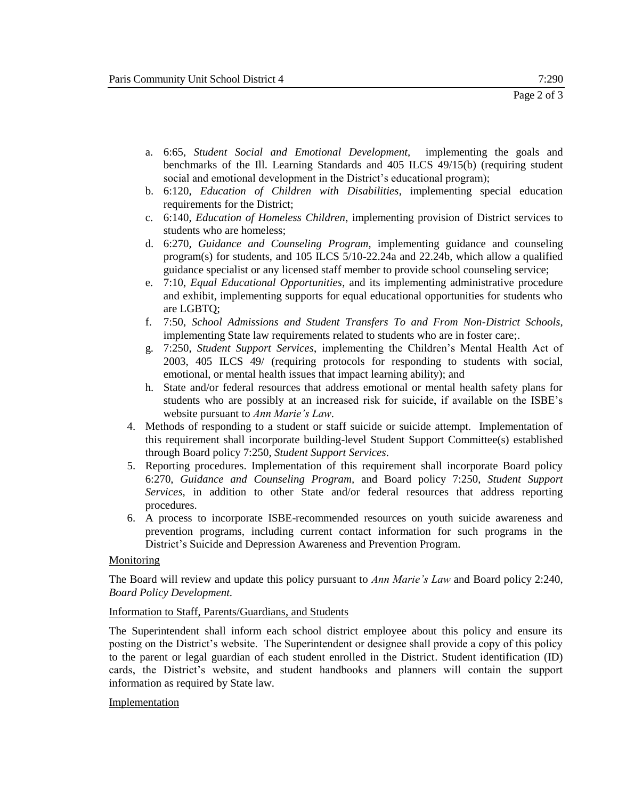- a. 6:65, *Student Social and Emotional Development,* implementing the goals and benchmarks of the Ill. Learning Standards and 405 ILCS 49/15(b) (requiring student social and emotional development in the District's educational program);
- b. 6:120, *Education of Children with Disabilities*, implementing special education requirements for the District;
- c. 6:140, *Education of Homeless Children*, implementing provision of District services to students who are homeless;
- d. 6:270, *Guidance and Counseling Program,* implementing guidance and counseling program(s) for students, and 105 ILCS 5/10-22.24a and 22.24b, which allow a qualified guidance specialist or any licensed staff member to provide school counseling service;
- e. 7:10, *Equal Educational Opportunities*, and its implementing administrative procedure and exhibit, implementing supports for equal educational opportunities for students who are LGBTQ;
- f. 7:50, *School Admissions and Student Transfers To and From Non-District Schools,*  implementing State law requirements related to students who are in foster care;.
- g. 7:250, *Student Support Services*, implementing the Children's Mental Health Act of 2003, 405 ILCS 49/ (requiring protocols for responding to students with social, emotional, or mental health issues that impact learning ability); and
- h. State and/or federal resources that address emotional or mental health safety plans for students who are possibly at an increased risk for suicide, if available on the ISBE's website pursuant to *Ann Marie's Law*.
- 4. Methods of responding to a student or staff suicide or suicide attempt. Implementation of this requirement shall incorporate building-level Student Support Committee(s) established through Board policy 7:250, *Student Support Services*.
- 5. Reporting procedures. Implementation of this requirement shall incorporate Board policy 6:270, *Guidance and Counseling Program,* and Board policy 7:250, *Student Support Services,* in addition to other State and/or federal resources that address reporting procedures.
- 6. A process to incorporate ISBE-recommended resources on youth suicide awareness and prevention programs, including current contact information for such programs in the District's Suicide and Depression Awareness and Prevention Program.

## **Monitoring**

The Board will review and update this policy pursuant to *Ann Marie's Law* and Board policy 2:240, *Board Policy Development.*

## Information to Staff, Parents/Guardians, and Students

The Superintendent shall inform each school district employee about this policy and ensure its posting on the District's website. The Superintendent or designee shall provide a copy of this policy to the parent or legal guardian of each student enrolled in the District. Student identification (ID) cards, the District's website, and student handbooks and planners will contain the support information as required by State law.

## Implementation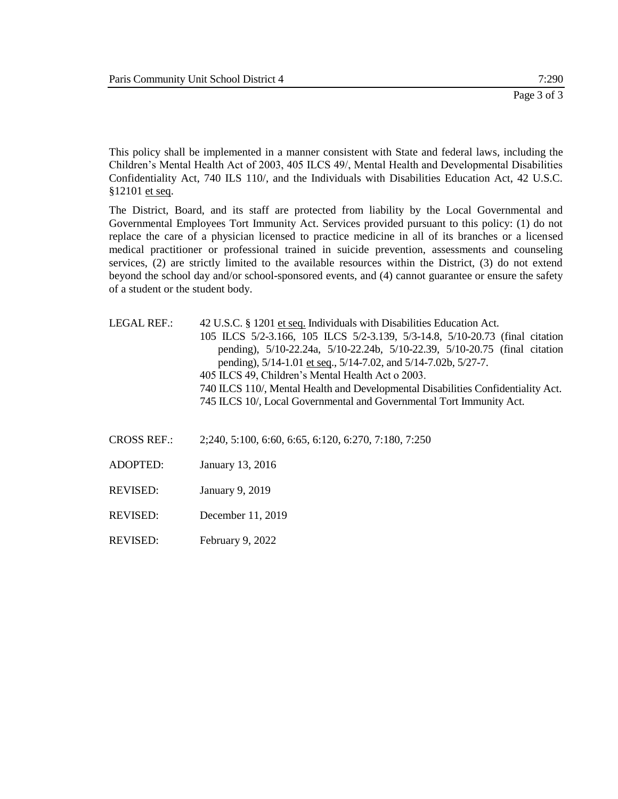This policy shall be implemented in a manner consistent with State and federal laws, including the Children's Mental Health Act of 2003, 405 ILCS 49/, Mental Health and Developmental Disabilities Confidentiality Act, 740 ILS 110/, and the Individuals with Disabilities Education Act, 42 U.S.C. §12101 et seq.

The District, Board, and its staff are protected from liability by the Local Governmental and Governmental Employees Tort Immunity Act. Services provided pursuant to this policy: (1) do not replace the care of a physician licensed to practice medicine in all of its branches or a licensed medical practitioner or professional trained in suicide prevention, assessments and counseling services, (2) are strictly limited to the available resources within the District, (3) do not extend beyond the school day and/or school-sponsored events, and (4) cannot guarantee or ensure the safety of a student or the student body.

LEGAL REF.: 42 U.S.C. § 1201 et seq. Individuals with Disabilities Education Act. 105 ILCS 5/2-3.166, 105 ILCS 5/2-3.139, 5/3-14.8, 5/10-20.73 (final citation pending), 5/10-22.24a, 5/10-22.24b, 5/10-22.39, 5/10-20.75 (final citation pending), 5/14-1.01 et seq., 5/14-7.02, and 5/14-7.02b, 5/27-7. 405 ILCS 49, Children's Mental Health Act o 2003. 740 ILCS 110/, Mental Health and Developmental Disabilities Confidentiality Act. 745 ILCS 10/, Local Governmental and Governmental Tort Immunity Act.

- CROSS REF.: 2;240, 5:100, 6:60, 6:65, 6:120, 6:270, 7:180, 7:250
- ADOPTED: January 13, 2016
- REVISED: January 9, 2019
- REVISED: December 11, 2019
- REVISED: February 9, 2022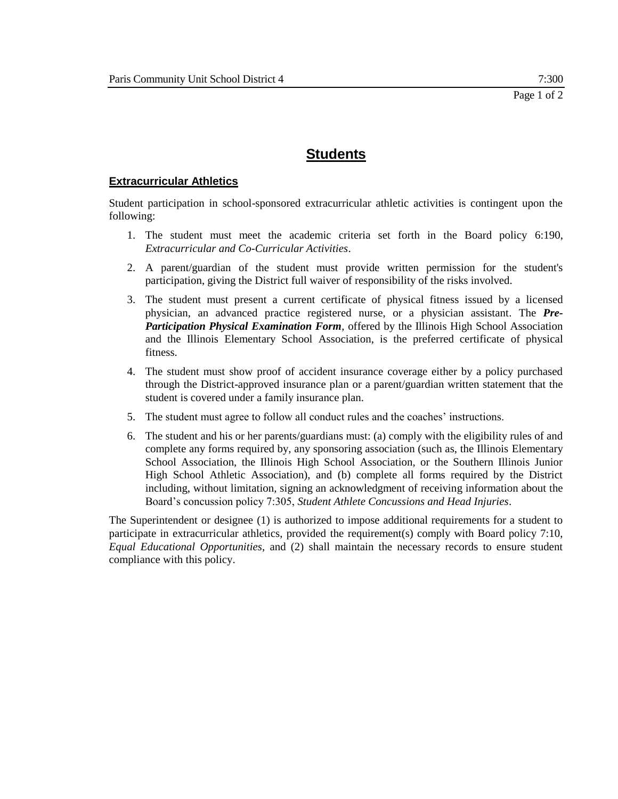# **Extracurricular Athletics**

Student participation in school-sponsored extracurricular athletic activities is contingent upon the following:

- 1. The student must meet the academic criteria set forth in the Board policy 6:190, *Extracurricular and Co-Curricular Activities*.
- 2. A parent/guardian of the student must provide written permission for the student's participation, giving the District full waiver of responsibility of the risks involved.
- 3. The student must present a current certificate of physical fitness issued by a licensed physician, an advanced practice registered nurse, or a physician assistant. The *Pre-Participation Physical Examination Form*, offered by the Illinois High School Association and the Illinois Elementary School Association, is the preferred certificate of physical fitness.
- 4. The student must show proof of accident insurance coverage either by a policy purchased through the District-approved insurance plan or a parent/guardian written statement that the student is covered under a family insurance plan.
- 5. The student must agree to follow all conduct rules and the coaches' instructions.
- 6. The student and his or her parents/guardians must: (a) comply with the eligibility rules of and complete any forms required by, any sponsoring association (such as, the Illinois Elementary School Association, the Illinois High School Association, or the Southern Illinois Junior High School Athletic Association), and (b) complete all forms required by the District including, without limitation, signing an acknowledgment of receiving information about the Board's concussion policy 7:305, *Student Athlete Concussions and Head Injuries*.

The Superintendent or designee (1) is authorized to impose additional requirements for a student to participate in extracurricular athletics, provided the requirement(s) comply with Board policy 7:10, *Equal Educational Opportunities,* and (2) shall maintain the necessary records to ensure student compliance with this policy.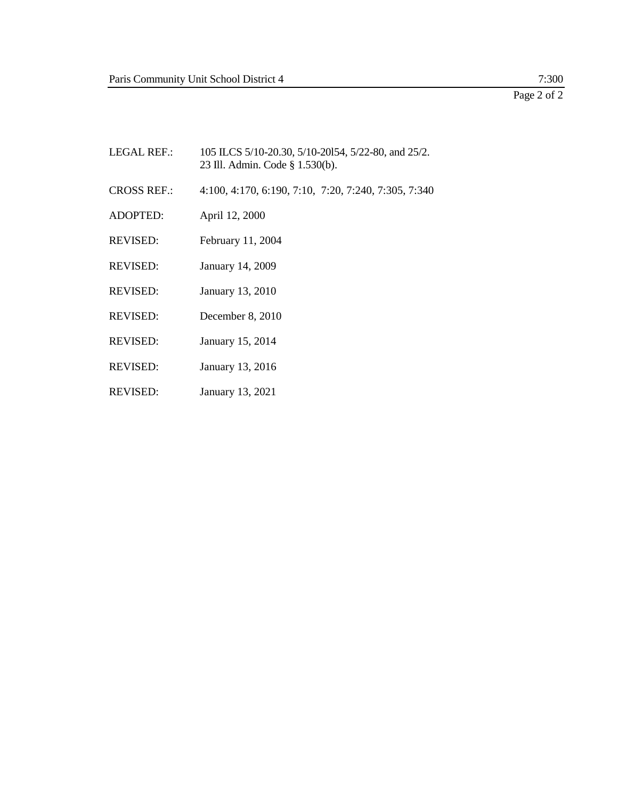# $\frac{7:300}{\text{Page 2 of 2}}$

| <b>LEGAL REF.:</b> | 105 ILCS 5/10-20.30, 5/10-20154, 5/22-80, and 25/2.<br>23 Ill. Admin. Code § 1.530(b). |
|--------------------|----------------------------------------------------------------------------------------|
| <b>CROSS REF.:</b> | 4:100, 4:170, 6:190, 7:10, 7:20, 7:240, 7:305, 7:340                                   |
| <b>ADOPTED:</b>    | April 12, 2000                                                                         |
| <b>REVISED:</b>    | February 11, 2004                                                                      |
| <b>REVISED:</b>    | January 14, 2009                                                                       |
| <b>REVISED:</b>    | January 13, 2010                                                                       |
| <b>REVISED:</b>    | December 8, 2010                                                                       |
| <b>REVISED:</b>    | January 15, 2014                                                                       |

- REVISED: January 13, 2016
- REVISED: January 13, 2021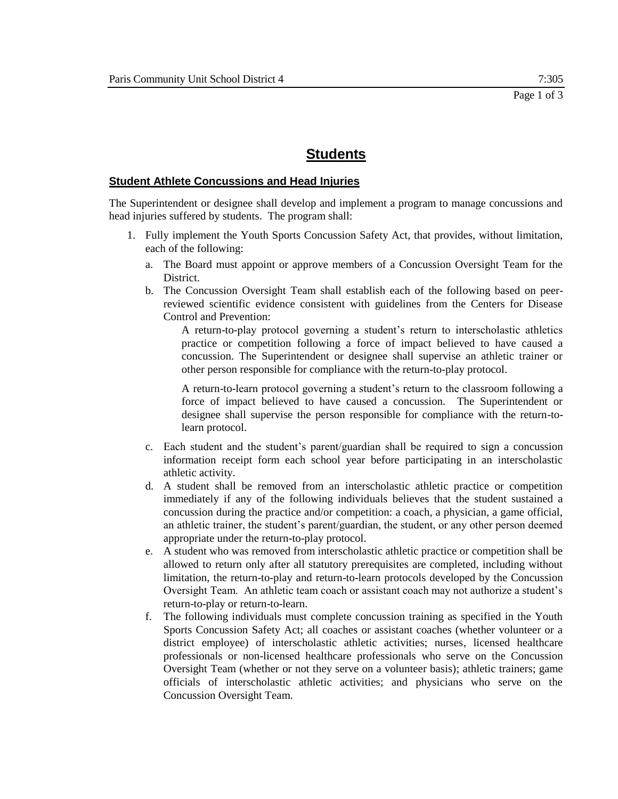## **Student Athlete Concussions and Head Injuries**

The Superintendent or designee shall develop and implement a program to manage concussions and head injuries suffered by students. The program shall:

- 1. Fully implement the Youth Sports Concussion Safety Act, that provides, without limitation, each of the following:
	- a. The Board must appoint or approve members of a Concussion Oversight Team for the District.
	- b. The Concussion Oversight Team shall establish each of the following based on peerreviewed scientific evidence consistent with guidelines from the Centers for Disease Control and Prevention:

A return-to-play protocol governing a student's return to interscholastic athletics practice or competition following a force of impact believed to have caused a concussion. The Superintendent or designee shall supervise an athletic trainer or other person responsible for compliance with the return-to-play protocol.

A return-to-learn protocol governing a student's return to the classroom following a force of impact believed to have caused a concussion. The Superintendent or designee shall supervise the person responsible for compliance with the return-tolearn protocol.

- c. Each student and the student's parent/guardian shall be required to sign a concussion information receipt form each school year before participating in an interscholastic athletic activity.
- d. A student shall be removed from an interscholastic athletic practice or competition immediately if any of the following individuals believes that the student sustained a concussion during the practice and/or competition: a coach, a physician, a game official, an athletic trainer, the student's parent/guardian, the student, or any other person deemed appropriate under the return-to-play protocol.
- e. A student who was removed from interscholastic athletic practice or competition shall be allowed to return only after all statutory prerequisites are completed, including without limitation, the return-to-play and return-to-learn protocols developed by the Concussion Oversight Team. An athletic team coach or assistant coach may not authorize a student's return-to-play or return-to-learn.
- f. The following individuals must complete concussion training as specified in the Youth Sports Concussion Safety Act; all coaches or assistant coaches (whether volunteer or a district employee) of interscholastic athletic activities; nurses, licensed healthcare professionals or non-licensed healthcare professionals who serve on the Concussion Oversight Team (whether or not they serve on a volunteer basis); athletic trainers; game officials of interscholastic athletic activities; and physicians who serve on the Concussion Oversight Team.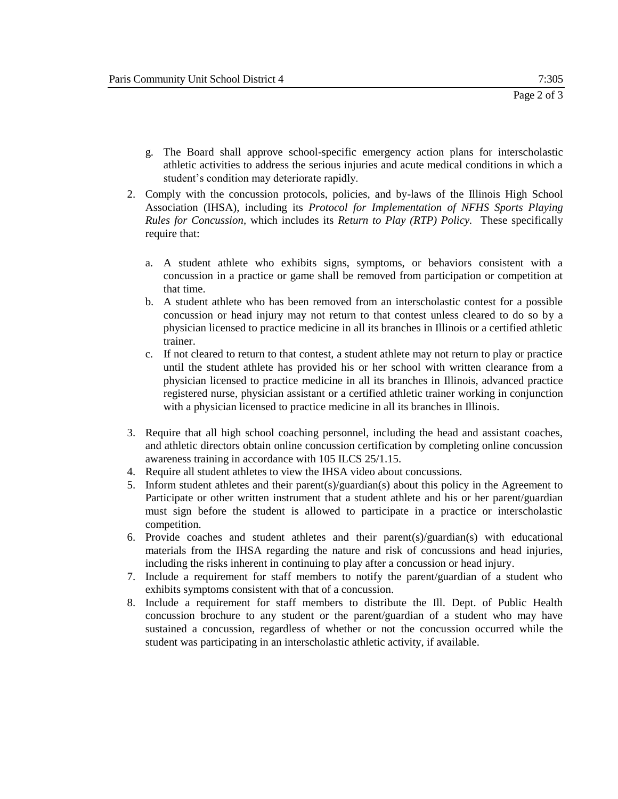- g. The Board shall approve school-specific emergency action plans for interscholastic athletic activities to address the serious injuries and acute medical conditions in which a student's condition may deteriorate rapidly.
- 2. Comply with the concussion protocols, policies, and by-laws of the Illinois High School Association (IHSA), including its *Protocol for Implementation of NFHS Sports Playing Rules for Concussion,* which includes its *Return to Play (RTP) Policy.* These specifically require that:
	- a. A student athlete who exhibits signs, symptoms, or behaviors consistent with a concussion in a practice or game shall be removed from participation or competition at that time.
	- b. A student athlete who has been removed from an interscholastic contest for a possible concussion or head injury may not return to that contest unless cleared to do so by a physician licensed to practice medicine in all its branches in Illinois or a certified athletic trainer.
	- c. If not cleared to return to that contest, a student athlete may not return to play or practice until the student athlete has provided his or her school with written clearance from a physician licensed to practice medicine in all its branches in Illinois, advanced practice registered nurse, physician assistant or a certified athletic trainer working in conjunction with a physician licensed to practice medicine in all its branches in Illinois.
- 3. Require that all high school coaching personnel, including the head and assistant coaches, and athletic directors obtain online concussion certification by completing online concussion awareness training in accordance with 105 ILCS 25/1.15.
- 4. Require all student athletes to view the IHSA video about concussions.
- 5. Inform student athletes and their parent(s)/guardian(s) about this policy in the Agreement to Participate or other written instrument that a student athlete and his or her parent/guardian must sign before the student is allowed to participate in a practice or interscholastic competition.
- 6. Provide coaches and student athletes and their parent(s)/guardian(s) with educational materials from the IHSA regarding the nature and risk of concussions and head injuries, including the risks inherent in continuing to play after a concussion or head injury.
- 7. Include a requirement for staff members to notify the parent/guardian of a student who exhibits symptoms consistent with that of a concussion.
- 8. Include a requirement for staff members to distribute the Ill. Dept. of Public Health concussion brochure to any student or the parent/guardian of a student who may have sustained a concussion, regardless of whether or not the concussion occurred while the student was participating in an interscholastic athletic activity, if available.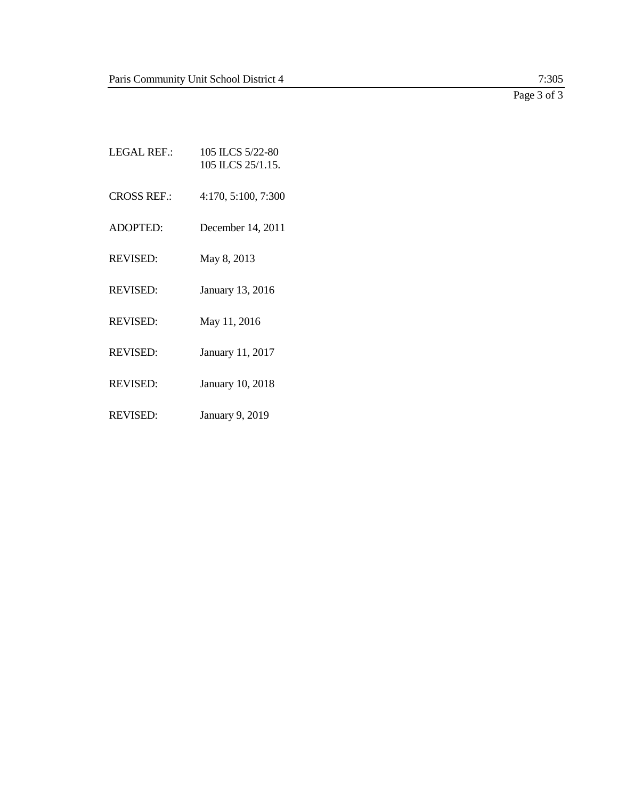Page 3 of 3

- LEGAL REF.: 105 ILCS 5/22-80 105 ILCS 25/1.15. CROSS REF.: 4:170, 5:100, 7:300 ADOPTED: December 14, 2011 REVISED: May 8, 2013 REVISED: January 13, 2016 REVISED: May 11, 2016 REVISED: January 11, 2017 REVISED: January 10, 2018
- REVISED: January 9, 2019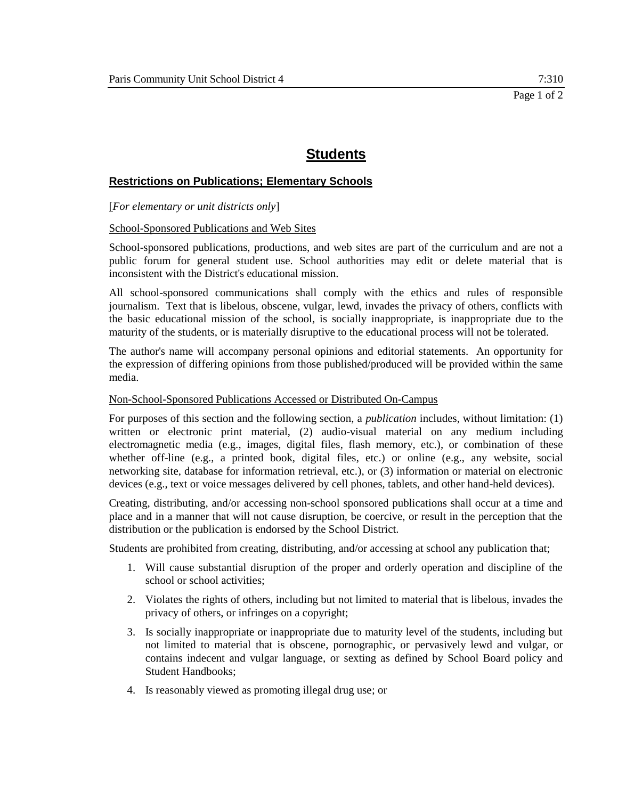# **Restrictions on Publications; Elementary Schools**

[*For elementary or unit districts only*]

#### School-Sponsored Publications and Web Sites

School-sponsored publications, productions, and web sites are part of the curriculum and are not a public forum for general student use. School authorities may edit or delete material that is inconsistent with the District's educational mission.

All school-sponsored communications shall comply with the ethics and rules of responsible journalism. Text that is libelous, obscene, vulgar, lewd, invades the privacy of others, conflicts with the basic educational mission of the school, is socially inappropriate, is inappropriate due to the maturity of the students, or is materially disruptive to the educational process will not be tolerated.

The author's name will accompany personal opinions and editorial statements. An opportunity for the expression of differing opinions from those published/produced will be provided within the same media.

#### Non-School-Sponsored Publications Accessed or Distributed On-Campus

For purposes of this section and the following section, a *publication* includes, without limitation: (1) written or electronic print material, (2) audio-visual material on any medium including electromagnetic media (e.g., images, digital files, flash memory, etc.), or combination of these whether off-line (e.g., a printed book, digital files, etc.) or online (e.g., any website, social networking site, database for information retrieval, etc.), or (3) information or material on electronic devices (e.g., text or voice messages delivered by cell phones, tablets, and other hand-held devices).

Creating, distributing, and/or accessing non-school sponsored publications shall occur at a time and place and in a manner that will not cause disruption, be coercive, or result in the perception that the distribution or the publication is endorsed by the School District.

Students are prohibited from creating, distributing, and/or accessing at school any publication that;

- 1. Will cause substantial disruption of the proper and orderly operation and discipline of the school or school activities;
- 2. Violates the rights of others, including but not limited to material that is libelous, invades the privacy of others, or infringes on a copyright;
- 3. Is socially inappropriate or inappropriate due to maturity level of the students, including but not limited to material that is obscene, pornographic, or pervasively lewd and vulgar, or contains indecent and vulgar language, or sexting as defined by School Board policy and Student Handbooks;
- 4. Is reasonably viewed as promoting illegal drug use; or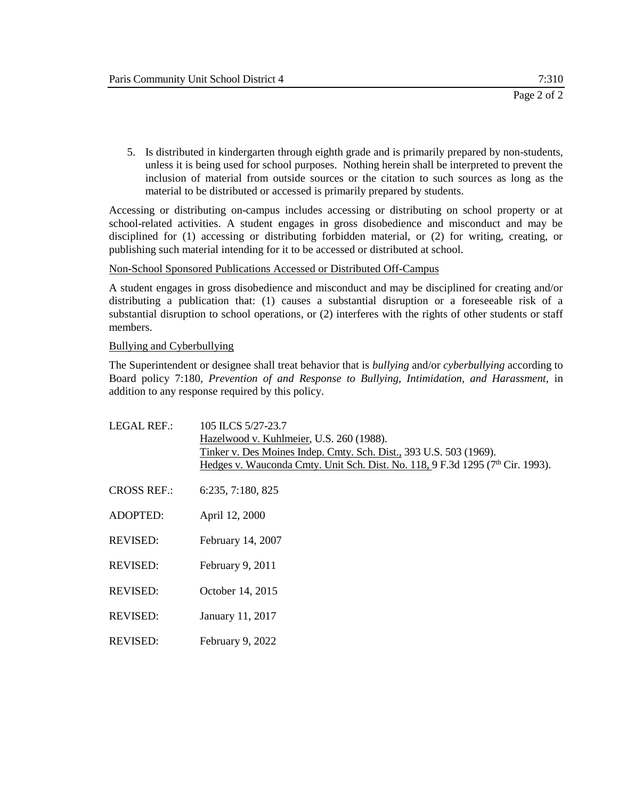5. Is distributed in kindergarten through eighth grade and is primarily prepared by non-students, unless it is being used for school purposes. Nothing herein shall be interpreted to prevent the inclusion of material from outside sources or the citation to such sources as long as the material to be distributed or accessed is primarily prepared by students.

Accessing or distributing on-campus includes accessing or distributing on school property or at school-related activities. A student engages in gross disobedience and misconduct and may be disciplined for (1) accessing or distributing forbidden material, or (2) for writing, creating, or publishing such material intending for it to be accessed or distributed at school.

#### Non-School Sponsored Publications Accessed or Distributed Off-Campus

A student engages in gross disobedience and misconduct and may be disciplined for creating and/or distributing a publication that: (1) causes a substantial disruption or a foreseeable risk of a substantial disruption to school operations, or (2) interferes with the rights of other students or staff members.

#### Bullying and Cyberbullying

The Superintendent or designee shall treat behavior that is *bullying* and/or *cyberbullying* according to Board policy 7:180, *Prevention of and Response to Bullying, Intimidation, and Harassment,* in addition to any response required by this policy.

| <b>LEGAL REF.:</b> | 105 ILCS 5/27-23.7<br>Hazelwood v. Kuhlmeier, U.S. 260 (1988).<br>Tinker v. Des Moines Indep. Cmty. Sch. Dist., 393 U.S. 503 (1969).<br>Hedges v. Wauconda Cmty. Unit Sch. Dist. No. 118, 9 F.3d 1295 (7 <sup>th</sup> Cir. 1993). |
|--------------------|------------------------------------------------------------------------------------------------------------------------------------------------------------------------------------------------------------------------------------|
| <b>CROSS REF.:</b> | 6:235, 7:180, 825                                                                                                                                                                                                                  |
| <b>ADOPTED:</b>    | April 12, 2000                                                                                                                                                                                                                     |
| <b>REVISED:</b>    | February 14, 2007                                                                                                                                                                                                                  |
| <b>REVISED:</b>    | February 9, 2011                                                                                                                                                                                                                   |
| <b>REVISED:</b>    | October 14, 2015                                                                                                                                                                                                                   |
| <b>REVISED:</b>    | January 11, 2017                                                                                                                                                                                                                   |
| <b>REVISED:</b>    | February 9, 2022                                                                                                                                                                                                                   |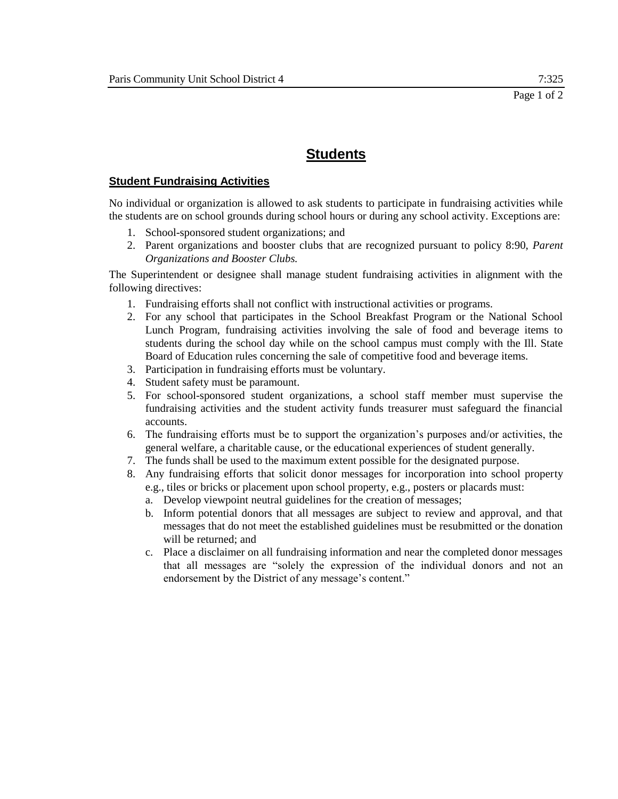# **Student Fundraising Activities**

No individual or organization is allowed to ask students to participate in fundraising activities while the students are on school grounds during school hours or during any school activity. Exceptions are:

- 1. School-sponsored student organizations; and
- 2. Parent organizations and booster clubs that are recognized pursuant to policy 8:90, *Parent Organizations and Booster Clubs.*

The Superintendent or designee shall manage student fundraising activities in alignment with the following directives:

- 1. Fundraising efforts shall not conflict with instructional activities or programs.
- 2. For any school that participates in the School Breakfast Program or the National School Lunch Program, fundraising activities involving the sale of food and beverage items to students during the school day while on the school campus must comply with the Ill. State Board of Education rules concerning the sale of competitive food and beverage items.
- 3. Participation in fundraising efforts must be voluntary.
- 4. Student safety must be paramount.
- 5. For school-sponsored student organizations, a school staff member must supervise the fundraising activities and the student activity funds treasurer must safeguard the financial accounts.
- 6. The fundraising efforts must be to support the organization's purposes and/or activities, the general welfare, a charitable cause, or the educational experiences of student generally.
- 7. The funds shall be used to the maximum extent possible for the designated purpose.
- 8. Any fundraising efforts that solicit donor messages for incorporation into school property e.g., tiles or bricks or placement upon school property, e.g., posters or placards must:
	- a. Develop viewpoint neutral guidelines for the creation of messages;
	- b. Inform potential donors that all messages are subject to review and approval, and that messages that do not meet the established guidelines must be resubmitted or the donation will be returned; and
	- c. Place a disclaimer on all fundraising information and near the completed donor messages that all messages are "solely the expression of the individual donors and not an endorsement by the District of any message's content."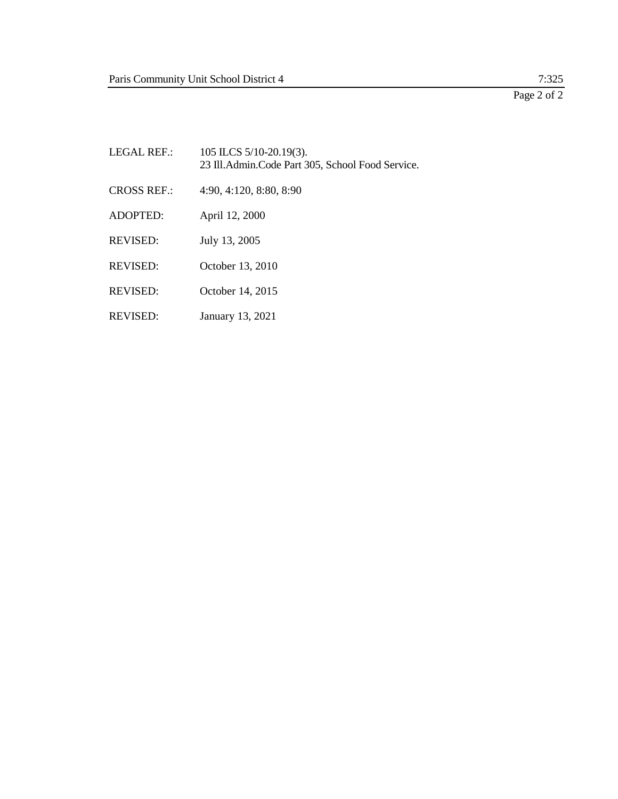Page 2 of 2

| LEGAL REF.:        | 105 ILCS 5/10-20.19(3).<br>23 Ill. Admin. Code Part 305, School Food Service. |
|--------------------|-------------------------------------------------------------------------------|
| <b>CROSS REF.:</b> | 4:90, 4:120, 8:80, 8:90                                                       |
| ADOPTFD:           | April 12, 2000                                                                |
| <b>REVISED:</b>    | July 13, 2005                                                                 |
| <b>REVISED:</b>    | October 13, 2010                                                              |
| <b>REVISED:</b>    | October 14, 2015                                                              |
| <b>REVISED:</b>    | January 13, 2021                                                              |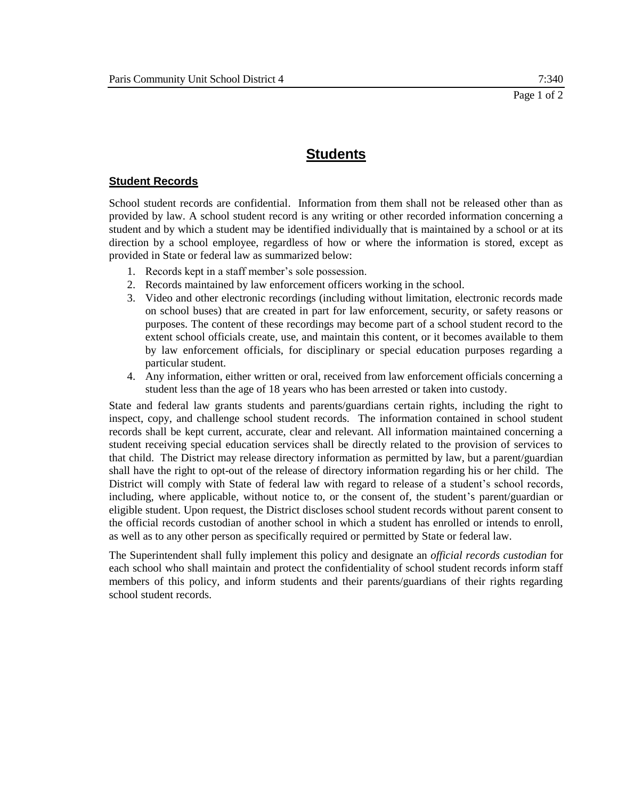# **Student Records**

School student records are confidential. Information from them shall not be released other than as provided by law. A school student record is any writing or other recorded information concerning a student and by which a student may be identified individually that is maintained by a school or at its direction by a school employee, regardless of how or where the information is stored, except as provided in State or federal law as summarized below:

- 1. Records kept in a staff member's sole possession.
- 2. Records maintained by law enforcement officers working in the school.
- 3. Video and other electronic recordings (including without limitation, electronic records made on school buses) that are created in part for law enforcement, security, or safety reasons or purposes. The content of these recordings may become part of a school student record to the extent school officials create, use, and maintain this content, or it becomes available to them by law enforcement officials, for disciplinary or special education purposes regarding a particular student.
- 4. Any information, either written or oral, received from law enforcement officials concerning a student less than the age of 18 years who has been arrested or taken into custody.

State and federal law grants students and parents/guardians certain rights, including the right to inspect, copy, and challenge school student records. The information contained in school student records shall be kept current, accurate, clear and relevant. All information maintained concerning a student receiving special education services shall be directly related to the provision of services to that child. The District may release directory information as permitted by law, but a parent/guardian shall have the right to opt-out of the release of directory information regarding his or her child. The District will comply with State of federal law with regard to release of a student's school records, including, where applicable, without notice to, or the consent of, the student's parent/guardian or eligible student. Upon request, the District discloses school student records without parent consent to the official records custodian of another school in which a student has enrolled or intends to enroll, as well as to any other person as specifically required or permitted by State or federal law.

The Superintendent shall fully implement this policy and designate an *official records custodian* for each school who shall maintain and protect the confidentiality of school student records inform staff members of this policy, and inform students and their parents/guardians of their rights regarding school student records.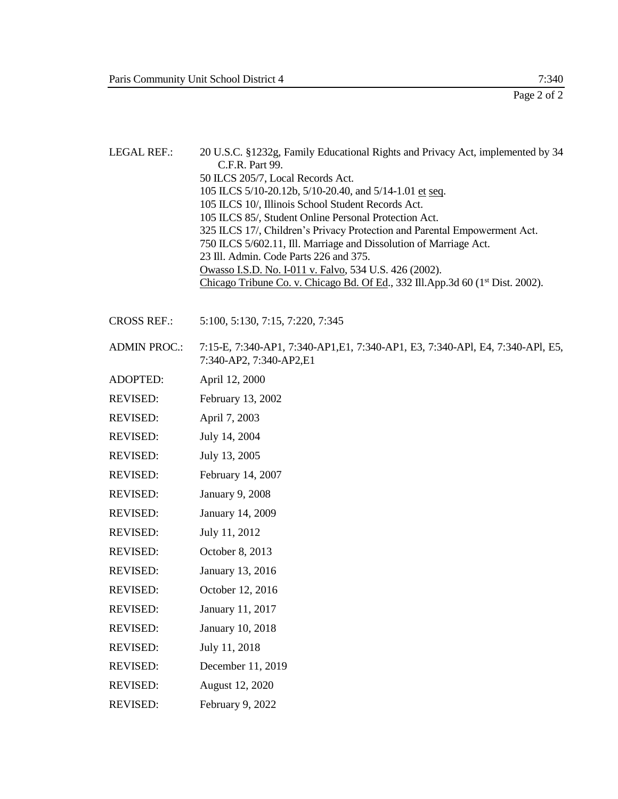- LEGAL REF.: 20 U.S.C. §1232g, Family Educational Rights and Privacy Act, implemented by 34 C.F.R. Part 99. 50 ILCS 205/7, Local Records Act. 105 ILCS 5/10-20.12b, 5/10-20.40, and 5/14-1.01 et seq. 105 ILCS 10/, Illinois School Student Records Act. 105 ILCS 85/, Student Online Personal Protection Act. 325 ILCS 17/, Children's Privacy Protection and Parental Empowerment Act. 750 ILCS 5/602.11, Ill. Marriage and Dissolution of Marriage Act. 23 Ill. Admin. Code Parts 226 and 375. Owasso I.S.D. No. I-011 v. Falvo, 534 U.S. 426 (2002). Chicago Tribune Co. v. Chicago Bd. Of Ed., 332 Ill.App.3d 60 (1<sup>st</sup> Dist. 2002).
- CROSS REF.: 5:100, 5:130, 7:15, 7:220, 7:345
- ADMIN PROC.: 7:15-E, 7:340-AP1, 7:340-AP1,E1, 7:340-AP1, E3, 7:340-APl, E4, 7:340-APl, E5, 7:340-AP2, 7:340-AP2,E1
- ADOPTED: April 12, 2000
- REVISED: February 13, 2002
- REVISED: April 7, 2003
- REVISED: July 14, 2004
- REVISED: July 13, 2005
- REVISED: February 14, 2007
- REVISED: January 9, 2008
- REVISED: January 14, 2009
- REVISED: July 11, 2012
- REVISED: October 8, 2013
- REVISED: January 13, 2016
- REVISED: October 12, 2016
- REVISED: January 11, 2017
- REVISED: January 10, 2018
- REVISED: July 11, 2018
- REVISED: December 11, 2019
- REVISED: August 12, 2020
- REVISED: February 9, 2022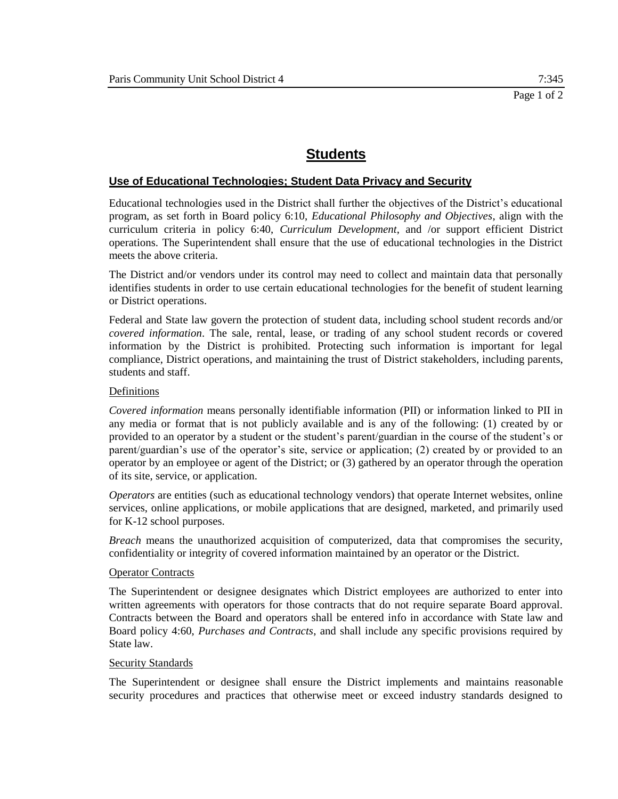# **Use of Educational Technologies; Student Data Privacy and Security**

Educational technologies used in the District shall further the objectives of the District's educational program, as set forth in Board policy 6:10, *Educational Philosophy and Objectives*, align with the curriculum criteria in policy 6:40, *Curriculum Development*, and /or support efficient District operations. The Superintendent shall ensure that the use of educational technologies in the District meets the above criteria.

The District and/or vendors under its control may need to collect and maintain data that personally identifies students in order to use certain educational technologies for the benefit of student learning or District operations.

Federal and State law govern the protection of student data, including school student records and/or *covered information*. The sale, rental, lease, or trading of any school student records or covered information by the District is prohibited. Protecting such information is important for legal compliance, District operations, and maintaining the trust of District stakeholders, including parents, students and staff.

# Definitions

*Covered information* means personally identifiable information (PII) or information linked to PII in any media or format that is not publicly available and is any of the following: (1) created by or provided to an operator by a student or the student's parent/guardian in the course of the student's or parent/guardian's use of the operator's site, service or application; (2) created by or provided to an operator by an employee or agent of the District; or (3) gathered by an operator through the operation of its site, service, or application.

*Operators* are entities (such as educational technology vendors) that operate Internet websites, online services, online applications, or mobile applications that are designed, marketed, and primarily used for K-12 school purposes.

*Breach* means the unauthorized acquisition of computerized, data that compromises the security, confidentiality or integrity of covered information maintained by an operator or the District.

## Operator Contracts

The Superintendent or designee designates which District employees are authorized to enter into written agreements with operators for those contracts that do not require separate Board approval. Contracts between the Board and operators shall be entered info in accordance with State law and Board policy 4:60, *Purchases and Contracts*, and shall include any specific provisions required by State law.

## Security Standards

The Superintendent or designee shall ensure the District implements and maintains reasonable security procedures and practices that otherwise meet or exceed industry standards designed to